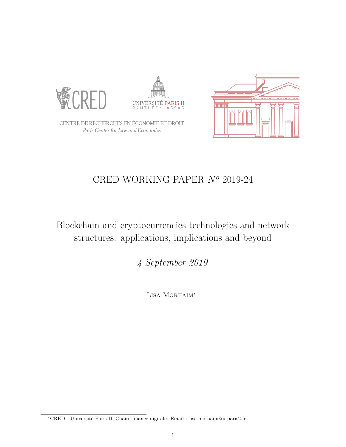<span id="page-0-0"></span>





CENTRE DE RECHERCHES EN ÉCONOMIE ET DROIT Paris Center for Law and Economics

# CRED WORKING PAPER  $N<sup>o</sup>$  2019-24

Blockchain and cryptocurrencies technologies and network structures: applications, implications and beyond

4 September 2019

Lisa Morhaim<sup>∗</sup>

<sup>∗</sup>CRED - Université Paris II. Chaire finance digitale. Email : lisa.morhaim@u-paris2.fr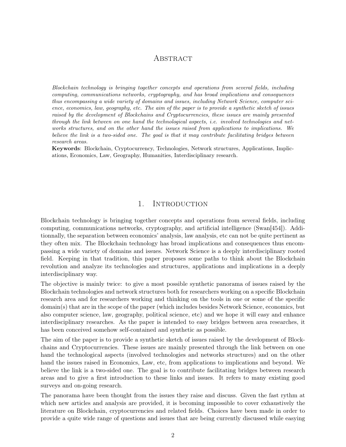# **ABSTRACT**

Blockchain technology is bringing together concepts and operations from several fields, including computing, communications networks, cryptography, and has broad implications and consequences thus encompassing a wide variety of domains and issues, including Network Science, computer science, economics, law, geography, etc. The aim of the paper is to provide a synthetic sketch of issues raised by the development of Blockchains and Cryptocurrencies, these issues are mainly presented through the link between on one hand the technological aspects, i.e. involved technologies and networks structures, and on the other hand the issues raised from applications to implications. We believe the link is a two-sided one. The goal is that it may contribute facilitating bridges between research areas.

Keywords: Blockchain, Cryptocurrency, Technologies, Network structures, Applications, Implications, Economics, Law, Geography, Humanities, Interdisciplinary research.

## 1. INTRODUCTION

Blockchain technology is bringing together concepts and operations from several fields, including computing, communications networks, cryptography, and artificial intelligence (Swan[\[454\]](#page-52-0)). Additionnally, the separation between economics' analysis, law analysis, etc can not be quite pertinent as they often mix. The Blockchain technology has broad implications and consequences thus encompassing a wide variety of domains and issues. Network Science is a deeply interdisciplinary rooted field. Keeping in that tradition, this paper proposes some paths to think about the Blockchain revolution and analyze its technologies and structures, applications and implications in a deeply interdisciplinary way.

The objective is mainly twice: to give a most possible synthetic panorama of issues raised by the Blockchain technologies and network structures both for researchers working on a specific Blockchain research area and for researchers working and thinking on the tools in one or some of the specific domain(s) that are in the scope of the paper (which includes besides Network Science, economics, but also computer science, law, geography, political science, etc) and we hope it will easy and enhance interdisciplinary researches. As the paper is intended to easy bridges between area researches, it has been conceived somehow self-contained and synthetic as possible.

The aim of the paper is to provide a synthetic sketch of issues raised by the development of Blockchains and Cryptocurrencies. These issues are mainly presented through the link between on one hand the technological aspects (involved technologies and networks structures) and on the other hand the issues raised in Economics, Law, etc, from applications to implications and beyond. We believe the link is a two-sided one. The goal is to contribute facilitating bridges between research areas and to give a first introduction to these links and issues. It refers to many existing good surveys and on-going research.

The panorama have been thought from the issues they raise and discuss. Given the fast rythm at which new articles and analysis are provided, it is becoming impossible to cover exhaustively the literature on Blockchain, cryptocurrencies and related fields. Choices have been made in order to provide a quite wide range of questions and issues that are being currently discussed while easying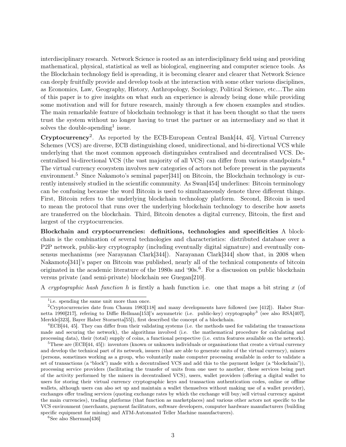interdisciplinary research. Network Science is rooted as an interdisciplinary field using and providing mathematical, physical, statistical as well as biological, engineering and computer science tools. As the Blockchain technology field is spreading, it is becoming clearer and clearer that Network Science can deeply fruitfully provide and develop tools at the interaction with some other various disciplines, as Economics, Law, Geography, History, Anthropology, Sociology, Political Science, etc....The aim of this paper is to give insights on what such an experience is already being done while providing some motivation and will for future research, mainly through a few chosen examples and studies. The main remarkable feature of blockchain technology is that it has been thought so that the users trust the system without no longer having to trust the partner or an intermediary and so that it solves the double-spending<sup>[1](#page-2-0)</sup> issue.

Cryptocurrency<sup>[2](#page-2-1)</sup>. As reported by the ECB-European Central Bank [\[44,](#page-27-0) [45\]](#page-27-1), Virtual Currency Schemes (VCS) are diverse, ECB distinguishing closed, unidirectional, and bi-directional VCS while underlying that the most common approach distinguishes centralised and decentralised VCS. Decentralised bi-directional VCS (the vast majority of all VCS) can differ from various standpoints.[4](#page-2-2) The virtual currency ecosystem involves new categories of actors not before present in the payments environment.<sup>[5](#page-2-3)</sup> Since Nakamoto's seminal paper[\[341\]](#page-45-0) on Bitcoin, the Blockchain technology is currently intensively studied in the scientific community. As Swan[\[454\]](#page-52-0) underlines: Bitcoin terminology can be confusing because the word Bitcoin is used to simultaneously denote three different things. First, Bitcoin refers to the underlying blockchain technology platform. Second, Bitcoin is used to mean the protocol that runs over the underlying blockchain technology to describe how assets are transferred on the blockchain. Third, Bitcoin denotes a digital currency, Bitcoin, the first and largest of the cryptocurrencies.

Blockchain and cryptocurrencies: definitions, technologies and specificities A blockchain is the combination of several technologies and characteristics: distributed database over a P2P network, public-key cryptography (including eventually digital signature) and eventually consensus mechanisms (see Narayanan Clark[\[344\]](#page-45-1)). Narayanan Clark[\[344\]](#page-45-1) show that, in 2008 when Nakamoto[\[341\]](#page-45-0)'s paper on Bitcoin was published, nearly all of the technical components of bitcoin originated in the academic literature of the 1980s and '90s.<sup>[6](#page-2-4)</sup>. For a discussion on public blockchain versus private (and semi-private) blockchain see Guegan[\[210\]](#page-37-0).

A cryptographic hash function h is firstly a hash function i.e. one that maps a bit string x (of

<span id="page-2-4"></span> ${}^{6}$ See also Sherman<sup>[\[436\]](#page-51-0)</sup>

<span id="page-2-1"></span><span id="page-2-0"></span><sup>&</sup>lt;sup>1</sup> i.e. spending the same unit more than once.

<sup>2</sup>Cryptocurrencies date from Chaum 1983[\[118\]](#page-31-0) and many developments have followed (see [\[412\]](#page-49-0)). Haber Stor-netta 1990[\[217\]](#page-37-1), refering to Diffie Hellman[\[153\]](#page-33-0)'s asymmetric (i.e. public-key) cryptography<sup>[3](#page-0-0)</sup> (see also RSA[\[407\]](#page-49-1), Merckle[\[323\]](#page-44-0), Bayer Haber Stornetta[\[55\]](#page-27-2)), first described the concept of a blockchain.

<span id="page-2-2"></span><sup>4</sup>ECB[\[44,](#page-27-0) [45\]](#page-27-1). They can differ from their validating systems (i.e. the methods used for validating the transactions made and securing the network), the algorithms involved (i.e. the mathematical procedure for calculating and processing data), their (total) supply of coins, a functional perspective (i.e. extra features available on the network).

<span id="page-2-3"></span> ${}^{5}$ These are (ECB[\[44,](#page-27-0) [45\]](#page-27-1)): inventors (known or unknown individuals or organisations that create a virtual currency and develop the technical part of its network, issuers (that are able to generate units of the virtual currency), miners (persons, sometimes working as a group, who voluntarily make computer processing available in order to validate a set of transactions (a "block") made with a decentralised VCS and add this to the payment ledger (a "blockchain")), processing service providers (facilitating the transfer of units from one user to another, these services being part of the activity performed by the miners in decentralised VCS), users, wallet providers (offering a digital wallet to users for storing their virtual currency cryptographic keys and transaction authentication codes, online or offline wallets, although users can also set up and maintain a wallet themselves without making use of a wallet provider), exchanges offer trading services (quoting exchange rates by which the exchange will buy/sell virtual currency against the main currencies), trading platforms (that function as marketplaces) and various other actors not specific to the VCS environment (merchants, payment facilitators, software developers, computer hardware manufacturers (building specific equipment for mining) and ATM-Automated Teller Machine manufacturers).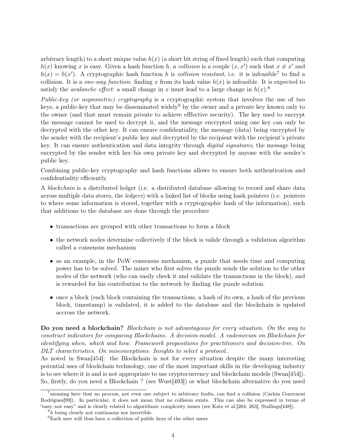arbitrary length) to a short unique value  $h(x)$  (a short bit string of fixed length) such that computing  $h(x)$  knowing x is easy. Given a hash function h, a collision is a couple  $(x, x')$  such that  $x \neq x'$  and  $h(x) = h(x')$ . A cryptographic hash function h is collision resistant, i.e. it is infeasible<sup>[7](#page-3-0)</sup> to find a collision. It is a *one-way function*: finding x from its hash value  $h(x)$  is infeasible. It is expected to satisfy the *avalanche effect*: a small change in x must lead to a large change in  $h(x)$ .<sup>[8](#page-3-1)</sup>

Public-key (or asymmetric) cryptography is a cryptographic system that involves the use of two keys, a public-key that may be disseminated widely<sup>[9](#page-3-2)</sup> by the owner and a private key known only to the owner (and that must remain private to achieve efffective security). The key used to encrypt the message cannot be used to decrypt it, and the message encrypted using one key can only be decrypted with the other key. It can ensure confidentiality, the message (data) being encrypted by the sender with the recipient's public key and decrypted by the recipient with the recipient's private key. It can ensure authentication and data integrity through *digital signatures*, the message being encrypted by the sender with her/his own private key and decrypted by anyone with the sender's public key.

Combining public-key cryptography and hash functions allows to ensure both authentication and confidentiality efficiently.

A blockchain is a distributed ledger (i.e. a distributed database allowing to record and share data across multiple data stores, the ledgers) with a linked list of blocks using hash pointers (i.e. pointers to where some information is stored, together with a cryptographic hash of the information), such that additions to the database are done through the procedure

- transactions are grouped with other transactions to form a block
- the network nodes determine collectively if the block is valide through a validation algorithm called a consensus mechanism
- as an example, in the PoW consensus mechanism, a puzzle that needs time and computing power has to be solved. The miner who first solves the puzzle sends the solution to the other nodes of the network (who can easily check it and validate the transactions in the block), and is rewarded for his contribution to the network by finding the puzzle solution.
- once a block (each block containing the transactions, a hash of its own, a hash of the previous block, timestamp) is validated, it is added to the database and the blockchain is updated accross the network.

Do you need a blockchain? Blockchain is not advantageous for every situation. On the way to construct indicators for comparing Blockchains. A decision-model. A vademecum on Blockchain for identifying when, which and how. Framework propositions for practitioners and decision-tree. On DLT characteristics. On misconceptions. Insights to select a protocol..

As noted in Swan[\[454\]](#page-52-0): the Blockchain is not for every situation despite the many interesting potential uses of blockchain technology, one of the most important skills in the developing industry is to see where it is and is not appropriate to use cryptocurrency and blockchain models (Swan[\[454\]](#page-52-0)). So, firstly, do you need a Blockchain ? (see Wust[\[493\]](#page-54-0)) or what blockchain alternative do you need

<span id="page-3-0"></span><sup>7</sup>meaning here that no process, not even one subject to arbitrary faults, can find a collision (Cachin Guerraoui Rodrigues<sup>[\[99\]](#page-30-0)</sup>). In particular, it does not mean that no collision exists. This can also be expressed in terms of "easy/not easy" and is clearly related to algorithmic complexity issues (see Katz et al.[\[264,](#page-40-0) [263\]](#page-40-1), Stallings[\[448\]](#page-51-1)).

<span id="page-3-1"></span> ${}^8h$  being clearly not continuous nor invertible.

<span id="page-3-2"></span><sup>9</sup>Each user will thus have a collection of public keys of the other users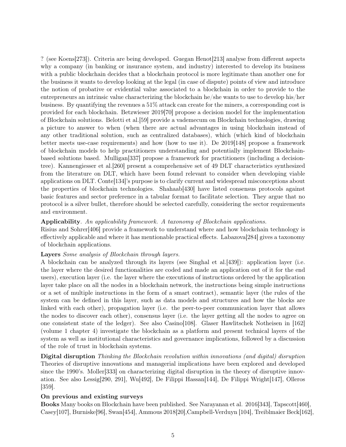? (see Koens[\[273\]](#page-41-0)). Criteria are being developed. Guegan Henot[\[213\]](#page-37-2) analyse from different aspects why a company (in banking or insurance system, and industry) interested to develop its business with a public blockchain decides that a blockchain protocol is more legitimate than another one for the business it wants to develop looking at the legal (in case of dispute) points of view and introduce the notion of probative or evidential value associated to a blockchain in order to provide to the entrepreneurs an intrinsic value characterizing the blockchain he/she wants to use to develop his/her business. By quantifying the revenues a 51% attack can create for the miners, a corresponding cost is provided for each blockchain. Betzwieser 2019[\[70\]](#page-28-0) propose a decision model for the implementation of Blockchain solutions. Belotti et al.[\[59\]](#page-27-3) provide a vademecum on Blockchain technologies, drawing a picture to answer to when (when there are actual advantages in using blockchain instead of any other traditional solution, such as centralized databases), which (which kind of blockchain better meets use-case requirements) and how (how to use it). De 2019[\[148\]](#page-33-1) propose a framework of blockchain models to help practitioners understanding and potentially implement Blockchainbased solutions based. Mulligan[\[337\]](#page-44-1) propose a framework for practitioners (including a decisiontree). Kannengiesser et al.[\[260\]](#page-40-2) present a comprehensive set of 49 DLT characteristics synthesized from the literature on DLT, which have been found relevant to consider when developing viable applications on DLT. Conte[\[134\]](#page-32-0)'s purpose is to clarify current and widespread misconceptions about the properties of blockchain technologies. Shahaab[\[430\]](#page-50-0) have listed consensus protocols against basic features and sector preference in a tabular format to facilitate selection. They argue that no protocol is a silver bullet, therefore should be selected carefully, considering the sector requirements and environment.

## Applicability. An applicability framework. A taxonomy of Blockchain applications.

Risius and Sohrer[\[406\]](#page-49-2) provide a framework to understand where and how blockchain technology is effectively applicable and where it has mentionable practical effects. Labazova[\[284\]](#page-41-1) gives a taxonomy of blockchain applications.

#### Layers Some analysis of Blockchain through layers.

A blockchain can be analyzed through its layers (see Singhal et al.[\[439\]](#page-51-2)): application layer (i.e. the layer where the desired functionalities are coded and made an application out of it for the end users), execution layer (i.e. the layer where the executions of instructions ordered by the application layer take place on all the nodes in a blockchain network, the instructions being simple instructions or a set of multiple instructions in the form of a smart contract), semantic layer (the rules of the system can be defined in this layer, such as data models and structures and how the blocks are linked with each other), propagation layer (i.e. the peer-to-peer communication layer that allows the nodes to discover each other), consensus layer (i.e. the layer getting all the nodes to agree on one consistent state of the ledger). See also Casino[\[108\]](#page-30-1). Glaser Hawlitschek Notheisen in [\[162\]](#page-34-0) (volume 1 chapter 4) investigate the blockchain as a platform and present technical layers of the system as well as institutional characteristics and governance implications, followed by a discussion of the role of trust in blockchain systems.

Digital disruption Thinking the Blockchain revolution within innovations (and digital) disruption Theories of disruptive innovations and managerial implications have been explored and developed since the 1990's. Moller[\[333\]](#page-44-2) on characterizing digital disruption in the theory of disruptive innovation. See also Lessig[\[290,](#page-42-0) [291\]](#page-42-1), Wu[\[492\]](#page-54-1), De Filippi Hassan[\[144\]](#page-33-2), De Filippi Wright[\[147\]](#page-33-3), Olleros [\[359\]](#page-46-0).

#### On previous and existing surveys

Books Many books on Blockchain have been published. See Narayanan et al. 2016[\[343\]](#page-45-2), Tapscott[\[460\]](#page-52-1), Casey[\[107\]](#page-30-2), Burniske[\[96\]](#page-30-3), Swan[\[454\]](#page-52-0), Ammous 2018[\[20\]](#page-25-0),Campbell-Verduyn [\[104\]](#page-30-4), Treiblmaier Beck[\[162\]](#page-34-0),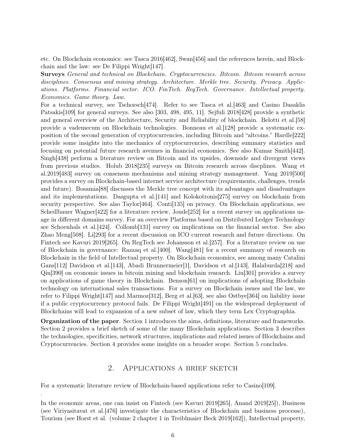etc. On Blockchain economics: see Tasca 2016[\[462\]](#page-52-2), Swan[\[456\]](#page-52-3) and the references herein, and Blockchain and the law: see De Filippi Wright[\[147\]](#page-33-3).

Surveys General and technical on Blockchain. Cryptocurrencies. Bitcoin. Bitcoin research across disciplines. Consensus and mining strategy. Architecture. Merkle tree. Security. Privacy. Applications. Platforms. Financial sector. ICO. FinTech. RegTech. Governance. Intellectual property. Economics. Game theory. Law.

For a technical survey, see Tschorsch<sup>[\[474\]](#page-53-0)</sup>. Refer to see Tasca et al. [\[463\]](#page-52-4) and Casino Dasaklis Patsakis[\[109\]](#page-31-1) for general surveys. See also [\[303,](#page-42-2) [498,](#page-54-2) [495,](#page-54-3) [11\]](#page-24-0). Sejfuli 2018[\[428\]](#page-50-1) provide a synthetic and general overview of the Architecture, Security and Reliability of blockchain. Belotti et al.[\[58\]](#page-27-4) provide a vademecum on Blockchain technologies. Bonneau et al.[\[128\]](#page-32-1) provide a systematic exposition of the second generation of cryptocurrencies, including Bitcoin and "altcoins." Hardle[\[222\]](#page-37-3) provide some insights into the mechanics of cryptocurrencies, describing summary statistics and focusing on potential future research avenues in financial economics. See also Kumar Smith[\[442\]](#page-51-3). Singh[\[438\]](#page-51-4) perform a literature review on Bitcoin and its upsides, downside and divergent views from previous studies. Holub 2018[\[235\]](#page-38-0) surveys on Bitcoin research across discplines. Wang et al.2019[\[483\]](#page-54-4) survey on consensus mechanisms and mining strategy management. Yang 2019[\[500\]](#page-55-0) provides a survey on Blockchain-based internet service architecture (requirements, challenges, trends and future). Bosamia[\[88\]](#page-29-0) discusses the Merkle tree concept with its advantages and disadvantages and its implementations. Dasgupta et al.[\[141\]](#page-33-4) and Kolokotronis[\[275\]](#page-41-2) survey on blockchain from security perspective. See also Taylor [\[464\]](#page-52-5). Conti [\[135\]](#page-32-2) on privacy. On Blockchain applications, see Schedlbauer Wagner[\[422\]](#page-50-2) for a literature review, Joude[\[252\]](#page-39-0) for a recent survey on applications usage in different domains survey. For an overview Platforms based on Distributed Ledger Technology see Schoenhals et al.[\[424\]](#page-50-3). Collomb[\[131\]](#page-32-3) survey on implications on the financial sector. See also Zhao Meng[\[508\]](#page-55-1). Li[\[293\]](#page-42-3) for a recent discussion on ICO current research and future directions. On Fintech see Kavuri 2019[\[265\]](#page-40-3). On RegTech see Johansson et al.[\[257\]](#page-40-4). For a literature review on use of Blockchain in governance: Razzaq et al.[\[400\]](#page-48-0). Wang[\[481\]](#page-53-1) for a recent summary of research on Blockchain in the field of Intellectual property. On Blockchain economics, see among many Catalini Gans[\[112\]](#page-31-2) Davidson et al. [\[143\]](#page-33-5), Abadi Brunnermeier[\[1\]](#page-24-1), Davidson et al. [143], Halaburda[\[218\]](#page-37-4) and Qin[\[390\]](#page-48-1) on economic issues in bitcoin mining and blockchain research. Liu[\[301\]](#page-42-4) provides a survey on applications of game theory in Blockchain. Benson[\[61\]](#page-28-1) on implications of adopting Blockchain technology on international sales transactions. For a survey on Blockchain issues and the law, we refer to Filippi Wright[\[147\]](#page-33-3) and Marmoz[\[312\]](#page-43-0), Berg et al.[\[63\]](#page-28-2), see also Ostbye[\[364\]](#page-46-1) on liability issue if a public cryptocurrency protocol fails. De Filippi Wright[\[491\]](#page-54-5) on the widespread deployment of Blockchains will lead to expansion of a new subset of law, which they term Lex Cryptographia.

Organization of the paper. Section 1 introduces the aims, definitions, literature and frameworks. Section 2 provides a brief sketch of some of the many Blockchain applications. Section 3 describes the technologies, specificities, network structures, implications and related issues of Blockchains and Cryptocurrencies. Section 4 provides some insights on a broader scope. Section 5 concludes.

## 2. Applications a brief sketch

For a systematic literature review of Blockchain-based applications refer to Casino [\[109\]](#page-31-1).

.

In the economic areas, one can insist on Fintech (see Kavuri 2019[\[265\]](#page-40-3), Anand 2019[\[25\]](#page-25-1)), Business (see Viriyasitavat et al.[\[476\]](#page-53-2) investigate the characteristics of Blockchain and business processe), Tourism (see Horst et al. (volume 2 chapter 1 in Treiblmaier Beck 2019[\[162\]](#page-34-0)), Intellectual property,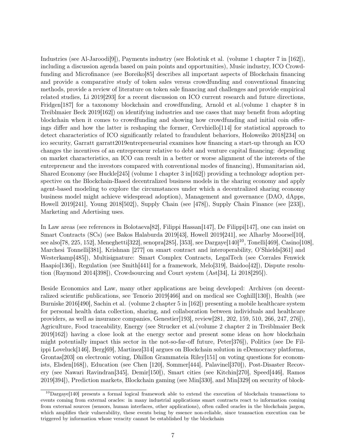Industries (see Al-Jaroodi[\[9\]](#page-24-2)), Payments industry (see Holotiuk et al. (volume 1 chapter 7 in [\[162\]](#page-34-0)), including a discussion agenda based on pain points and opportunities), Music industry, ICO Crowdfunding and Microfinance (see Boreiko[\[85\]](#page-29-1) describes all important aspects of Blockchain financing and provide a comparative study of token sales versus crowdfunding and conventional financing methods, provide a review of literature on token sale financing and challenges and provide empirical related studies, Li 2019[\[293\]](#page-42-3) for a recent discussion on ICO current research and future directions, Fridgen[\[187\]](#page-35-0) for a taxonomy blockchain and crowdfunding, Arnold et al.(volume 1 chapter 8 in Treiblmaier Beck 2019[\[162\]](#page-34-0)) on identifying industries and use cases that may benefit from adopting blockchain when it comes to crowdfunding and showing how crowdfunding and initial coin offerings differ and how the latter is reshaping the former, Cervhiello[\[114\]](#page-31-3) for statistical approach to detect characteristics of ICO significantly related to fraudulent behaviors, Holoweiko 2018[\[234\]](#page-38-1) on ico security, Garratt garratt2019entrepreneurial examines how financing a start-up through an ICO changes the incentives of an entrepreneur relative to debt and venture capital financing: depending on market characteristics, an ICO can result in a better or worse alignment of the interests of the entrepreneur and the investors compared with conventional modes of financing), Humanitarian aid, Shared Economy (see Huckle[\[245\]](#page-39-1) (volume 1 chapter 3 in[\[162\]](#page-34-0)) providing a technology adoption perspective on the Blockchain-Based decentralized business models in the sharing economy and apply agent-based modeling to explore the circumstances under which a decentralized sharing economy business model might achieve widespread adoption), Management and governance (DAO, dApps, Howell 2019[\[241\]](#page-39-2), Young 2018[\[502\]](#page-55-2)), Supply Chain (see [\[478\]](#page-53-3)), Supply Chain Finance (see [\[233\]](#page-38-2)), Marketing and Adertising uses.

In Law areas (see references in Bolotaeva[\[82\]](#page-29-2), Filippi Hassan[\[147\]](#page-33-3), De Filippi[\[147\]](#page-33-3), one can insist on Smart Contracts (SCs) (see Bakos Halaburda 2019[\[43\]](#page-27-5), Howell 2019[\[241\]](#page-39-2), see Alharby Moorsel[\[10\]](#page-24-3), see also[\[78,](#page-29-3) [225,](#page-38-3) [152\]](#page-33-6), Meneghetti[\[322\]](#page-44-3), senopra[\[285\]](#page-41-3), [\[353\]](#page-45-3), see Dargaye[\[140\]](#page-33-7)[10](#page-6-0), Tonelli[\[469\]](#page-53-4), Casino[\[108\]](#page-30-1), Marchesi Tonnelli<sup>[\[381\]](#page-47-0)</sup>, Krishnan [\[277\]](#page-41-4) on smart contract and interoperability, O'Shields[\[361\]](#page-46-2) and Westerkamp[\[485\]](#page-54-6)), Multisignature: Smart Complex Contracts, LegalTech (see Corrales Fenwick Haapio[\[136\]](#page-32-4)), Regulation (see Smith[\[441\]](#page-51-5) for a framework, Melo[\[319\]](#page-43-1), Baidoo[\[42\]](#page-27-6)), Dispute resolution (Raymond 2014[\[398\]](#page-48-2)), Crowdsourcing and Court system (Ast[\[34\]](#page-26-0), Li 2018[\[295\]](#page-42-5)).

Beside Economics and Law, many other applications are being developed: Archives (on decentralized scientific publications, see Tenorio 2019[\[466\]](#page-52-6) and on medical see Coghill[\[130\]](#page-32-5)), Health (see Burniske 2016[\[490\]](#page-54-7), Sachin et al. (volume 2 chapter 5 in [\[162\]](#page-34-0)) presenting a mobile healthcare system for personal health data collection, sharing, and collaboration between individuals and healthcare providers, as well as insurance companies, Genestier[\[193\]](#page-36-0), review[\[281,](#page-41-5) [202,](#page-36-1) [159,](#page-34-1) [510,](#page-55-3) [266,](#page-40-5) [247,](#page-39-3) [276\]](#page-41-6)), Agriculture, Food traceability, Energy (see Strucker et al.(volume 2 chapter 2 in Treiblmaier Beck 2019[\[162\]](#page-34-0)) having a close look at the energy sector and present some ideas on how blockchain might potentially impact this sector in the not-so-far-off future, Peter[\[376\]](#page-47-1)), Politics (see De Filippi Loveluck[\[146\]](#page-33-8), Berg[\[69\]](#page-28-3), Martinez[\[314\]](#page-43-2) argues on Blockchain solution in eDemocracy platforms, Grontas[\[203\]](#page-36-2) on electronic voting, Dhillon Grammateia Riley[\[151\]](#page-33-9) on voting questions for econom-ists, Elsden[\[168\]](#page-34-2)), Education (see Chen [\[120\]](#page-31-4), Sommer[\[444\]](#page-51-6), Palavinel[\[370\]](#page-46-3)), Post-Disaster Recovery (see Nawari Ravindran[\[345\]](#page-45-4), Demir[\[150\]](#page-33-10)), Smart cities (see Kitchin[\[270\]](#page-40-6), Speed[\[446\]](#page-51-7), Ramos 2019[\[394\]](#page-48-3)), Prediction markets, Blockchain gaming (see Min[\[330\]](#page-44-4), and Min[\[329\]](#page-44-5) on security of block-

<span id="page-6-0"></span><sup>&</sup>lt;sup>10</sup>Dargaye[\[140\]](#page-33-7) presents a formal logical framework able to extend the execution of blockchain transactions to events coming from external oracles: in many industrial applications smart contracts react to information coming from external sources (sensors, human interfaces, other applications), often called oracles in the blockchain jargon, which amplifies their vulnerability, these events being by essence non-reliable, since transaction execution can be triggered by information whose veracity cannot be established by the blockchain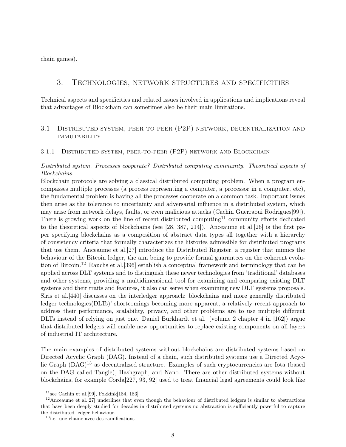chain games).

# 3. Technologies, network structures and specificities

Technical aspects and specificities and related issues involved in applications and implications reveal that advantages of Blockchain can sometimes also be their main limitations.

# 3.1 Distributed system, peer-to-peer (P2P) network, decentralization and **IMMUTABILITY**

#### 3.1.1 Distributed system, peer-to-peer (P2P) network and Blockchain

# Distributed system. Processes cooperate? Distributed computing community. Theoretical aspects of Blockchains.

Blockchain protocols are solving a classical distributed computing problem. When a program encompasses multiple processes (a process representing a computer, a processor in a computer, etc), the fundamental problem is having all the processes cooperate on a common task. Important issues then arise as the tolerance to uncertainty and adversarial influence in a distributed system, which may arise from network delays, faults, or even malicious attacks (Cachin Guerraoui Rodrigues[\[99\]](#page-30-0)). There is growing work on the line of recent distributed computing<sup>[11](#page-7-0)</sup> community efforts dedicated to the theoretical aspects of blockchains (see [\[28,](#page-26-1) [387,](#page-48-4) [214\]](#page-37-5)). Anceaume et al.[\[26\]](#page-25-2) is the first paper specifying blockchains as a composition of abstract data types all together with a hierarchy of consistency criteria that formally characterizes the histories admissible for distributed programs that use them. Anceaume et al.[\[27\]](#page-25-3) introduce the Distributed Register, a register that mimics the behaviour of the Bitcoin ledger, the aim being to provide formal guarantees on the coherent evolution of Bitcoin.[12](#page-7-1) Rauchs et al.[\[396\]](#page-48-5) establish a conceptual framework and terminology that can be applied across DLT systems and to distinguish these newer technologies from 'traditional' databases and other systems, providing a multidimensional tool for examining and comparing existing DLT systems and their traits and features, it also can serve when examining new DLT systems proposals. Siris et al.[\[440\]](#page-51-8) discusses on the interledger approach: blockchains and more generally distributed ledger technologies(DLTs)' shortcomings becoming more apparent, a relatively recent approach to address their performance, scalability, privacy, and other problems are to use multiple different DLTs instead of relying on just one. Daniel Burkhardt et al. (volume 2 chapter 4 in [\[162\]](#page-34-0)) argue that distributed ledgers will enable new opportunities to replace existing components on all layers of industrial IT architecture.

The main examples of distributed systems without blockchains are distributed systems based on Directed Acyclic Graph (DAG). Instead of a chain, such distributed systems use a Directed Acyc-lic Graph (DAG)<sup>[13](#page-7-2)</sup> as decentralized structure. Examples of such cryptocurrencies are Iota (based on the DAG called Tangle), Hashgraph, and Nano. There are other distributed systems without blockchains, for example Corda[\[227,](#page-38-4) [93,](#page-30-5) [92\]](#page-30-6) used to treat financial legal agreements could look like

<span id="page-7-1"></span><span id="page-7-0"></span><sup>&</sup>lt;sup>11</sup>see Cachin et al.<sup>[\[99\]](#page-30-0)</sup>, Fokkink<sup>[\[184,](#page-35-1) [183\]](#page-35-2)</sup>

 $12$ Anceaume et al.<sup>[\[27\]](#page-25-3)</sup> underlines that even though the behaviour of distributed ledgers is similar to abstractions that have been deeply studied for decades in distributed systems no abstraction is sufficiently powerful to capture the distributed ledger behaviour.

<span id="page-7-2"></span><sup>13</sup>i.e. une chaine avec des ramifications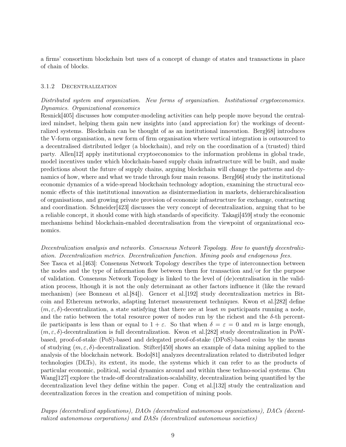a firms' consortium blockchain but uses of a concept of change of states and transactions in place of chain of blocks.

#### 3.1.2 Decentralization

## Distributed system and organization. New forms of organization. Institutional cryptoeconomics. Dynamics. Organizational economics

Resnick[\[405\]](#page-49-3) discusses how computer-modeling activities can help people move beyond the centralized mindset, helping them gain new insights into (and appreciation for) the workings of decentralized systems. Blockchain can be thought of as an institutional innovation. Berg[\[68\]](#page-28-4) introduces the V-form organisation, a new form of firm organisation where vertical integration is outsourced to a decentralised distributed ledger (a blockchain), and rely on the coordination of a (trusted) third party. Allen[\[12\]](#page-25-4) apply institutional cryptoeconomics to the information problems in global trade, model incentives under which blockchain-based supply chain infrastructure will be built, and make predictions about the future of supply chains, arguing blockchain will change the patterns and dy-namics of how, where and what we trade through four main reasons. Berg[\[66\]](#page-28-5) study the institutional economic dynamics of a wide-spread blockchain technology adoption, examining the structural economic effects of this institutional innovation as disintermediation in markets, dehierarchicalisation of organisations, and growing private provision of economic infrastructure for exchange, contracting and coordination. Schneider[\[423\]](#page-50-4) discusses the very concept of decentralization, arguing that to be a reliable concept, it should come with high standards of specificity. Takagi[\[459\]](#page-52-7) study the economic mechanisms behind blockchain-enabled decentralisation from the viewpoint of organizational economics.

Decentralization analysis and networks. Consensus Network Topology. How to quantify decentralization. Decentralization metrics. Decentralization function. Mining pools and endogenous fees. See Tasca et al.[\[463\]](#page-52-4): Consensus Network Topology describes the type of interconnection between the nodes and the type of information flow between them for transaction and/or for the purpose of validation. Consensus Network Topology is linked to the level of (de)centralisation in the validation process, lthough it is not the only determinant as other factors influence it (like the reward mechanism) (see Bonneau et al.[\[84\]](#page-29-4)). Gencer et al.[\[192\]](#page-36-3) study decentralization metrics in Bitcoin and Ethereum networks, adapting Internet measurement techniques. Kwon et al.[\[282\]](#page-41-7) define  $(m, \varepsilon, \delta)$ -decentralization, a state satisfying that there are at least m participants running a node, and the ratio between the total resource power of nodes run by the richest and the  $\delta$ -th percentile participants is less than or equal to  $1 + \varepsilon$ . So that when  $\delta = \varepsilon = 0$  and m is large enough,  $(m, \varepsilon, \delta)$ -decentralization is full decentralization. Kwon et al. [\[282\]](#page-41-7) study decentralization in PoWbased, proof-of-stake (PoS)-based and delegated proof-of-stake (DPoS)-based coins by the means of studying  $(m, \varepsilon, \delta)$ -decentralization. Stifter [\[450\]](#page-51-9) shows an example of data mining applied to the analysis of the blockchain network. Bodo[\[81\]](#page-29-5) analyzes decentralization related to distributed ledger technologies (DLTs), its extent, its mode, the systems which it can refer to as the products of particular economic, political, social dynamics around and within these techno-social systems. Chu Wang[\[127\]](#page-32-6) explore the trade-off decentralization-scalability, decentralization being quantified by the decentralization level they define within the paper. Cong et al. [\[132\]](#page-32-7) study the centralization and decentralization forces in the creation and competition of mining pools.

Dapps (decentralized applications), DAOs (decentralized autonomous organizations), DACs (decentralized autonomous corporations) and DASs (decentralized autonomous societies)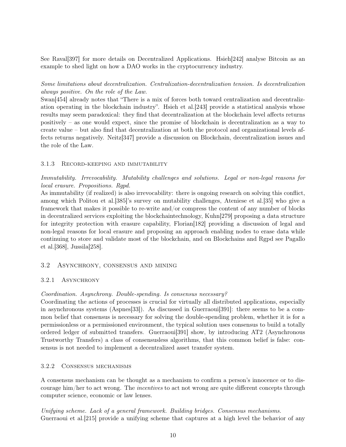See Raval[\[397\]](#page-48-6) for more details on Decentralized Applications. Hsieh[\[242\]](#page-39-4) analyse Bitcoin as an example to shed light on how a DAO works in the cryptocurrency industry.

# Some limitations about decentralization. Centralization-decentralization tension. Is decentralization always positive. On the role of the Law.

Swan[\[454\]](#page-52-0) already notes that "There is a mix of forces both toward centralization and decentralization operating in the blockchain industry". Hsieh et al.[\[243\]](#page-39-5) provide a statistical analysis whose results may seem paradoxical: they find that decentralization at the blockchain level affects returns positively – as one would expect, since the promise of blockchain is decentralization as a way to create value – but also find that decentralization at both the protocol and organizational levels affects returns negatively. Neitz[\[347\]](#page-45-5) provide a discussion on Blockchain, decentralization issues and the role of the Law.

# 3.1.3 Record-keeping and immutability

Immutability. Irrevocability. Mutability challenges and solutions. Legal or non-legal reasons for local erasure. Propositions. Rgpd.

As immutability (if realized) is also irrevocability: there is ongoing research on solving this conflict, among which Politou et al.[\[385\]](#page-47-2)'s survey on mutability challenges, Ateniese et al.[\[35\]](#page-26-2) who give a framework that makes it possible to re-write and/or compress the content of any number of blocks in decentralized services exploiting the blockchaintechnology, Kuhn[\[279\]](#page-41-8) proposing a data structure for integrity protection with erasure capability, Florian[\[182\]](#page-35-3) providing a discussion of legal and non-legal reasons for local erasure and proposing an approach enabling nodes to erase data while continuing to store and validate most of the blockchain, and on Blockchains and Rgpd see Pagallo et al.[\[368\]](#page-46-4), Jussila[\[258\]](#page-40-7).

# 3.2 Asynchrony, consensus and mining

# 3.2.1 ASYNCHRONY

# Coordination. Asynchrony. Double-spending. Is consensus necessary?

Coordinating the actions of processes is crucial for virtually all distributed applications, especially in asynchronous systems (Aspnes[\[33\]](#page-26-3)). As discussed in Guerraoui[\[391\]](#page-48-7): there seems to be a common belief that consensus is necessary for solving the double-spending problem, whether it is for a permissionless or a permissioned environment, the typical solution uses consensus to build a totally ordered ledger of submitted transfers. Guerraoui[\[391\]](#page-48-7) show, by introducing AT2 (Asynchronous Trustworthy Transfers) a class of consensusless algorithms, that this common belief is false: consensus is not needed to implement a decentralized asset transfer system.

# 3.2.2 Consensus mechanisms

A consensus mechanism can be thought as a mechanism to confirm a person's innocence or to discourage him/her to act wrong. The incentives to act not wrong are quite different concepts through computer science, economic or law lenses.

Unifying scheme. Lack of a general framework. Building bridges. Consensus mechanisms. Guerraoui et al.[\[215\]](#page-37-6) provide a unifying scheme that captures at a high level the behavior of any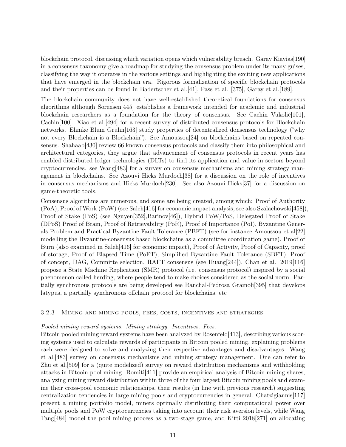blockchain protocol, discussing which variation opens which vulnerability breach. Garay Kiayias[\[190\]](#page-35-4) in a consensus taxonomy give a roadmap for studying the consensus problem under its many guises, classifying the way it operates in the various settings and highlighting the exciting new applications that have emerged in the blockchain era. Rigorous formalization of specific blockchain protocols and their properties can be found in Badertscher et al.[\[41\]](#page-26-4), Pass et al. [\[375\]](#page-47-3), Garay et al.[\[189\]](#page-35-5).

The blockchain community does not have well-established theoretical foundations for consensus algorithms although Sorensen[\[445\]](#page-51-10) establishes a framework intended for academic and industrial blockchain researchers as a foundation for the theory of consensus. See Cachin Vukolić[\[101\]](#page-30-7), Cachin[\[100\]](#page-30-8). Xiao et al. 494] for a recent survey of distributed consensus protocols for Blockchain networks. Ehmke Blum Gruhn[\[163\]](#page-34-3) study properties of decentralized donsensus technology ("why not every Blockchain is a Blockchain"). See Amoussou[\[24\]](#page-25-5) on blockchains based on repeated consensus. Shahaab[\[430\]](#page-50-0) review 66 known consensus protocols and classify them into philosophical and architectural categories, they argue that advancement of consensus protocols in recent years has enabled distributed ledger technologies (DLTs) to find its application and value in sectors beyond cryptocurrencies. see Wang[\[483\]](#page-54-4) for a survey on consensus mechanisms and mining strategy management in blockchains. See Azouvi Hicks Murdoch[\[38\]](#page-26-5) for a discussion on the role of incentives in consensus mechanisms and Hicks Murdoch[\[230\]](#page-38-5). See also Azouvi Hicks[\[37\]](#page-26-6) for a discussion on game-theoretic tools.

Consensus algorithms are numerous, and some are being created, among which: Proof of Authority  $(PoA)$ , Proof of Work (PoW) (see Saleh[\[416\]](#page-49-4) for economic impact analysis, see also Szalachowski[\[458\]](#page-52-8)), Proof of Stake (PoS) (see Nguyen[\[352\]](#page-45-6),Barinov[\[46\]](#page-27-7)), Hybrid PoW/PoS, Delegated Proof of Stake (DPoS) Proof of Brain, Proof of Retrievability (PoR), Proof of Importance (PoI), Byzantine Generals Problem and Practical Byzantine Fault Tolerance (PBFT) (see for instance Amoussou et al[\[22\]](#page-25-6) modelling the Byzantine-consensus based blockchains as a committee coordination game), Proof of Burn (also examined in Saleh[\[416\]](#page-49-4) for economic impact), Proof of Activity, Proof of Capacity, proof of storage, Proof of Elapsed Time (PoET), Simplified Byzantine Fault Tolerance (SBFT), Proof of concept, DAG, Committe selection, RAFT consensus (see Huang[\[244\]](#page-39-6)), Chan et al. 2019[\[116\]](#page-31-5) propose a State Machine Replication (SMR) protocol (i.e. consensus protocol) inspired by a social phenomenon called herding, where people tend to make choices considered as the social norm. Partially synchronous protocols are being developed see Ranchal-Pedrosa Gramoli[\[395\]](#page-48-8) that develops latypus, a partially synchronous offchain protocol for blockchains, etc

## 3.2.3 Mining and mining pools, fees, costs, incentives and strategies

#### Pooled mining reward systems. Mining strategy. Incentives. Fees.

Bitcoin pooled mining reward systems have been analyzed by Rosenfeld[\[413\]](#page-49-5), describing various scoring systems used to calculate rewards of participants in Bitcoin pooled mining, explaining problems each were designed to solve and analyzing their respective advantages and disadvantages. Wang et al.[\[483\]](#page-54-4) survey on consensus mechanisms and mining strategy management. One can refer to Zhu et al.[\[509\]](#page-55-4) for a (quite modelized) survey on reward distribution mechanisms and withholding attacks in Bitcoin pool mining. Romiti[\[411\]](#page-49-6) provide an empirical analysis of Bitcoin mining shares, analyzing mining reward distribution within three of the four largest Bitcoin mining pools and examine their cross-pool economic relationships, their results (in line with previous research) suggesting centralization tendencies in large mining pools and cryptocurrencies in general. Chatzigiannis[\[117\]](#page-31-6) present a mining portfolio model, miners optimally distributing their computational power over multiple pools and PoW cryptocurrencies taking into account their risk aversion levels, while Wang Tang[\[484\]](#page-54-9) model the pool mining process as a two-stage game, and Kitti 2018[\[271\]](#page-40-8) on allocating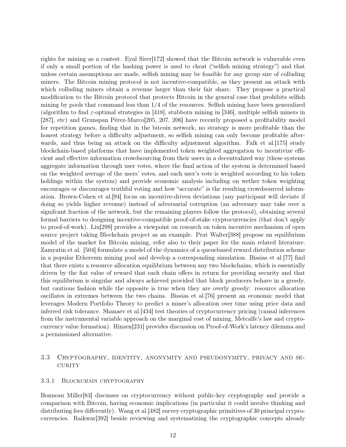rights for mining as a contest. Eyal Sirer[\[172\]](#page-34-4) showed that the Bitcoin network is vulnerable even if only a small portion of the hashing power is used to cheat ("selfish mining strategy") and that unless certain assumptions are made, selfish mining may be feasible for any group size of colluding miners. The Bitcoin mining protocol is not incentive-compatible, as they present an attack with which colluding miners obtain a revenue larger than their fair share. They propose a practical modification to the Bitcoin protocol that protects Bitcoin in the general case that prohibits selfish mining by pools that command less than  $1/4$  of the resources. Selfish mining have been generalized (algorithm to find  $\varepsilon$ -optimal strategies in [\[418\]](#page-49-7), stubborn mining in [\[346\]](#page-45-7), multiple selfish miners in [\[287\]](#page-41-9), etc) and Grunspan Pérez-Marco[\[205,](#page-36-4) [207,](#page-36-5) [206\]](#page-36-6) have recently proposed a profitability model for repetition games, finding that in the bitcoin network, no strategy is more profitable than the honest strategy before a difficulty adjustment, so selfish mining can only become profitable after-wards, and thus being an attack on the difficulty adjustment algorithm. Falk et al. [\[175\]](#page-35-6) study blockchain-based platforms that have implemented token weighted aggregation to incentivize efficient and effective information crowdsourcing from their users in a decentralized way (these systems aggregate information through user votes, where the final action of the system is determined based on the weighted average of the users' votes, and each user's vote is weighted according to his token holdings within the system) and provide economic analysis including on wether token weighting encourages or discourages truthful voting and how "accurate" is the resulting crowdsourced information. Brown-Cohen et al.[\[94\]](#page-30-9) focus on incentive-driven deviations (any participant will deviate if doing so yields higher revenue) instead of adversarial corruption (an adversary may take over a signifcant fraction of the network, but the remaining players follow the protocol), obtaining several formal barriers to designing incentive-compatible proof-of-stake cryptocurrencies (that don't apply to proof-of-work). Liu[\[298\]](#page-42-6) provides a viewpoint on research on token incentive mechanism of open source project taking Blockchain project as an example. Prat Walter[\[388\]](#page-48-9) propose an equilibrium model of the market for Bitcoin mining, refer also to their paper for the main related literature. Zamyatin et al. [\[504\]](#page-55-5) formulate a model of the dynamics of a queuebased reward distribution scheme in a popular Ethereum mining pool and develop a corresponding simulation. Bissias et al.[\[77\]](#page-29-6) find that there exists a resource allocation equilibrium between any two blockchains, which is essentially driven by the fiat value of reward that each chain offers in return for providing security and that this equilibrium is singular and always achieved provided that block producers behave in a greedy, but cautious fashion while the opposite is true when they are overly greedy: resource allocation oscillates in extremes between the two chains. Bissias et al.[\[76\]](#page-28-6) present an economic model that leverages Modern Portfolio Theory to predict a miner's allocation over time using price data and inferred risk tolerance. Shanaev et al.[\[434\]](#page-51-11) test theories of cryptocurrency pricing (causal inferences from the instrumental variable approach on the marginal cost of mining, Metcalfe's law and cryptocurrency value formation). Hinzen[\[231\]](#page-38-6) provides discussion on Proof-of-Work's latency dilemma and a permissioned alternative.

# 3.3 Cryptography, identity, anonymity and pseudonymity, privacy and se-CURITY

#### 3.3.1 Blockchain cryptography

Bonneau Miller[\[83\]](#page-29-7) discusses on cryptocurrency without public-key cryptography and provide a comparison with Bitcoin, having economic implications (in particular it could involve thinking and distributing fees differently). Wang et al.[\[482\]](#page-53-5) survey cryptographic primitives of 30 principal cryprocurrencies. Raikwar[\[392\]](#page-48-10) beside reviewing and systematizing the cryptographic concepts already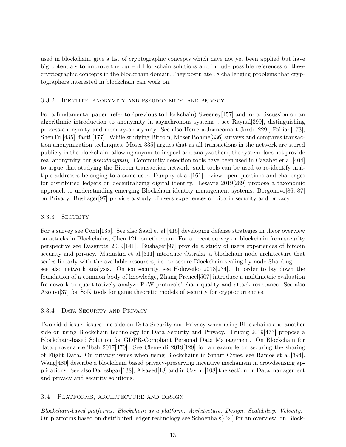used in blockchain, give a list of cryptographic concepts which have not yet been applied but have big potentials to improve the current blockchain solutions and include possible references of these cryptographic concepts in the blockchain domain.They postulate 18 challenging problems that cryptographers interested in blockchain can work on.

## 3.3.2 Identity, anonymity and pseudonimity, and privacy

For a fundamental paper, refer to (previous to blockchain) Sweeney[\[457\]](#page-52-9) and for a discussion on an algorithmic introduction to anonymity in asynchronous systems , see Raynal[\[399\]](#page-48-11), distinguishing process-anonymity and memory-anonymity. See also Herrera-Joancomart Jordi [\[229\]](#page-38-7), Fabian[\[173\]](#page-34-5), ShenTu [\[435\]](#page-51-12), fanti [\[177\]](#page-35-7). While studying Bitcoin, Moser Bohme[\[336\]](#page-44-6) surveys and compares transaction anonymization techniques. Moser[\[335\]](#page-44-7) argues that as all transactions in the network are stored publicly in the blockchain, allowing anyone to inspect and analyze them, the system does not provide real anonymity but *pseudonymity*. Community detection tools have been used in Cazabet et al. [\[404\]](#page-49-8) to argue that studying the Bitcoin transaction network, such tools can be used to re-identify multiple addresses belonging to a same user. Dunphy et al.[\[161\]](#page-34-6) review open questions and challenges for distributed ledgers on decentralizing digital identity. Lesavre 2019[\[289\]](#page-42-7) propose a taxonomic approach to understanding emerging Blockchain identity management systems. Borgonovo[\[86,](#page-29-8) [87\]](#page-29-9) on Privacy. Bushager[\[97\]](#page-30-10) provide a study of users experiences of bitcoin security and privacy.

# 3.3.3 SECURITY

For a survey see Conti[\[135\]](#page-32-2). See also Saad et al.[\[415\]](#page-49-9) developing defense strategies in theor overview on attacks in Blockchains, Chen[\[121\]](#page-31-7) on ethereum. For a recent survey on blockchain from security perspective see Dasgupta 2019[\[141\]](#page-33-4). Bushager[\[97\]](#page-30-10) provide a study of users experiences of bitcoin security and privacy. Manuskin et al.[\[311\]](#page-43-3) introduce Ostraka, a blockchain node architecture that scales linearly with the available resources, i.e. to secure Blockchain scaling by node Sharding. see also network analysis. On ico security, see Holoweiko 2018[\[234\]](#page-38-1). In order to lay down the foundation of a common body of knowledge, Zhang Preneel[\[507\]](#page-55-6) introduce a multimetric evaluation framework to quantitatively analyze PoW protocols' chain quality and attack resistance. See also Azouvi<sup>[\[37\]](#page-26-6)</sup> for SoK tools for game theoretic models of security for cryptocurrencies.

# 3.3.4 DATA SECURITY AND PRIVACY

Two-sided issue: issues one side on Data Security and Privacy when using Blockchains and another side on using Blockchain technology for Data Security and Privacy. Truong 2019[\[473\]](#page-53-6) propose a Blockchain-based Solution for GDPR-Compliant Personal Data Management. On Blockchain for data provenance Tosh 2017[\[470\]](#page-53-7). See Clementi 2019[\[129\]](#page-32-8) for an example on securing the sharing of Flight Data. On privacy issues when using Blockchains in Smart Cities, see Ramos et al.[\[394\]](#page-48-3). Wang[\[480\]](#page-53-8) describe a blockchain based privacy-preserving incentive mechanism in crowdsensing applications. See also Daneshgar[\[138\]](#page-32-9), Alsayed[\[18\]](#page-25-7) and in Casino[\[108\]](#page-30-1) the section on Data management and privacy and security solutions.

# 3.4 Platforms, architecture and design

Blockchain-based platforms. Blockchain as a platform. Architecture. Design. Scalability. Velocity. On platforms based on distributed ledger technology see Schoenhals[\[424\]](#page-50-3) for an overview, on Block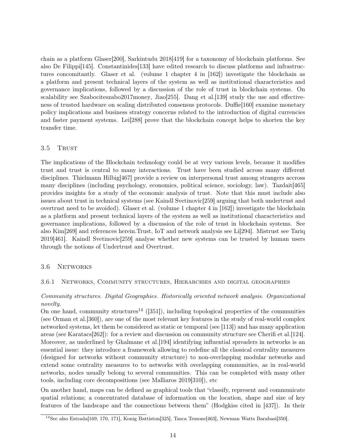chain as a platform Glaser[\[200\]](#page-36-7), Sarkintudu 2018[\[419\]](#page-50-5) for a taxonomy of blockchain platforms. See also De Filippi[\[145\]](#page-33-11). Constantinides[\[133\]](#page-32-10) have edited research to discuss platforms and infrastructures concomitantly. Glaser et al. (volume 1 chapter 4 in [\[162\]](#page-34-0)) investigate the blockchain as a platform and present technical layers of the system as well as institutional characteristics and governance implications, followed by a discussion of the role of trust in blockchain systems. On scalability see Szabociteszabo2017money, Jiao [\[255\]](#page-39-7). Dang et al. [\[139\]](#page-33-12) study the use and effectiveness of trusted hardware on scaling distributed consensus protocols. Duffie[\[160\]](#page-34-7) examine monetary policy implications and business strategy concerns related to the introduction of digital currencies and faster payment systems. Lei[\[288\]](#page-41-10) prove that the blockchain concept helps to shorten the key transfer time.

## 3.5 TRUST

The implications of the Blockchain technology could be at very various levels, because it modifies trust and trust is central to many interactions. Trust have been studied across many different disciplines. Thielmann Hilbig[\[467\]](#page-53-9) provide a review on interpersonal trust among strangers accross many disciplines (including psychology, economics, political science, sociology, law). Tazdait[\[465\]](#page-52-10) provides insights for a study of the economic analysis of trust. Note that this must include also issues about trust in technical systems (see Kaindl Svetinovic[\[259\]](#page-40-9) arguing that both undertrust and overtrust need to be avoided). Glaser et al. (volume 1 chapter 4 in [\[162\]](#page-34-0)) investigate the blockchain as a platform and present technical layers of the system as well as institutional characteristics and governance implications, followed by a discussion of the role of trust in blockchain systems. See also Kim[\[269\]](#page-40-10) and references herein.Trust, IoT and network analysis see Li[\[294\]](#page-42-8). Mistrust see Tariq 2019[\[461\]](#page-52-11). Kaindl Svetinovic[\[259\]](#page-40-9) analyse whether new systems can be trusted by human users through the notions of Undertrust and Overtrust.

# 3.6 Networks

## 3.6.1 Networks, Community structures, Hierarchies and digital geographies

# Community structures. Digital Geographies. Historically oriented network analysis. Organizational novelty.

On one hand, community structures<sup>[14](#page-13-0)</sup> ([\[351\]](#page-45-8)), including topological properties of the communities (see Orman et al.[\[360\]](#page-46-5)), are one of the most relevant key features in the study of real-world complex networked systems, let them be considered as static or temporal (see [\[113\]](#page-31-8)) and has many application areas (see Karatacs[\[262\]](#page-40-11)): for a review and discussion on community structure see Cherifi et al.[\[124\]](#page-32-11). Moreover, as underlined by Ghalmane et al.[\[194\]](#page-36-8) identifying influential spreaders in networks is an essential issue: they introduce a framework allowing to redefine all the classical centrality measures (designed for networks without community structure) to non-overlapping modular networks and extend some centrality measures to to networks with overlapping communities, as in real-world networks, nodes usually belong to several communities. This can be completed with many other tools, including core decompositions (see Malliaros 2019[\[310\]](#page-43-4)), etc

On another hand, maps can be defined as graphical tools that "classify, represent and communicate spatial relations; a concentrated database of information on the location, shape and size of key features of the landscape and the connections between them" (Hodgkiss cited in [\[437\]](#page-51-13)). In their

<span id="page-13-0"></span><sup>14</sup>See also Estrada[\[169,](#page-34-8) [170,](#page-34-9) [171\]](#page-34-10), Konig Battiston[\[325\]](#page-44-8), Tasca Tessone[\[463\]](#page-52-4), Newman Watts Barabasi[\[350\]](#page-45-9).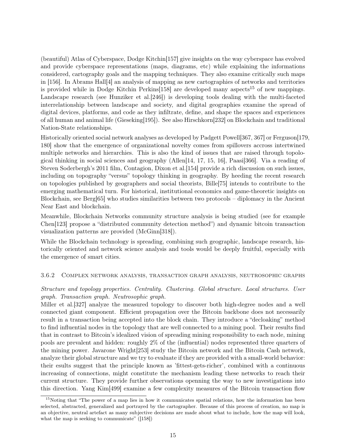(beautiful) Atlas of Cyberspace, Dodge Kitchin[\[157\]](#page-34-11) give insights on the way cyberspace has evolved and provide cyberspace representations (maps, diagrams, etc) while explaining the informations considered, cartography goals and the mapping techniques. They also examine critically such maps in [\[156\]](#page-34-12). In Abrams Hall[\[4\]](#page-24-4) an analysis of mapping as new cartographies of networks and territories is provided while in Dodge Kitchin Perkins $[158]$  are developed many aspects<sup>[15](#page-14-0)</sup> of new mappings. Landscape research (see Hunziker et al.[\[246\]](#page-39-8)) is developing tools dealing with the multi-faceted interrelationship between landscape and society, and digital geographies examine the spread of digital devices, platforms, and code as they infiltrate, define, and shape the spaces and experiences of all human and animal life (Gieseking[\[195\]](#page-36-9)). See also Hirschkorn[\[232\]](#page-38-8) on Blockchain and traditional Nation-State relationships.

Historically oriented social network analyses as developed by Padgett Powell[\[367, 367\]](#page-46-6) or Ferguson[\[179,](#page-35-8) [180\]](#page-35-9) show that the emergence of organizational novelty comes from spillovers accross intertwined multiple networks and hierarchies. This is also the kind of issues that are raised through topological thinking in social sciences and geography (Allen[\[14,](#page-25-8) [17,](#page-25-9) [15,](#page-25-10) [16\]](#page-25-11), Paasi[\[366\]](#page-46-7). Via a reading of Steven Soderbergh's 2011 film, Contagion, Dixon et al.[\[154\]](#page-33-13) provide a rich discussion on such issues, including on topography "versus" topology thinking in geography. By heeding the recent research on topologies published by geographers and social theorists, Bille[\[75\]](#page-28-7) intends to contribute to the emerging mathematical turn. For historical, institutional economics and game-theoretic insights on Blockchain, see Berg[\[65\]](#page-28-8) who studies similarities between two protocols – diplomacy in the Ancient Near East and blockchain.

Meanwhile, Blockchain Networks community structure analysis is being studied (see for example Chen[\[123\]](#page-31-9) propose a "distributed community detection method") and dynamic bitcoin transaction visualization patterns are provided (McGinn[\[318\]](#page-43-5)).

While the Blockchain technology is spreading, combining such geographic, landscape research, historically oriented and network science analysis and tools would be deeply fruitful, especially with the emergence of smart cities.

## 3.6.2 Complex network analysis, transaction graph analysis, neutrosophic graphs

Structure and topology properties. Centrality. Clustering. Global structure. Local structures. User graph. Transaction graph. Neutrosophic graph.

Miller et al.[\[327\]](#page-44-9) analyze the measured topology to discover both high-degree nodes and a well connected giant component. Efficient propagation over the Bitcoin backbone does not necessarily result in a transaction being accepted into the block chain. They introduce a "decloaking" method to find influential nodes in the topology that are well connected to a mining pool. Their results find that in contrast to Bitcoin's idealized vision of spreading mining responsibility to each node, mining pools are prevalent and hidden: roughly 2% of the (influential) nodes represented three quarters of the mining power. Javarone Wright[\[253\]](#page-39-9) study the Bitcoin network and the Bitcoin Cash network, analyze their global structure and we try to evaluate if they are provided with a small-world behavior: their esults suggest that the principle known as 'fittest-gets-richer', combined with a continuous increasing of connections, might constitute the mechanism leading these networks to reach their current structure. They provide further observations openning the way to new investigations into this direction. Yang Kim[\[499\]](#page-54-10) examine a few complexity measures of the Bitcoin transaction flow

<span id="page-14-0"></span><sup>&</sup>lt;sup>15</sup>Noting that "The power of a map lies in how it communicates spatial relations, how the information has been selected, abstracted, generalized and portrayed by the cartographer. Because of this process of creation, no map is an objective, neutral artefact as many subjective decisions are made about what to include, how the map will look, what the map is seeking to communicate" ([\[158\]](#page-34-13))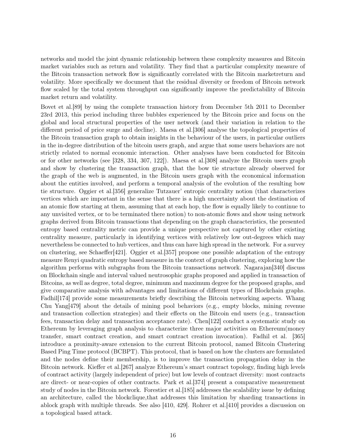networks and model the joint dynamic relationship between these complexity measures and Bitcoin market variables such as return and volatility. They find that a particular complexity measure of the Bitcoin transaction network flow is significantly correlated with the Bitcoin marketreturn and volatility. More specifically we document that the residual diversity or freedom of Bitcoin network flow scaled by the total system throughput can significantly improve the predictability of Bitcoin market return and volatility.

Bovet et al.[\[89\]](#page-29-10) by using the complete transaction history from December 5th 2011 to December 23rd 2013, this period including three bubbles experienced by the Bitcoin price and focus on the global and local structural properties of the user network (and their variation in relation to the different period of price surge and decline). Maesa et al.[\[306\]](#page-43-6) analyse the topological properties of the Bitcoin transaction graph to obtain insights in the behaviour of the users, in particular outliers in the in-degree distribution of the bitcoin users graph, and argue that some users behaviors are not strictly related to normal economic interaction. Other analyses have been conducted for Bitcoin or for other networks (see [\[328,](#page-44-10) [334,](#page-44-11) [307,](#page-43-7) [122\]](#page-31-10)). Maesa et al.[\[308\]](#page-43-8) analyze the Bitcoin users graph and show by clustering the transaction graph, that the bow tie structure already observed for the graph of the web is augmented, in the Bitcoin users graph with the economical information about the entities involved, and perform a temporal analysis of the evolution of the resulting bow tie structure. Oggier et al.[\[356\]](#page-46-8) generalize Tutzauer' entropic centrality notion (that characterizes vertices which are important in the sense that there is a high uncertainty about the destination of an atomic flow starting at them, assuming that at each hop, the flow is equally likely to continue to any unvisited vertex, or to be terminated there notion) to non-atomic flows and show using network graphs derived from Bitcoin transactions that depending on the graph characteristics, the presented entropy based centrality metric can provide a unique perspective not captured by other existing centrality measure, particularly in identifying vertices with relatively low out-degrees which may nevertheless be connected to hub vertices, and thus can have high spread in the network. For a survey on clustering, see Schaeffer[\[421\]](#page-50-6). Oggier et al.[\[357\]](#page-46-9) propose one possible adaptation of the entropy measure Renyi quadratic entropy based measure in the context of graph clustering, exploring how the algorithm performs with subgraphs from the Bitcoin transactions network. Nagarajan[\[340\]](#page-45-10) discuss on Blockchain single and interval valued neutrosophic graphs proposed and applied in transaction of Bitcoins, as well as degree, total degree, minimum and maximum degree for the proposed graphs, and give comparative analysis with advantages and limitations of different types of Blockchain graphs. Fadhil<sup>[\[174\]](#page-35-10)</sup> provide some measurements briefly describing the Bitcoin networking aspects. Whang Chu Yang[\[479\]](#page-53-10) about the details of mining pool behaviors (e.g., empty blocks, mining revenue and transaction collection strategies) and their effects on the Bitcoin end users (e.g., transaction fees, transaction delay and transaction acceptance rate). Chen[\[122\]](#page-31-10) conduct a systematic study on Ethereum by leveraging graph analysis to characterize three major activities on Ethereum(money transfer, smart contract creation, and smart contract creation invocation). Fadhil et al. [\[365\]](#page-46-10) introduce a proximity-aware extension to the current Bitcoin protocol, named Bitcoin Clustering Based Ping Time protocol (BCBPT). This protocol, that is based on how the clusters are formulated and the nodes define their membership, is to improve the transaction propagation delay in the Bitcoin network. Kieffer et al.[\[267\]](#page-40-12) analyze Ethereum's smart contract topology, finding high levels of contract activity (largely independent of price) but low levels of contract diversity: most contracts are direct- or near-copies of other contracts. Park et al.[\[374\]](#page-47-4) present a comparative measurement study of nodes in the Bitcoin network. Forestier et al.[\[185\]](#page-35-11) addresses the scalability issue by defining an architecture, called the blockclique,that addresses this limitation by sharding transactions in ablock graph with multiple threads. See also [\[410,](#page-49-10) [429\]](#page-50-7). Rohrer et al.[\[410\]](#page-49-10) provides a discussion on a topological based attack.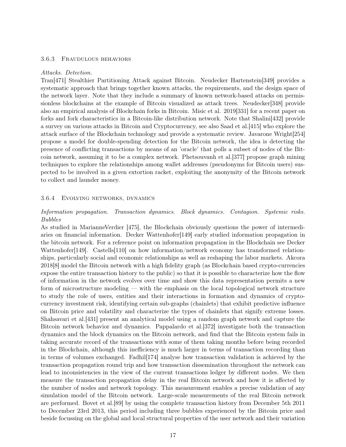#### 3.6.3 Fraudulous behaviors

#### Attacks. Detection.

Tran[\[471\]](#page-53-11) Stealthier Partitioning Attack against Bitcoin. Neudecker Hartenstein[\[349\]](#page-45-11) provides a systematic approach that brings together known attacks, the requirements, and the design space of the network layer. Note that they include a summary of known network-based attacks on permissionless blockchains at the example of Bitcoin visualized as attack trees. Neudecker[\[348\]](#page-45-12) provide also an empirical analysis of Blockchain forks in Bitcoin. Misic et al. 2019[\[331\]](#page-44-12) for a recent paper on forks and fork characteristics in a Bitcoin-like distribution network. Note that Shalini[\[432\]](#page-50-8) provide a survey on various attacks in Bitcoin and Cryptocurrency, see also Saad et al.[\[415\]](#page-49-9) who explore the attack surface of the Blockchain technology and provide a systematic review. Javarone Wright[\[254\]](#page-39-10) propose a model for double-spending detection for the Bitcoin network, the idea is detecting the presence of conflicting transactions by means of an 'oracle' that polls a subset of nodes of the Bitcoin network, assuming it to be a complex network. Phetsouvanh et al.[\[377\]](#page-47-5) propose graph mining techniques to explore the relationships among wallet addresses (pseudonyms for Bitcoin users) suspected to be involved in a given extortion racket, exploiting the anonymity of the Bitcoin network to collect and launder money.

#### 3.6.4 Evolving networks, dynamics

## Information propagation. Transaction dynamics. Block dynamics. Contagion. Systemic risks. Bubbles

As studied in MarianneVerdier [\[475\]](#page-53-12), the Blockchain obviously questions the power of intermediaries on financial information. Decker Wattenhofer[\[149\]](#page-33-14) early studied information propagation in the bitcoin network. For a reference point on information propagation in the Blockchain see Decker Wattenhofer[\[149\]](#page-33-14). Castells[\[110\]](#page-31-11) on how information/network economy has transformed relationships, particularly social and economic relationships as well as reshaping the labor markets. Akcora 2018[\[8\]](#page-24-5) model the Bitcoin network with a high fidelity graph (as Blockchain based crypto-currencies expose the entire transaction history to the public) so that it is possible to characterize how the flow of information in the network evolves over time and show this data representation permits a new form of microstructure modeling — with the emphasis on the local topological network structure to study the role of users, entities and their interactions in formation and dynamics of cryptocurrency investment risk, identifying certain sub-graphs (chainlets) that exhibit predictive influence on Bitcoin price and volatility and characterize the types of chainlets that signify extreme losses. Shahsavari et al.[\[431\]](#page-50-9) present an analytical model using a random graph network and capture the Bitcoin network behavior and dynamics. Pappalardo et al.[\[372\]](#page-47-6) investigate both the transaction dynamics and the block dynamics on the Bitcoin network, and find that the Bitcoin system fails in taking accurate record of the transactions with some of them taking months before being recorded in the Blockchain, although this inefficiency is much larger in terms of transaction recording than in terms of volumes exchanged. Fadhil[\[174\]](#page-35-10) analyse how transaction validation is achieved by the transaction propagation round trip and how transaction dissemination throughout the network can lead to inconsistencies in the view of the current transactions ledger by different nodes. We then measure the transaction propagation delay in the real Bitcoin network and how it is affected by the number of nodes and network topology. This measurement enables a precise validation of any simulation model of the Bitcoin network. Large-scale measurements of the real Bitcoin network are performed. Bovet et al.[\[89\]](#page-29-10) by using the complete transaction history from December 5th 2011 to December 23rd 2013, this period including three bubbles experienced by the Bitcoin price and beside focussing on the global and local structural properties of the user network and their variation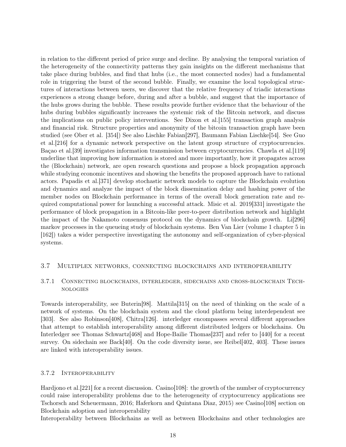in relation to the different period of price surge and decline. By analysing the temporal variation of the heterogeneity of the connectivity patterns they gain insights on the different mechanisms that take place during bubbles, and find that hubs (i.e., the most connected nodes) had a fundamental role in triggering the burst of the second bubble. Finally, we examine the local topological structures of interactions between users, we discover that the relative frequency of triadic interactions experiences a strong change before, during and after a bubble, and suggest that the importance of the hubs grows during the bubble. These results provide further evidence that the behaviour of the hubs during bubbles significantly increases the systemic risk of the Bitcoin network, and discuss the implications on public policy interventions. See Dixon et al.[\[155\]](#page-33-15) transaction graph analysis and financial risk. Structure properties and anonymity of the bitcoin transaction graph have been studied (see Ober et al. [\[354\]](#page-46-11)) See also Lischke Fabian[\[297\]](#page-42-9), Baumann Fabian Lischke[\[54\]](#page-27-8). See Guo et al.[\[216\]](#page-37-7) for a dynamic network perspective on the latent group structure of cryptocurrencies. Bação et al. [\[39\]](#page-26-7) investigates information transmission between cryptocurrencies. Chawla et al. [\[119\]](#page-31-12) underline that improving how information is stored and more importantly, how it propagates across the (Blockchain) network, are open research questions and propose a block propagation approach while studying economic incentives and showing the benefits the proposed approach have to rational actors. Papadis et al.[\[371\]](#page-47-7) develop stochastic network models to capture the Blockchain evolution and dynamics and analyze the impact of the block dissemination delay and hashing power of the member nodes on Blockchain performance in terms of the overall block generation rate and required computational power for launching a successful attack. Misic et al. 2019[\[331\]](#page-44-12) investigate the performance of block propagation in a Bitcoin-like peer-to-peer distribution network and highlight the impact of the Nakamoto consensus protocol on the dynamics of blockchain growth. Li[\[296\]](#page-42-10) markov processes in the queueing study of blockchain systems. Ben Van Lier (volume 1 chapter 5 in [\[162\]](#page-34-0)) takes a wider perspective investigating the autonomy and self-organization of cyber-physical systems.

# 3.7 Multiplex networks, connecting blockchains and interoperability

# 3.7.1 Connecting blockchains, interledger, sidechains and cross-blockchain Technologies

Towards interoperability, see Buterin[\[98\]](#page-30-11). Mattila[\[315\]](#page-43-9) on the need of thinking on the scale of a network of systems. On the blockchain system and the cloud platform being interdependent see [\[303\]](#page-42-2). See also Robinson[\[408\]](#page-49-11), Chitra[\[126\]](#page-32-12). interledger encompasses several different approaches that attempt to establish interoperability among different distributed ledgers or blockchains. On Interledger see Thomas Schwartz[\[468\]](#page-53-13) and Hope-Bailie Thomas[\[237\]](#page-38-9) and refer to [\[440\]](#page-51-8) for a recent survey. On sidechain see Back[\[40\]](#page-26-8). On the code diversity issue, see Reibel[\[402,](#page-48-12) [403\]](#page-49-12). These issues are linked with interoperability issues.

## 3.7.2 Interoperability

Hardjono et al. [\[221\]](#page-37-8) for a recent discussion. Casino [\[108\]](#page-30-1): the growth of the number of cryptocurrency could raise interoperability problems due to the heterogeneity of cryptocurrency applications see Tschorsch and Scheuermann, 2016; Haferkorn and Quintana Diaz, 2015) see Casino[\[108\]](#page-30-1) section on Blockchain adoption and interoperability

Interoperability between Blockchains as well as between Blockchains and other technologies are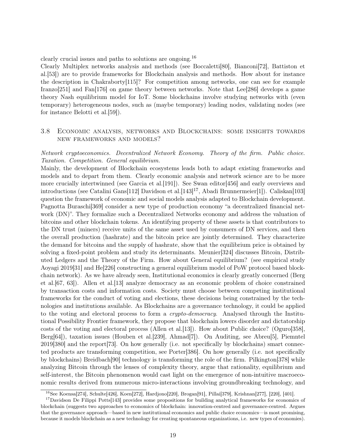clearly crucial issues and paths to solutions are ongoing.[16](#page-18-0)

Clearly Multiplex networks analysis and methods (see Boccaletti[\[80\]](#page-29-11), Bianconi[\[72\]](#page-28-9), Battiston et al.[\[53\]](#page-27-9)) are to provide frameworks for Blockchain analysis and methods. How about for instance the description in Chakraborty[\[115\]](#page-31-13)? For competition among networks, one can see for example Iranzo[\[251\]](#page-39-11) and Fan[\[176\]](#page-35-12) on game theory between networks. Note that Lee[\[286\]](#page-41-11) develops a game theory Nash equilibrium model for IoT. Some blockchains involve studying networks with (even temporary) heterogeneous nodes, such as (maybe temporary) leading nodes, validating nodes (see for instance Belotti et al.[\[59\]](#page-27-3)).

# 3.8 Economic analysis, networks and Blockchains: some insights towards new frameworks and models?

## Network cryptoeconomics. Decentralized Network Economy. Theory of the firm. Public choice. Taxation. Competition. General equilibrium.

Mainly, the development of Blockchain ecosystems leads both to adapt existing frameworks and models and to depart from them. Clearly economic analysis and network science are to be more more crucially intertwinned (see Garcia et al.[\[191\]](#page-35-13)). See Swan editor[\[456\]](#page-52-3) and early overviews and introductions (see Catalini Gans[\[112\]](#page-31-2) Davidson et al.[\[143\]](#page-33-5)<sup>[17](#page-18-1)</sup>, Abadi Brunnermeier[\[1\]](#page-24-1)). Caliskan[\[103\]](#page-30-12) question the framework of economic and social models analysis adapted to Blockchain development. Pagnotta Buraschi[\[369\]](#page-46-12) consider a new type of production economy "a decentralized financial network (DN)". They formalize such a Decentralized Networks economy and address the valuation of bitcoins and other blockchain tokens. An identifying property of these assets is that contributors to the DN trust (miners) receive units of the same asset used by consumers of DN services, and then the overall production (hashrate) and the bitcoin price are jointly determined. They characterize the demand for bitcoins and the supply of hashrate, show that the equilibrium price is obtained by solving a fixed-point problem and study its determinants. Meunier[\[324\]](#page-44-13) discusses Bitcoin, Distributed Ledgers and the Theory of the Firm. How about General equilibrium? (see empirical study Aoyagi 2019[\[31\]](#page-26-9) and He[\[226\]](#page-38-10) constructing a general equilibrium model of PoW protocol based blockchain network). As we have already seen, Institutional economics is clearly greatly concerned (Berg et al.[\[67,](#page-28-10) [63\]](#page-28-2)). Allen et al.[\[13\]](#page-25-12) analyze democracy as an economic problem of choice constrained by transaction costs and information costs. Society must choose between competing institutional frameworks for the conduct of voting and elections, these decisions being constrained by the technologies and institutions available. As Blockchains are a governance technology, it could be applied to the voting and electoral process to form a *crypto-democracy*. Analysed through the Institutional Possibility Frontier framework, they propose that blockchain lowers disorder and dictatorship costs of the voting and electoral process (Allen et al.[\[13\]](#page-25-12)). How about Public choice? (Oguro[\[358\]](#page-46-13), Berg[\[64\]](#page-28-11)), taxation issues (Houben et al.[\[239\]](#page-38-11), Ahmad[\[7\]](#page-24-6)). On Auditing, see Abreu[\[5\]](#page-24-7), Piemntel 2019[\[380\]](#page-47-8) and the report[\[73\]](#page-28-12). On how generally (i.e. not specifically by blockchains) smart connected products are transforming competition, see Porter[\[386\]](#page-48-13). On how generally (i.e. not specifically by blockchains) Breidbach[\[90\]](#page-29-12) technology is transforming the role of the firm. Pilkington[\[378\]](#page-47-9) while analyzing Bitcoin through the lenses of complexity theory, argue that rationality, equilibrium and self-interest, the Bitcoin phenomenon would cast light on the emergence of non-intuitive macroeconomic results derived from numerous micro-interactions involving groundbreaking technology, and

<span id="page-18-1"></span><span id="page-18-0"></span><sup>&</sup>lt;sup>16</sup>See Koensa[\[274\]](#page-41-12), Schulte[\[426\]](#page-50-10), Koen[\[272\]](#page-40-13), Hardjono[\[220\]](#page-37-9), Brogan[\[91\]](#page-30-13), Pillai[\[379\]](#page-47-10), Krishnan[\[277\]](#page-41-4), [220], [\[401\]](#page-48-14).

<sup>&</sup>lt;sup>17</sup>Davidson De Filippi Potts[\[143\]](#page-33-5) provides some propositions for building analytical frameworks for economics of blockchain (suggests two approaches to economics of blockchain: innovation-centred and governance-centred. Argues that the governance approach—based in new institutional economics and public choice economics—is most promising, because it models blockchain as a new technology for creating spontaneous organizations, i.e. new types of economies).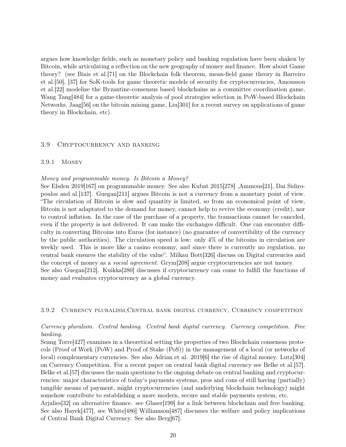argues how knowledge fields, such as monetary policy and banking regulation have been shaken by Bitcoin, while articulating a reflection on the new geography of money and finance. How about Game theory? (see Biais et al.[\[71\]](#page-28-13) on the Blockchain folk theorem, mean-field game theory in Barreiro et al.[\[50\]](#page-27-10), [\[37\]](#page-26-6) for SoK-tools for game theoretic models of security for cryptocurrencies, Amoussou et al.[\[22\]](#page-25-6) modelize the Byzantine-consensus based blockchains as a committee coordination game, Wang Tang[\[484\]](#page-54-9) for a game-theoretic analysis of pool strategies selection in PoW-based Blockchain Networks, Jaag[\[56\]](#page-27-11) on the bitcoin mining game, Liu[\[301\]](#page-42-4) for a recent survey on applications of game theory in Blockchain, etc).

#### 3.9 Cryptocurrency and banking

#### 3.9.1 Money

#### Money and programmable money. Is Bitcoin a Money?

See Elsden 2019[\[167\]](#page-34-14) on programmable money. See also Kubat 2015[\[278\]](#page-41-13) ,Ammous[\[21\]](#page-25-13), Dai Sidiropoulos and al.[\[137\]](#page-32-13). Guegan[\[211\]](#page-37-10) argues Bitcoin is not a currency from a monetary point of view. "The circulation of Bitcoin is slow and quantity is limited, so from an economical point of view, Bitcoin is not adaptated to the demand for money, cannot help to revive the economy (credit), nor to control inflation. In the case of the purchase of a property, the transactions cannot be canceled, even if the property is not delivered. It can make the exchanges difficult. One can encounter difficulty in converting Bitcoins into Euros (for instance) (no guarantee of convertibility of the currency by the public authorities). The circulation speed is low: only 4% of the bitcoins in circulation are weekly used. This is more like a casino economy, and since there is currently no regulation, no central bank ensures the stability of the value". Milkau Bott[\[326\]](#page-44-14) discuss on Digital currencies and the concept of money as a social agreement. Grym[\[208\]](#page-36-10) argue cryptocurrencies are not money. See also Guegan[\[212\]](#page-37-11). Kuikka[\[280\]](#page-41-14) discusses if cryptocurrency can come to fulfill the functions of money and evaluates cryptocurrency as a global currency.

#### 3.9.2 Currency pluralism,Central bank digital currency, Currency competition

# Currency pluralism. Central banking. Central bank digital currency. Currency competition. Free banking.

Seang Torre[\[427\]](#page-50-11) examines in a theoretical setting the properties of two Blockchain consensus protocols (Proof of Work (PoW) and Proof of Stake (PoS)) in the management of a local (or networks of local) complementary currencies. See also Adrian et al. 2019[\[6\]](#page-24-8) the rise of digital money. Lutz[\[304\]](#page-42-11) on Currency Competition. For a recent paper on central bank digital currency see Belke et al.[\[57\]](#page-27-12). Belke et al.[\[57\]](#page-27-12) discusses the main questions to the ongoing debate on central banking and cryptocurrencies: major characteristics of today's payments systems, pros and cons of still having (partially) tangible means of payment, might cryptocurrencies (and underlying blockchain technology) might somehow contribute to establishing a more modern, secure and stable payments system, etc.

Arjalies[\[32\]](#page-26-10) on alternative finance. see Glaser[\[199\]](#page-36-11) for a link between blockchain and free banking. See also Hayek[\[477\]](#page-53-14), see White[\[486\]](#page-54-11) Williamson[\[487\]](#page-54-12) discusses the welfare and policy implications of Central Bank Digital Currency. See also Berg[\[67\]](#page-28-10).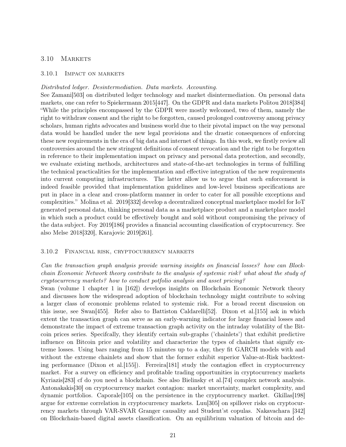## 3.10 MARKETS

#### 3.10.1 Impact on markets

#### Distributed ledger. Desintermediation. Data markets. Accounting.

See Zamani[\[503\]](#page-55-7) on distributed ledger technology and market disintermediation. On personal data markets, one can refer to Spiekermann 2015[\[447\]](#page-51-14). On the GDPR and data markets Politou 2018[\[384\]](#page-47-11) "While the principles encompassed by the GDPR were mostly welcomed, two of them, namely the right to withdraw consent and the right to be forgotten, caused prolonged controversy among privacy scholars, human rights advocates and business world due to their pivotal impact on the way personal data would be handled under the new legal provisions and the drastic consequences of enforcing these new requirements in the era of big data and internet of things. In this work, we firstly review all controversies around the new stringent definitions of consent revocation and the right to be forgotten in reference to their implementation impact on privacy and personal data protection, and secondly, we evaluate existing methods, architectures and state-of-the-art technologies in terms of fulfilling the technical practicalities for the implementation and effective integration of the new requirements into current computing infrastructures. The latter allow us to argue that such enforcement is indeed feasible provided that implementation guidelines and low-level business specifications are put in place in a clear and cross-platform manner in order to cater for all possible exceptions and complexities." Molina et al. 2019[\[332\]](#page-44-15) develop a decentralized conceptual marketplace model for IoT generated personal data, thinking personal data as a marketplace product and a marketplace model in which such a product could be effectively bought and sold without compromising the privacy of the data subject. Foy 2019[\[186\]](#page-35-14) provides a financial accounting classification of cryptocurrency. See also Melse 2018[\[320\]](#page-43-10), Karajovic 2019[\[261\]](#page-40-14).

#### 3.10.2 Financial risk, cryptocurrency markets

Can the transaction graph analysis provide warning insights on financial losses? how can Blockchain Economic Network theory contribute to the analysis of systemic risk? what about the study of cryptocurrency markets? how to conduct potfolio analysis and asset pricing?

Swan (volume 1 chapter 1 in [\[162\]](#page-34-0)) develops insights on Blockchain Economic Network theory and discusses how the widespread adoption of blockchain technology might contribute to solving a larger class of economic problems related to systemic risk. For a broad recent discussion on this issue, see Swan[\[455\]](#page-52-12). Refer also to Battiston Caldarelli[\[52\]](#page-27-13). Dixon et al.[\[155\]](#page-33-15) ask in which extent the transaction graph can serve as an early-warning indicator for large financial losses and demonstrate the impact of extreme transaction graph activity on the intraday volatility of the Bitcoin prices series. Specifcally, they identify certain sub-graphs ('chainlets') that exhibit predictive influence on Bitcoin price and volatility and characterize the types of chainlets that signify extreme losses. Using bars ranging from 15 minutes up to a day, they fit GARCH models with and without the extreme chainlets and show that the former exhibit superior Value-at-Risk backtest-ing performance (Dixon et al. [\[155\]](#page-33-15)). Ferreira [\[181\]](#page-35-15) study the contagion effect in cryptocurrency market. For a survey on efficiency and profitable trading opportunities in cryptocurrency markets Kyriazis[\[283\]](#page-41-15) cf do you need a blockchain. See also Bielinsky et al.[\[74\]](#page-28-14) complex network analysis. Antonakakis[\[30\]](#page-26-11) on cryptocurrency market contagion: market uncertainty, market complexity, and dynamic portfolios. Caporale[\[105\]](#page-30-14) on the persistence in the cryptocurrency market. Gkillas[\[198\]](#page-36-12) argue for extreme correlation in cryptocurrency markets. Luu[\[305\]](#page-42-12) on spillover risks on cryptocurrency markets through VAR-SVAR Granger causality and Student'st copulas. Nakavachara [\[342\]](#page-45-13) on Blockchain-based digital assets classification. On an equilibrium valuation of bitcoin and de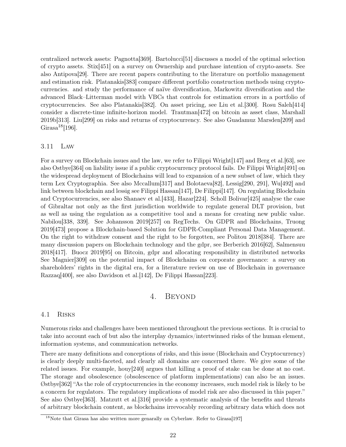centralized network assets: Pagnotta[\[369\]](#page-46-12). Bartolucci[\[51\]](#page-27-14) discusses a model of the optimal selection of crypto assets. Stix[\[451\]](#page-52-13) on a survey on Ownership and purchase intention of crypto-assets. See also Antipova[\[29\]](#page-26-12). There are recent papers contributing to the literature on portfolio management and estimation risk. Platanakis[\[383\]](#page-47-12) compare different portfolio construction methods using cryptocurrencies. and study the performance of naïve diversification, Markowitz diversification and the advanced Black–Litterman model with VBCs that controls for estimation errors in a portfolio of cryptocurrencies. See also Platanakis[\[382\]](#page-47-13). On asset pricing, see Liu et al.[\[300\]](#page-42-13). Rosu Saleh[\[414\]](#page-49-13) consider a discrete-time infinite-horizon model. Trautman[\[472\]](#page-53-15) on bitcoin as asset class, Marshall 2019b[\[313\]](#page-43-11). Liu[\[299\]](#page-42-14) on risks and returns of cryptocurrency. See also Guadamuz Marsden[\[209\]](#page-37-12) and Girasa<sup>[18](#page-21-0)</sup>[\[196\]](#page-36-13).

#### 3.11 Law

For a survey on Blockchain issues and the law, we refer to Filippi Wright[\[147\]](#page-33-3) and Berg et al.[\[63\]](#page-28-2), see also Ostbye[\[364\]](#page-46-1) on liability issue if a public cryptocurrency protocol fails. De Filippi Wright[\[491\]](#page-54-5) on the widespread deployment of Blockchains will lead to expansion of a new subset of law, which they term Lex Cryptographia. See also Mccallum[\[317\]](#page-43-12) and Bolotaeva[\[82\]](#page-29-2), Lessig[\[290,](#page-42-0) [291\]](#page-42-1), Wu[\[492\]](#page-54-1) and link between blockchain and lessig see Filippi Hassan[\[147\]](#page-33-3), De Filippi[\[147\]](#page-33-3). On regulating Blockchain and Cryptocurrencies, see also Shanaev et al.[\[433\]](#page-50-12), Hazar[\[224\]](#page-37-13). Scholl Bolivar[\[425\]](#page-50-13) analyse the case of Gibraltar not only as the first jurisdiction worldwide to regulate general DLT provision, but as well as using the regulation as a competitive tool and a means for creating new public value. Nabilou[\[338,](#page-45-14) [339\]](#page-45-15). See Johansson 2019[\[257\]](#page-40-4) on RegTechs. On GDPR and Blockchains, Truong 2019[\[473\]](#page-53-6) propose a Blockchain-based Solution for GDPR-Compliant Personal Data Management. On the right to withdraw consent and the right to be forgotten, see Politou 2018[\[384\]](#page-47-11). There are many discussion papers on Blockchain technology and the gdpr, see Berberich 2016[\[62\]](#page-28-15), Salmensuu 2018[\[417\]](#page-49-14). Buocz 2019[\[95\]](#page-30-15) on Bitcoin, gdpr and allocating responsibility in distributed networks See Magnier[\[309\]](#page-43-13) on the potential impact of Blockchains on corporate governance: a survey on shareholders' rights in the digital era, for a literature review on use of Blockchain in governance Razzaq[\[400\]](#page-48-0), see also Davidson et al.[\[142\]](#page-33-16), De Filippi Hassan[\[223\]](#page-37-14).

# 4. BEYOND

#### 4.1 Risks

Numerous risks and challenges have been mentioned throughout the previous sections. It is crucial to take into account each of but also the interplay dynamics/intertwinned risks of the human element, information systems, and communication networks.

There are many definitions and conceptions of risks, and this issue (Blockchain and Cryptocurrency) is clearly deeply multi-faceted, and clearly all domains are concerned there. We give some of the related issues. For example, houy[\[240\]](#page-38-12) argues that killing a proof of stake can be done at no cost. The storage and obsolescence (obsolescence of platform implementations) can also be an issues. Østbye[\[362\]](#page-46-14) "As the role of cryptocurrencies in the economy increases, such model risk is likely to be a concern for regulators. The regulatory implications of model risk are also discussed in this paper." See also Østbye[\[363\]](#page-46-15). Matzutt et al.[\[316\]](#page-43-14) provide a systematic analysis of the benefits and threats of arbitrary blockchain content, as blockchains irrevocably recording arbitrary data which does not

<span id="page-21-0"></span><sup>&</sup>lt;sup>18</sup>Note that Girasa has also written more genarally on Cyberlaw. Refer to Girasa<sup>[\[197\]](#page-36-14)</sup>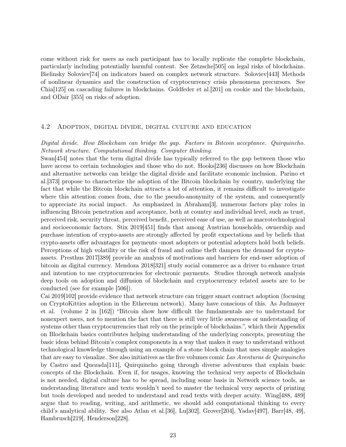come without risk for users as each participant has to locally replicate the complete blockchain, particularly including potentially harmful content. See Zetzsche[\[505\]](#page-55-8) on legal risks of blockchains. Bielinsky Soloviev[\[74\]](#page-28-14) on indicators based on complex network structure. Soloviev[\[443\]](#page-51-15) Methods of nonlinear dynamics and the construction of cryptocurrency crisis phenomena precursors. See Chia[\[125\]](#page-32-14) on cascading failures in blockchains. Goldfeder et al.[\[201\]](#page-36-15) on cookie and the blockchain, and ODair [\[355\]](#page-46-16) on risks of adoption.

## 4.2 Adoption, digital divide, digital culture and education

## Digital divide. How Blockchain can bridge the gap. Factors in Bitcoin acceptance. Quirquincho. Network structure. Computational thinking. Computer thinking.

Swan[\[454\]](#page-52-0) notes that the term digital divide has typically referred to the gap between those who have access to certain technologies and those who do not. Hooks[\[236\]](#page-38-13) discusses on how Blockchain and alternative networks can bridge the digital divide and facilitate economic inclusion. Parino et al.[\[373\]](#page-47-14) propose to characterize the adoption of the Bitcoin blockchain by country, underlying the fact that while the Bitcoin blockchain attracts a lot of attention, it remains difficult to investigate where this attention comes from, due to the pseudo-anonymity of the system, and consequently to appreciate its social impact. As emphasized in Abraham[\[3\]](#page-24-9), numerous factors play roles in influencing Bitcoin penetration and acceptance, both at country and individual level, such as trust, perceived risk, security threat, perceived benefit, perceived ease of use, as well as macrotechnological and socioeconomic factors. Stix 2019[\[451\]](#page-52-13) finds that among Austrian households, ownership and purchase intention of crypto-assets are strongly affected by profit expectations and by beliefs that crypto-assets offer advantages for payments -most adopters or potential adopters hold both beliefs. Perceptions of high volatility or the risk of fraud and online theft dampen the demand for cryptoassets. Presthus 2017[\[389\]](#page-48-15) provide an analysis of motivations and barriers for end-user adoption of bitcoin as digital currency. Mendoza 2018[\[321\]](#page-43-15) study social commerce as a driver to enhance trust and intention to use cryptocurrencies for electronic payments. Studies through network analysis deep tools on adoption and diffusion of blockchain and cryptocurrency related assets are to be conducted (see for example [\[506\]](#page-55-9)).

Cai 2019[\[102\]](#page-30-16) provide evidence that network structure can trigger smart contract adoption (focusing on CryptoKitties adoption in the Ethereum network). Many have conscious of this. As Judmayer et al. (volume 2 in [\[162\]](#page-34-0)) "Bitcoin show how difficult the fundamentals are to understand for nonexpert users, not to mention the fact that there is still very little awareness or understanding of systems other than cryptocurrencies that rely on the principle of blockchains.", which their Appendix on Blockchain basics contributes helping understanding of the underlying concepts, presenting the basic ideas behind Bitcoin's complex components in a way that makes it easy to understand without technological knowledge through using an example of a stone block chain that uses simple analogies that are easy to visualize. See also initiatives as the five volumes comic Las Aventuras de Quirquincho by Castro and Quezada[\[111\]](#page-31-14), Quirquincho going through diverse adventures that explain basic concepts of the Blockchain. Even if, for usages, knowing the technical very aspects of Blockchain is not needed, digital culture has to be spread, including some basis in Network science tools, as understanding literature and texts wouldn't need to master the technical very aspects of printing but tools developed and needed to understand and read texts with deeper acuity. Wing[\[488,](#page-54-13) [489\]](#page-54-14) argue that to reading, writing, and arithmetic, we should add computational thinking to every child's analytical ability. See also Atlan et al.[\[36\]](#page-26-13), Lu[\[302\]](#page-42-15), Grover[\[204\]](#page-36-16), Yadav[\[497\]](#page-54-15), Barr[\[48,](#page-27-15) [49\]](#page-27-16), Hambrusch[\[219\]](#page-37-15), Henderson[\[228\]](#page-38-14).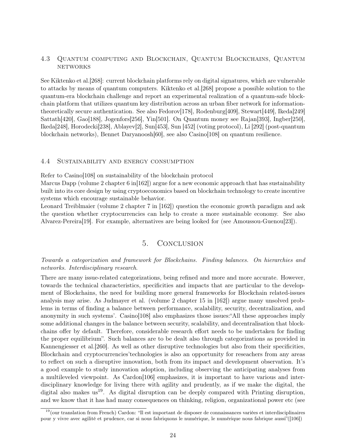# 4.3 Quantum computing and Blockchain, Quantum Blockchains, Quantum **NETWORKS**

See Kiktenko et al.[\[268\]](#page-40-15): current blockchain platforms rely on digital signatures, which are vulnerable to attacks by means of quantum computers. Kiktenko et al.[\[268\]](#page-40-15) propose a possible solution to the quantum-era blockchain challenge and report an experimental realization of a quantum-safe blockchain platform that utilizes quantum key distribution across an urban fiber network for informationtheoretically secure authentication. See also Fedorov[\[178\]](#page-35-16), Rodenburg[\[409\]](#page-49-15), Stewart[\[449\]](#page-51-16), Ikeda[\[249\]](#page-39-12) Sattath[\[420\]](#page-50-14), Gao[\[188\]](#page-35-17), Jogenfors[\[256\]](#page-39-13), Yin[\[501\]](#page-55-10). On Quantum money see Rajan[\[393\]](#page-48-16), Ingber[\[250\]](#page-39-14), Ikeda[\[248\]](#page-39-15), Horodecki[\[238\]](#page-38-15), Ablayev[\[2\]](#page-24-10), Sun[\[453\]](#page-52-14), Sun [\[452\]](#page-52-15) (voting protocol), Li [\[292\]](#page-42-16) (post-quantum blockchain networks), Bennet Daryanoosh[\[60\]](#page-28-16), see also Casino[\[108\]](#page-30-1) on quantum resilience.

### 4.4 Sustainability and energy consumption

Refer to Casino [\[108\]](#page-30-1) on sustainability of the blockchain protocol

Marcus Dapp (volume 2 chapter 6 in [\[162\]](#page-34-0)) argue for a new economic approach that has sustainability built into its core design by using cryptoeconomics based on blockchain technology to create incentive systems which encourage sustainable behavior.

Leonard Treiblmaier (volume 2 chapter 7 in [\[162\]](#page-34-0)) question the economic growth paradigm and ask the question whether cryptocurrencies can help to create a more sustainable economy. See also Alvarez-Pereira[\[19\]](#page-25-14). For example, alternatives are being looked for (see Amoussou-Guenou[\[23\]](#page-25-15)).

# 5. Conclusion

## Towards a categorization and framework for Blockchains. Finding balances. On hierarchies and networks. Interdisciplinary research.

There are many issue-related categorizations, being refined and more and more accurate. However, towards the technical characteristics, specificities and impacts that are particular to the development of Blockchains, the need for building more general frameworks for Blockchain related-issues analysis may arise. As Judmayer et al. (volume 2 chapter 15 in [\[162\]](#page-34-0)) argue many unsolved problems in terms of finding a balance between performance, scalability, security, decentralization, and anonymity in such systems'. Casino[\[108\]](#page-30-1) also emphasizes those issues:"All these approaches imply some additional changes in the balance between security, scalability, and decentralisation that blockchains offer by default. Therefore, considerable research effort needs to be undertaken for finding the proper equilibrium". Such balances are to be dealt also through categorizations as provided in Kannengiesser et al.[\[260\]](#page-40-2). As well as other disruptive technologies but also from their specificities, Blockchain and cryptocurrencies'technologies is also an opportunity for reseachers from any areas to reflect on such a disruptive innovation, both from its impact and development observation. It's a good example to study innovation adoption, including observing the anticipating analyses from a multileveled viewpoint. As Cardon[\[106\]](#page-30-17) emphasizes, it is important to have various and interdisciplinary knowledge for living there with agility and prudently, as if we make the digital, the digital also makes us<sup>[19](#page-23-0)</sup>. As digital disruption can be deeply compared with Printing disruption, and we know that it has had many consequences on thinking, religion, organizational power etc (see

<span id="page-23-0"></span><sup>19</sup>(our translation from French) Cardon: "Il est important de disposer de connaissances variées et interdisciplinaires pour y vivre avec agilité et prudence, car si nous fabriquons le numérique, le numérique nous fabrique aussi"([\[106\]](#page-30-17))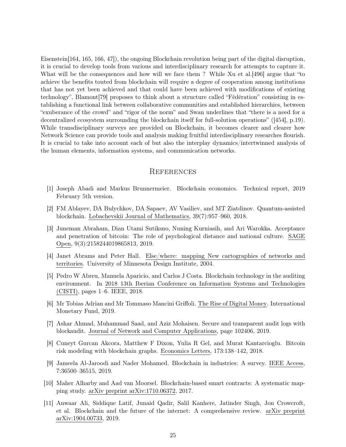Eisenstein[\[164,](#page-34-15) [165,](#page-34-16) [166,](#page-34-17) [47\]](#page-27-17)), the ongoing Blockchain revolution being part of the digital disruption, it is crucial to develop tools from various and interdisciplinary research for attempts to capture it. What will be the consequences and how will we face them ? While Xu et al. [\[496\]](#page-54-16) argue that "to achieve the benefits touted from blockchain will require a degree of cooperation among institutions that has not yet been achieved and that could have been achieved with modifications of existing technology", Blamont[\[79\]](#page-29-13) proposes to think about a structure called "Fédération" consisting in establishing a functional link between collaborative communities and established hierarchies, between "exuberance of the crowd" and "rigor of the norm" and Swan underlines that "there is a need for a decentralized ecosystem surrounding the blockchain itself for full-solution operations" ([\[454\]](#page-52-0), p.19). While transdisciplinary surveys are provided on Blockchain, it becomes clearer and clearer how Network Science can provide tools and analysis making fruitful interdisciplinary researches flourish. It is crucial to take into account each of but also the interplay dynamics/intertwinned analysis of the human elements, information systems, and communication networks.

## **REFERENCES**

- <span id="page-24-1"></span>[1] Joseph Abadi and Markus Brunnermeier. Blockchain economics. Technical report, 2019 February 5th version.
- <span id="page-24-10"></span>[2] FM Ablayev, DA Bulychkov, DA Sapaev, AV Vasiliev, and MT Ziatdinov. Quantum-assisted blockchain. Lobachevskii Journal of Mathematics, 39(7):957–960, 2018.
- <span id="page-24-9"></span>[3] Juneman Abraham, Dian Utami Sutiksno, Nuning Kurniasih, and Ari Warokka. Acceptance and penetration of bitcoin: The role of psychological distance and national culture. SAGE Open, 9(3):2158244019865813, 2019.
- <span id="page-24-4"></span>[4] Janet Abrams and Peter Hall. Else/where: mapping New cartographies of networks and territories. University of Minnesota Design Institute, 2004.
- <span id="page-24-7"></span>[5] Pedro W Abreu, Manuela Aparicio, and Carlos J Costa. Blockchain technology in the auditing environment. In 2018 13th Iberian Conference on Information Systems and Technologies (CISTI), pages 1–6. IEEE, 2018.
- <span id="page-24-8"></span>[6] Mr Tobias Adrian and Mr Tommaso Mancini Griffoli. The Rise of Digital Money. International Monetary Fund, 2019.
- <span id="page-24-6"></span>[7] Ashar Ahmad, Muhammad Saad, and Aziz Mohaisen. Secure and transparent audit logs with blockaudit. Journal of Network and Computer Applications, page 102406, 2019.
- <span id="page-24-5"></span>[8] Cuneyt Gurcan Akcora, Matthew F Dixon, Yulia R Gel, and Murat Kantarcioglu. Bitcoin risk modeling with blockchain graphs. Economics Letters, 173:138–142, 2018.
- <span id="page-24-2"></span>[9] Jameela Al-Jaroodi and Nader Mohamed. Blockchain in industries: A survey. IEEE Access, 7:36500–36515, 2019.
- <span id="page-24-3"></span>[10] Maher Alharby and Aad van Moorsel. Blockchain-based smart contracts: A systematic mapping study. arXiv preprint arXiv:1710.06372, 2017.
- <span id="page-24-0"></span>[11] Anwaar Ali, Siddique Latif, Junaid Qadir, Salil Kanhere, Jatinder Singh, Jon Crowcroft, et al. Blockchain and the future of the internet: A comprehensive review. arXiv preprint arXiv:1904.00733, 2019.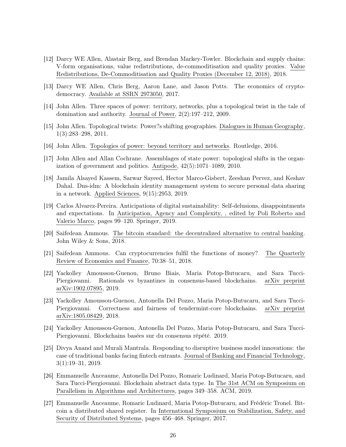- <span id="page-25-4"></span>[12] Darcy WE Allen, Alastair Berg, and Brendan Markey-Towler. Blockchain and supply chains: V-form organisations, value redistributions, de-commoditisation and quality proxies. Value Redistributions, De-Commoditisation and Quality Proxies (December 12, 2018), 2018.
- <span id="page-25-12"></span>[13] Darcy WE Allen, Chris Berg, Aaron Lane, and Jason Potts. The economics of cryptodemocracy. Available at SSRN 2973050, 2017.
- <span id="page-25-8"></span>[14] John Allen. Three spaces of power: territory, networks, plus a topological twist in the tale of domination and authority. Journal of Power, 2(2):197–212, 2009.
- <span id="page-25-10"></span>[15] John Allen. Topological twists: Power?s shifting geographies. Dialogues in Human Geography, 1(3):283–298, 2011.
- <span id="page-25-11"></span>[16] John Allen. Topologies of power: beyond territory and networks. Routledge, 2016.
- <span id="page-25-9"></span>[17] John Allen and Allan Cochrane. Assemblages of state power: topological shifts in the organization of government and politics. Antipode, 42(5):1071–1089, 2010.
- <span id="page-25-7"></span>[18] Jamila Alsayed Kassem, Sarwar Sayeed, Hector Marco-Gisbert, Zeeshan Pervez, and Keshav Dahal. Dns-idm: A blockchain identity management system to secure personal data sharing in a network. Applied Sciences, 9(15):2953, 2019.
- <span id="page-25-14"></span>[19] Carlos Alvarez-Pereira. Anticipations of digital sustainability: Self-delusions, disappointments and expectations. In Anticipation, Agency and Complexity, , edited by Poli Roberto and Valerio Marco, pages 99–120. Springer, 2019.
- <span id="page-25-0"></span>[20] Saifedean Ammous. The bitcoin standard: the decentralized alternative to central banking. John Wiley & Sons, 2018.
- <span id="page-25-13"></span>[21] Saifedean Ammous. Can cryptocurrencies fulfil the functions of money? The Quarterly Review of Economics and Finance, 70:38–51, 2018.
- <span id="page-25-6"></span>[22] Yackolley Amoussou-Guenou, Bruno Biais, Maria Potop-Butucaru, and Sara Tucci-Piergiovanni. Rationals vs byzantines in consensus-based blockchains. arXiv preprint arXiv:1902.07895, 2019.
- <span id="page-25-15"></span>[23] Yackolley Amoussou-Guenou, Antonella Del Pozzo, Maria Potop-Butucaru, and Sara Tucci-Piergiovanni. Correctness and fairness of tendermint-core blockchains. arXiv preprint arXiv:1805.08429, 2018.
- <span id="page-25-5"></span>[24] Yackolley Amoussou-Guenou, Antonella Del Pozzo, Maria Potop-Butucaru, and Sara Tucci-Piergiovanni. Blockchains basées sur du consensus répété. 2019.
- <span id="page-25-1"></span>[25] Divya Anand and Murali Mantrala. Responding to disruptive business model innovations: the case of traditional banks facing fintech entrants. Journal of Banking and Financial Technology, 3(1):19–31, 2019.
- <span id="page-25-2"></span>[26] Emmanuelle Anceaume, Antonella Del Pozzo, Romaric Ludinard, Maria Potop-Butucaru, and Sara Tucci-Piergiovanni. Blockchain abstract data type. In The 31st ACM on Symposium on Parallelism in Algorithms and Architectures, pages 349–358. ACM, 2019.
- <span id="page-25-3"></span>[27] Emmanuelle Anceaume, Romaric Ludinard, Maria Potop-Butucaru, and Frédéric Tronel. Bitcoin a distributed shared register. In International Symposium on Stabilization, Safety, and Security of Distributed Systems, pages 456–468. Springer, 2017.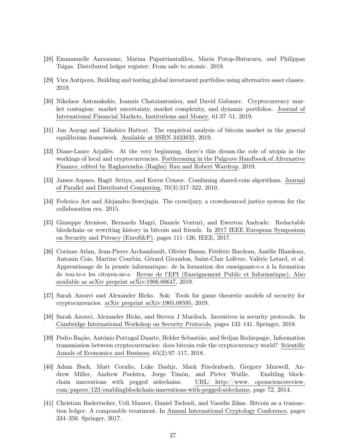- <span id="page-26-1"></span>[28] Emmanuelle Anceaume, Marina Papatriantafilou, Maria Potop-Butucaru, and Philippas Tsigas. Distributed ledger register: From safe to atomic. 2019.
- <span id="page-26-12"></span>[29] Vira Antipova. Building and testing global investment portfolios using alternative asset classes. 2019.
- <span id="page-26-11"></span>[30] Nikolaos Antonakakis, Ioannis Chatziantoniou, and David Gabauer. Cryptocurrency market contagion: market uncertainty, market complexity, and dynamic portfolios. Journal of International Financial Markets, Institutions and Money, 61:37–51, 2019.
- <span id="page-26-9"></span>[31] Jun Aoyagi and Takahiro Hattori. The empirical analysis of bitcoin market in the general equilibrium framework. Available at SSRN 3433833, 2019.
- <span id="page-26-10"></span>[32] Diane-Laure Arjaliès. At the very beginning, there's this dream.the role of utopia in the workings of local and cryptocurrencies. Forthcoming in the Palgrave Handbook of Alternative Finance, edited by Raghavendra (Raghu) Rau and Robert Wardrop, 2019.
- <span id="page-26-3"></span>[33] James Aspnes, Hagit Attiya, and Keren Censor. Combining shared-coin algorithms. Journal of Parallel and Distributed Computing, 70(3):317–322, 2010.
- <span id="page-26-0"></span>[34] Federico Ast and Alejandro Sewrjugin. The crowdjury, a crowdsourced justice system for the collaboration era. 2015.
- <span id="page-26-2"></span>[35] Giuseppe Ateniese, Bernardo Magri, Daniele Venturi, and Ewerton Andrade. Redactable blockchain–or–rewriting history in bitcoin and friends. In 2017 IEEE European Symposium on Security and Privacy (EuroS&P), pages 111–126. IEEE, 2017.
- <span id="page-26-13"></span>[36] Corinne Atlan, Jean-Pierre Archambault, Olivier Banus, Frédéric Bardeau, Amélie Blandeau, Antonin Cois, Martine Courbin, Gérard Giraudon, Saint-Clair Lefèvre, Valérie Letard, et al. Apprentissage de la pensée informatique: de la formation des enseignant-e-s à la formation de tou-te-s les citoyen-ne-s. Revue de l'EPI (Enseignement Public et Informatique). Also available as arXiv preprint arXiv:1906.00647, 2019.
- <span id="page-26-6"></span>[37] Sarah Azouvi and Alexander Hicks. Sok: Tools for game theoretic models of security for cryptocurrencies. arXiv preprint arXiv:1905.08595, 2019.
- <span id="page-26-5"></span>[38] Sarah Azouvi, Alexander Hicks, and Steven J Murdoch. Incentives in security protocols. In Cambridge International Workshop on Security Protocols, pages 132–141. Springer, 2018.
- <span id="page-26-7"></span>[39] Pedro Bação, António Portugal Duarte, Helder Sebastião, and Srdjan Redzepagic. Information transmission between cryptocurrencies: does bitcoin rule the cryptocurrency world? Scientific Annals of Economics and Business, 65(2):97–117, 2018.
- <span id="page-26-8"></span>[40] Adam Back, Matt Corallo, Luke Dashjr, Mark Friedenbach, Gregory Maxwell, Andrew Miller, Andrew Poelstra, Jorge Timón, and Pieter Wuille. Enabling blockchain innovations with pegged sidechains. URL: http://www. opensciencereview. com/papers/123/enablingblockchain-innovations-with-pegged-sidechains, page 72, 2014.
- <span id="page-26-4"></span>[41] Christian Badertscher, Ueli Maurer, Daniel Tschudi, and Vassilis Zikas. Bitcoin as a transaction ledger: A composable treatment. In Annual International Cryptology Conference, pages 324–356. Springer, 2017.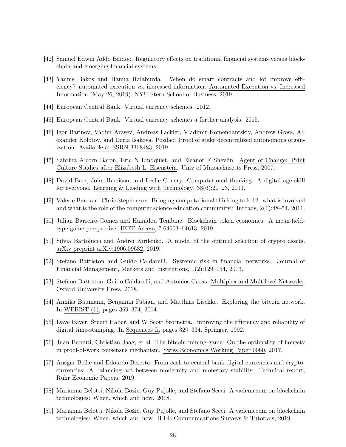- <span id="page-27-6"></span>[42] Samuel Edwin Addo Baidoo. Regulatory effects on traditional financial systems versus blockchain and emerging financial systems.
- <span id="page-27-5"></span>[43] Yannis Bakos and Hanna Halaburda. When do smart contracts and iot improve efficiency? automated execution vs. increased information. Automated Execution vs. Increased Information (May 26, 2019). NYU Stern School of Business, 2019.
- <span id="page-27-0"></span>[44] European Central Bank. Virtual currency schemes. 2012.
- <span id="page-27-1"></span>[45] European Central Bank. Virtual currency schemes a further analysis. 2015.
- <span id="page-27-7"></span>[46] Igor Barinov, Vadim Arasev, Andreas Fackler, Vladimir Komendantskiy, Andrew Gross, Alexander Kolotov, and Daria Isakova. Posdao: Proof of stake decentralized autonomous organization. Available at SSRN 3368483, 2019.
- <span id="page-27-17"></span>[47] Sabrina Alcorn Baron, Eric N Lindquist, and Eleanor F Shevlin. Agent of Change: Print Culture Studies after Elizabeth L. Eisenstein. Univ of Massachusetts Press, 2007.
- <span id="page-27-15"></span>[48] David Barr, John Harrison, and Leslie Conery. Computational thinking: A digital age skill for everyone. Learning & Leading with Technology, 38(6):20–23, 2011.
- <span id="page-27-16"></span>[49] Valerie Barr and Chris Stephenson. Bringing computational thinking to k-12: what is involved and what is the role of the computer science education community? Inroads, 2(1):48–54, 2011.
- <span id="page-27-10"></span>[50] Julian Barreiro-Gomez and Hamidou Tembine. Blockchain token economics: A mean-fieldtype game perspective. IEEE Access, 7:64603–64613, 2019.
- <span id="page-27-14"></span>[51] Silvia Bartolucci and Andrei Kirilenko. A model of the optimal selection of crypto assets. arXiv preprint arXiv:1906.09632, 2019.
- <span id="page-27-13"></span>[52] Stefano Battiston and Guido Caldarelli. Systemic risk in financial networks. Journal of Financial Management, Markets and Institutions, 1(2):129–154, 2013.
- <span id="page-27-9"></span>[53] Stefano Battiston, Guido Caldarelli, and Antonios Garas. Multiplex and Multilevel Networks. Oxford University Press, 2018.
- <span id="page-27-8"></span>[54] Annika Baumann, Benjamin Fabian, and Matthias Lischke. Exploring the bitcoin network. In WEBIST (1), pages 369–374, 2014.
- <span id="page-27-2"></span>[55] Dave Bayer, Stuart Haber, and W Scott Stornetta. Improving the efficiency and reliability of digital time-stamping. In Sequences Ii, pages 329–334. Springer, 1992.
- <span id="page-27-11"></span>[56] Juan Beccuti, Christian Jaag, et al. The bitcoin mining game: On the optimality of honesty in proof-of-work consensus mechanism. Swiss Economics Working Paper 0060, 2017.
- <span id="page-27-12"></span>[57] Ansgar Belke and Edoardo Beretta. From cash to central bank digital currencies and cryptocurrencies: A balancing act between modernity and monetary stability. Technical report, Ruhr Economic Papers, 2019.
- <span id="page-27-4"></span>[58] Marianna Belotti, Nikola Bozic, Guy Pujolle, and Stefano Secci. A vademecum on blockchain technologies: When, which and how. 2018.
- <span id="page-27-3"></span>[59] Marianna Belotti, Nikola Božić, Guy Pujolle, and Stefano Secci. A vademecum on blockchain technologies: When, which and how. IEEE Communications Surveys & Tutorials, 2019.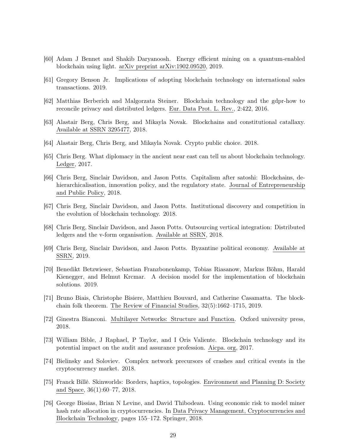- <span id="page-28-16"></span>[60] Adam J Bennet and Shakib Daryanoosh. Energy efficient mining on a quantum-enabled blockchain using light. arXiv preprint arXiv:1902.09520, 2019.
- <span id="page-28-1"></span>[61] Gregory Benson Jr. Implications of adopting blockchain technology on international sales transactions. 2019.
- <span id="page-28-15"></span>[62] Matthias Berberich and Malgorzata Steiner. Blockchain technology and the gdpr-how to reconcile privacy and distributed ledgers. Eur. Data Prot. L. Rev., 2:422, 2016.
- <span id="page-28-2"></span>[63] Alastair Berg, Chris Berg, and Mikayla Novak. Blockchains and constitutional catallaxy. Available at SSRN 3295477, 2018.
- <span id="page-28-11"></span>[64] Alastair Berg, Chris Berg, and Mikayla Novak. Crypto public choice. 2018.
- <span id="page-28-8"></span>[65] Chris Berg. What diplomacy in the ancient near east can tell us about blockchain technology. Ledger, 2017.
- <span id="page-28-5"></span>[66] Chris Berg, Sinclair Davidson, and Jason Potts. Capitalism after satoshi: Blockchains, dehierarchicalisation, innovation policy, and the regulatory state. Journal of Entrepreneurship and Public Policy, 2018.
- <span id="page-28-10"></span>[67] Chris Berg, Sinclair Davidson, and Jason Potts. Institutional discovery and competition in the evolution of blockchain technology. 2018.
- <span id="page-28-4"></span>[68] Chris Berg, Sinclair Davidson, and Jason Potts. Outsourcing vertical integration: Distributed ledgers and the v-form organisation. Available at SSRN, 2018.
- <span id="page-28-3"></span>[69] Chris Berg, Sinclair Davidson, and Jason Potts. Byzantine political economy. Available at SSRN, 2019.
- <span id="page-28-0"></span>[70] Benedikt Betzwieser, Sebastian Franzbonenkamp, Tobias Riasanow, Markus Böhm, Harald Kienegger, and Helmut Krcmar. A decision model for the implementation of blockchain solutions. 2019.
- <span id="page-28-13"></span>[71] Bruno Biais, Christophe Bisiere, Matthieu Bouvard, and Catherine Casamatta. The blockchain folk theorem. The Review of Financial Studies, 32(5):1662–1715, 2019.
- <span id="page-28-9"></span>[72] Ginestra Bianconi. Multilayer Networks: Structure and Function. Oxford university press, 2018.
- <span id="page-28-12"></span>[73] William Bible, J Raphael, P Taylor, and I Oris Valiente. Blockchain technology and its potential impact on the audit and assurance profession. Aicpa. org, 2017.
- <span id="page-28-14"></span>[74] Bielinsky and Soloviev. Complex network precursors of crashes and critical events in the cryptocurrency market. 2018.
- <span id="page-28-7"></span>[75] Franck Billé. Skinworlds: Borders, haptics, topologies. Environment and Planning D: Society and Space, 36(1):60–77, 2018.
- <span id="page-28-6"></span>[76] George Bissias, Brian N Levine, and David Thibodeau. Using economic risk to model miner hash rate allocation in cryptocurrencies. In Data Privacy Management, Cryptocurrencies and Blockchain Technology, pages 155–172. Springer, 2018.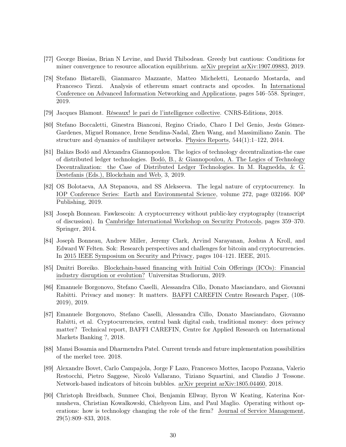- <span id="page-29-6"></span>[77] George Bissias, Brian N Levine, and David Thibodeau. Greedy but cautious: Conditions for miner convergence to resource allocation equilibrium. arXiv preprint arXiv:1907.09883, 2019.
- <span id="page-29-3"></span>[78] Stefano Bistarelli, Gianmarco Mazzante, Matteo Micheletti, Leonardo Mostarda, and Francesco Tiezzi. Analysis of ethereum smart contracts and opcodes. In International Conference on Advanced Information Networking and Applications, pages 546–558. Springer, 2019.
- <span id="page-29-13"></span>[79] Jacques Blamont. Réseaux! le pari de l'intelligence collective. CNRS-Editions, 2018.
- <span id="page-29-11"></span>[80] Stefano Boccaletti, Ginestra Bianconi, Regino Criado, Charo I Del Genio, Jesús Gómez-Gardenes, Miguel Romance, Irene Sendina-Nadal, Zhen Wang, and Massimiliano Zanin. The structure and dynamics of multilayer networks. Physics Reports, 544(1):1–122, 2014.
- <span id="page-29-5"></span>[81] Balázs Bodó and Alexandra Giannopoulou. The logics of technology decentralization-the case of distributed ledger technologies. Bodó, B., & Giannopoulou, A. The Logics of Technology Decentralization: the Case of Distributed Ledger Technologies. In M. Ragnedda, & G. Destefanis (Eds.), Blockchain and Web, 3, 2019.
- <span id="page-29-2"></span>[82] OS Bolotaeva, AA Stepanova, and SS Alekseeva. The legal nature of cryptocurrency. In IOP Conference Series: Earth and Environmental Science, volume 272, page 032166. IOP Publishing, 2019.
- <span id="page-29-7"></span>[83] Joseph Bonneau. Fawkescoin: A cryptocurrency without public-key cryptography (transcript of discussion). In Cambridge International Workshop on Security Protocols, pages 359–370. Springer, 2014.
- <span id="page-29-4"></span>[84] Joseph Bonneau, Andrew Miller, Jeremy Clark, Arvind Narayanan, Joshua A Kroll, and Edward W Felten. Sok: Research perspectives and challenges for bitcoin and cryptocurrencies. In 2015 IEEE Symposium on Security and Privacy, pages 104–121. IEEE, 2015.
- <span id="page-29-1"></span>[85] Dmitri Boreiko. Blockchain-based financing with Initial Coin Offerings (ICOs): Financial industry disruption or evolution? Universitas Studiorum, 2019.
- <span id="page-29-8"></span>[86] Emanuele Borgonovo, Stefano Caselli, Alessandra Cillo, Donato Masciandaro, and Giovanni Rabitti. Privacy and money: It matters. BAFFI CAREFIN Centre Research Paper, (108- 2019), 2019.
- <span id="page-29-9"></span>[87] Emanuele Borgonovo, Stefano Caselli, Alessandra Cillo, Donato Masciandaro, Giovanno Rabitti, et al. Cryptocurrencies, central bank digital cash, traditional money: does privacy matter? Technical report, BAFFI CAREFIN, Centre for Applied Research on International Markets Banking ?, 2018.
- <span id="page-29-0"></span>[88] Mansi Bosamia and Dharmendra Patel. Current trends and future implementation possibilities of the merkel tree. 2018.
- <span id="page-29-10"></span>[89] Alexandre Bovet, Carlo Campajola, Jorge F Lazo, Francesco Mottes, Iacopo Pozzana, Valerio Restocchi, Pietro Saggese, Nicoló Vallarano, Tiziano Squartini, and Claudio J Tessone. Network-based indicators of bitcoin bubbles. arXiv preprint arXiv:1805.04460, 2018.
- <span id="page-29-12"></span>[90] Christoph Breidbach, Sunmee Choi, Benjamin Ellway, Byron W Keating, Katerina Kormusheva, Christian Kowalkowski, Chiehyeon Lim, and Paul Maglio. Operating without operations: how is technology changing the role of the firm? Journal of Service Management, 29(5):809–833, 2018.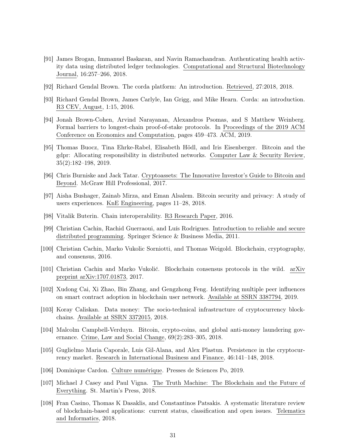- <span id="page-30-13"></span>[91] James Brogan, Immanuel Baskaran, and Navin Ramachandran. Authenticating health activity data using distributed ledger technologies. Computational and Structural Biotechnology Journal, 16:257–266, 2018.
- <span id="page-30-6"></span>[92] Richard Gendal Brown. The corda platform: An introduction. Retrieved, 27:2018, 2018.
- <span id="page-30-5"></span>[93] Richard Gendal Brown, James Carlyle, Ian Grigg, and Mike Hearn. Corda: an introduction. R3 CEV, August, 1:15, 2016.
- <span id="page-30-9"></span>[94] Jonah Brown-Cohen, Arvind Narayanan, Alexandros Psomas, and S Matthew Weinberg. Formal barriers to longest-chain proof-of-stake protocols. In Proceedings of the 2019 ACM Conference on Economics and Computation, pages 459–473. ACM, 2019.
- <span id="page-30-15"></span>[95] Thomas Buocz, Tina Ehrke-Rabel, Elisabeth Hödl, and Iris Eisenberger. Bitcoin and the gdpr: Allocating responsibility in distributed networks. Computer Law & Security Review, 35(2):182–198, 2019.
- <span id="page-30-3"></span>[96] Chris Burniske and Jack Tatar. Cryptoassets: The Innovative Investor's Guide to Bitcoin and Beyond. McGraw Hill Professional, 2017.
- <span id="page-30-10"></span>[97] Aisha Bushager, Zainab Mirza, and Eman Alsalem. Bitcoin security and privacy: A study of users experiences. KnE Engineering, pages 11–28, 2018.
- <span id="page-30-11"></span>[98] Vitalik Buterin. Chain interoperability. R3 Research Paper, 2016.
- <span id="page-30-0"></span>[99] Christian Cachin, Rachid Guerraoui, and Luís Rodrigues. Introduction to reliable and secure distributed programming. Springer Science & Business Media, 2011.
- <span id="page-30-8"></span>[100] Christian Cachin, Marko Vukolic Sorniotti, and Thomas Weigold. Blockchain, cryptography, and consensus, 2016.
- <span id="page-30-7"></span>[101] Christian Cachin and Marko Vukolić. Blockchain consensus protocols in the wild. arXiv preprint arXiv:1707.01873, 2017.
- <span id="page-30-16"></span>[102] Xudong Cai, Xi Zhao, Bin Zhang, and Gengzhong Feng. Identifying multiple peer influences on smart contract adoption in blockchain user network. Available at SSRN 3387794, 2019.
- <span id="page-30-12"></span>[103] Koray Caliskan. Data money: The socio-technical infrastructure of cryptocurrency blockchains. Available at SSRN 3372015, 2018.
- <span id="page-30-4"></span>[104] Malcolm Campbell-Verduyn. Bitcoin, crypto-coins, and global anti-money laundering governance. Crime, Law and Social Change, 69(2):283–305, 2018.
- <span id="page-30-14"></span>[105] Guglielmo Maria Caporale, Luis Gil-Alana, and Alex Plastun. Persistence in the cryptocurrency market. Research in International Business and Finance, 46:141–148, 2018.
- <span id="page-30-17"></span>[106] Dominique Cardon. Culture numérique. Presses de Sciences Po, 2019.
- <span id="page-30-2"></span>[107] Michael J Casey and Paul Vigna. The Truth Machine: The Blockchain and the Future of Everything. St. Martin's Press, 2018.
- <span id="page-30-1"></span>[108] Fran Casino, Thomas K Dasaklis, and Constantinos Patsakis. A systematic literature review of blockchain-based applications: current status, classification and open issues. Telematics and Informatics, 2018.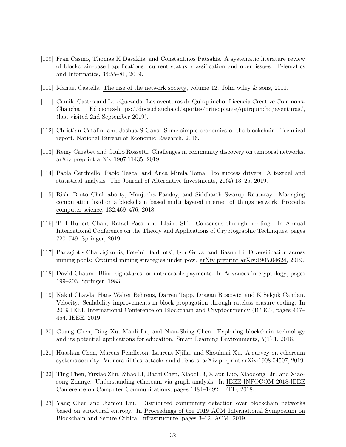- <span id="page-31-1"></span>[109] Fran Casino, Thomas K Dasaklis, and Constantinos Patsakis. A systematic literature review of blockchain-based applications: current status, classification and open issues. Telematics and Informatics, 36:55–81, 2019.
- <span id="page-31-11"></span>[110] Manuel Castells. The rise of the network society, volume 12. John wiley & sons, 2011.
- <span id="page-31-14"></span>[111] Camilo Castro and Leo Quezada. Las aventuras de Quirquincho. Licencia Creative Commons-Chaucha Ediciones-https://docs.chaucha.cl/aportes/principiante/quirquincho/aventuras/, (last visited 2nd September 2019).
- <span id="page-31-2"></span>[112] Christian Catalini and Joshua S Gans. Some simple economics of the blockchain. Technical report, National Bureau of Economic Research, 2016.
- <span id="page-31-8"></span>[113] Remy Cazabet and Giulio Rossetti. Challenges in community discovery on temporal networks. arXiv preprint arXiv:1907.11435, 2019.
- <span id="page-31-3"></span>[114] Paola Cerchiello, Paolo Tasca, and Anca Mirela Toma. Ico success drivers: A textual and statistical analysis. The Journal of Alternative Investments, 21(4):13–25, 2019.
- <span id="page-31-13"></span>[115] Rishi Broto Chakraborty, Manjusha Pandey, and Siddharth Swarup Rautaray. Managing computation load on a blockchain–based multi–layered internet–of–things network. Procedia computer science, 132:469–476, 2018.
- <span id="page-31-5"></span>[116] T-H Hubert Chan, Rafael Pass, and Elaine Shi. Consensus through herding. In Annual International Conference on the Theory and Applications of Cryptographic Techniques, pages 720–749. Springer, 2019.
- <span id="page-31-6"></span>[117] Panagiotis Chatzigiannis, Foteini Baldimtsi, Igor Griva, and Jiasun Li. Diversification across mining pools: Optimal mining strategies under pow. arXiv preprint arXiv:1905.04624, 2019.
- <span id="page-31-0"></span>[118] David Chaum. Blind signatures for untraceable payments. In Advances in cryptology, pages 199–203. Springer, 1983.
- <span id="page-31-12"></span>[119] Nakul Chawla, Hans Walter Behrens, Darren Tapp, Dragan Boscovic, and K Selçuk Candan. Velocity: Scalability improvements in block propagation through rateless erasure coding. In 2019 IEEE International Conference on Blockchain and Cryptocurrency (ICBC), pages 447– 454. IEEE, 2019.
- <span id="page-31-4"></span>[120] Guang Chen, Bing Xu, Manli Lu, and Nian-Shing Chen. Exploring blockchain technology and its potential applications for education. Smart Learning Environments, 5(1):1, 2018.
- <span id="page-31-7"></span>[121] Huashan Chen, Marcus Pendleton, Laurent Njilla, and Shouhuai Xu. A survey on ethereum systems security: Vulnerabilities, attacks and defenses. arXiv preprint arXiv:1908.04507, 2019.
- <span id="page-31-10"></span>[122] Ting Chen, Yuxiao Zhu, Zihao Li, Jiachi Chen, Xiaoqi Li, Xiapu Luo, Xiaodong Lin, and Xiaosong Zhange. Understanding ethereum via graph analysis. In IEEE INFOCOM 2018-IEEE Conference on Computer Communications, pages 1484–1492. IEEE, 2018.
- <span id="page-31-9"></span>[123] Yang Chen and Jiamou Liu. Distributed community detection over blockchain networks based on structural entropy. In Proceedings of the 2019 ACM International Symposium on Blockchain and Secure Critical Infrastructure, pages 3–12. ACM, 2019.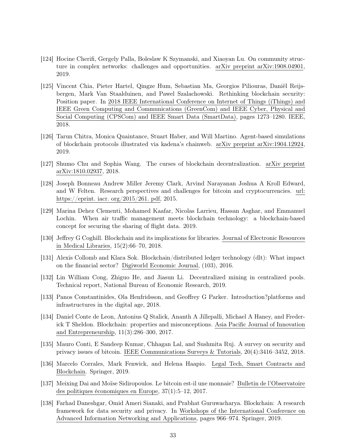- <span id="page-32-11"></span>[124] Hocine Cherifi, Gergely Palla, Boleslaw K Szymanski, and Xiaoyan Lu. On community structure in complex networks: challenges and opportunities. arXiv preprint arXiv:1908.04901, 2019.
- <span id="page-32-14"></span>[125] Vincent Chia, Pieter Hartel, Qingze Hum, Sebastian Ma, Georgios Piliouras, Daniël Reijsbergen, Mark Van Staalduinen, and Pawel Szalachowski. Rethinking blockchain security: Position paper. In 2018 IEEE International Conference on Internet of Things (iThings) and IEEE Green Computing and Communications (GreenCom) and IEEE Cyber, Physical and Social Computing (CPSCom) and IEEE Smart Data (SmartData), pages 1273–1280. IEEE, 2018.
- <span id="page-32-12"></span>[126] Tarun Chitra, Monica Quaintance, Stuart Haber, and Will Martino. Agent-based simulations of blockchain protocols illustrated via kadena's chainweb. arXiv preprint arXiv:1904.12924, 2019.
- <span id="page-32-6"></span>[127] Shumo Chu and Sophia Wang. The curses of blockchain decentralization. arXiv preprint arXiv:1810.02937, 2018.
- <span id="page-32-1"></span>[128] Joseph Bonneau Andrew Miller Jeremy Clark, Arvind Narayanan Joshua A Kroll Edward, and W Felten. Research perspectives and challenges for bitcoin and cryptocurrencies. url: https://eprint. iacr. org/2015/261. pdf, 2015.
- <span id="page-32-8"></span>[129] Marina Dehez Clementi, Mohamed Kaafar, Nicolas Larrieu, Hassan Asghar, and Emmanuel Lochin. When air traffic management meets blockchain technology: a blockchain-based concept for securing the sharing of flight data. 2019.
- <span id="page-32-5"></span>[130] Jeffrey G Coghill. Blockchain and its implications for libraries. Journal of Electronic Resources in Medical Libraries, 15(2):66–70, 2018.
- <span id="page-32-3"></span>[131] Alexis Collomb and Klara Sok. Blockchain/distributed ledger technology (dlt): What impact on the financial sector? Digiworld Economic Journal, (103), 2016.
- <span id="page-32-7"></span>[132] Lin William Cong, Zhiguo He, and Jiasun Li. Decentralized mining in centralized pools. Technical report, National Bureau of Economic Research, 2019.
- <span id="page-32-10"></span>[133] Panos Constantinides, Ola Henfridsson, and Geoffrey G Parker. Introduction?platforms and infrastructures in the digital age, 2018.
- <span id="page-32-0"></span>[134] Daniel Conte de Leon, Antonius Q Stalick, Ananth A Jillepalli, Michael A Haney, and Frederick T Sheldon. Blockchain: properties and misconceptions. Asia Pacific Journal of Innovation and Entrepreneurship, 11(3):286–300, 2017.
- <span id="page-32-2"></span>[135] Mauro Conti, E Sandeep Kumar, Chhagan Lal, and Sushmita Ruj. A survey on security and privacy issues of bitcoin. IEEE Communications Surveys & Tutorials, 20(4):3416–3452, 2018.
- <span id="page-32-4"></span>[136] Marcelo Corrales, Mark Fenwick, and Helena Haapio. Legal Tech, Smart Contracts and Blockchain. Springer, 2019.
- <span id="page-32-13"></span>[137] Meixing Dai and Moïse Sidiropoulos. Le bitcoin est-il une monnaie? Bulletin de l'Observatoire des politiques économiques en Europe, 37(1):5–12, 2017.
- <span id="page-32-9"></span>[138] Farhad Daneshgar, Omid Ameri Sianaki, and Prabhat Guruwacharya. Blockchain: A research framework for data security and privacy. In Workshops of the International Conference on Advanced Information Networking and Applications, pages 966–974. Springer, 2019.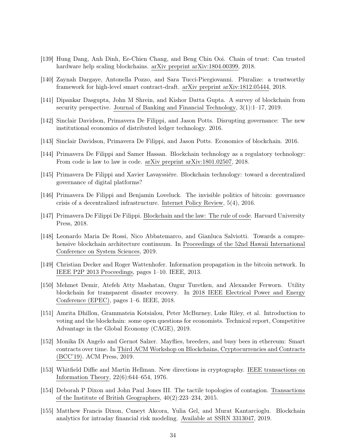- <span id="page-33-12"></span>[139] Hung Dang, Anh Dinh, Ee-Chien Chang, and Beng Chin Ooi. Chain of trust: Can trusted hardware help scaling blockchains. arXiv preprint arXiv:1804.00399, 2018.
- <span id="page-33-7"></span>[140] Zaynah Dargaye, Antonella Pozzo, and Sara Tucci-Piergiovanni. Pluralize: a trustworthy framework for high-level smart contract-draft. arXiv preprint arXiv:1812.05444, 2018.
- <span id="page-33-4"></span>[141] Dipankar Dasgupta, John M Shrein, and Kishor Datta Gupta. A survey of blockchain from security perspective. Journal of Banking and Financial Technology, 3(1):1–17, 2019.
- <span id="page-33-16"></span>[142] Sinclair Davidson, Primavera De Filippi, and Jason Potts. Disrupting governance: The new institutional economics of distributed ledger technology. 2016.
- <span id="page-33-5"></span>[143] Sinclair Davidson, Primavera De Filippi, and Jason Potts. Economics of blockchain. 2016.
- <span id="page-33-2"></span>[144] Primavera De Filippi and Samer Hassan. Blockchain technology as a regulatory technology: From code is law to law is code. arXiv preprint arXiv:1801.02507, 2018.
- <span id="page-33-11"></span>[145] Primavera De Filippi and Xavier Lavayssière. Blockchain technology: toward a decentralized governance of digital platforms?
- <span id="page-33-8"></span>[146] Primavera De Filippi and Benjamin Loveluck. The invisible politics of bitcoin: governance crisis of a decentralized infrastructure. Internet Policy Review, 5(4), 2016.
- <span id="page-33-3"></span>[147] Primavera De Filippi De Filippi. Blockchain and the law: The rule of code. Harvard University Press, 2018.
- <span id="page-33-1"></span>[148] Leonardo Maria De Rossi, Nico Abbatemarco, and Gianluca Salviotti. Towards a comprehensive blockchain architecture continuum. In Proceedings of the 52nd Hawaii International Conference on System Sciences, 2019.
- <span id="page-33-14"></span>[149] Christian Decker and Roger Wattenhofer. Information propagation in the bitcoin network. In IEEE P2P 2013 Proceedings, pages 1–10. IEEE, 2013.
- <span id="page-33-10"></span>[150] Mehmet Demir, Atefeh Atty Mashatan, Ozgur Turetken, and Alexander Ferworn. Utility blockchain for transparent disaster recovery. In 2018 IEEE Electrical Power and Energy Conference (EPEC), pages 1–6. IEEE, 2018.
- <span id="page-33-9"></span>[151] Amrita Dhillon, Grammateia Kotsialou, Peter McBurney, Luke Riley, et al. Introduction to voting and the blockchain: some open questions for economists. Technical report, Competitive Advantage in the Global Economy (CAGE), 2019.
- <span id="page-33-6"></span>[152] Monika Di Angelo and Gernot Salzer. Mayflies, breeders, and busy bees in ethereum: Smart contracts over time. In Third ACM Workshop on Blockchains, Cryptocurrencies and Contracts (BCC'19). ACM Press, 2019.
- <span id="page-33-0"></span>[153] Whitfield Diffie and Martin Hellman. New directions in cryptography. IEEE transactions on Information Theory, 22(6):644–654, 1976.
- <span id="page-33-13"></span>[154] Deborah P Dixon and John Paul Jones III. The tactile topologies of contagion. Transactions of the Institute of British Geographers, 40(2):223–234, 2015.
- <span id="page-33-15"></span>[155] Matthew Francis Dixon, Cuneyt Akcora, Yulia Gel, and Murat Kantarcioglu. Blockchain analytics for intraday financial risk modeling. Available at SSRN 3313047, 2019.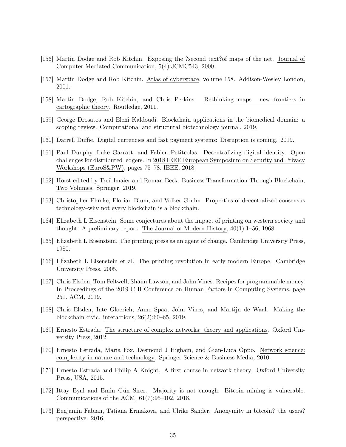- <span id="page-34-12"></span>[156] Martin Dodge and Rob Kitchin. Exposing the ?second text?of maps of the net. Journal of Computer-Mediated Communication, 5(4):JCMC543, 2000.
- <span id="page-34-11"></span>[157] Martin Dodge and Rob Kitchin. Atlas of cyberspace, volume 158. Addison-Wesley London, 2001.
- <span id="page-34-13"></span>[158] Martin Dodge, Rob Kitchin, and Chris Perkins. Rethinking maps: new frontiers in cartographic theory. Routledge, 2011.
- <span id="page-34-1"></span>[159] George Drosatos and Eleni Kaldoudi. Blockchain applications in the biomedical domain: a scoping review. Computational and structural biotechnology journal, 2019.
- <span id="page-34-7"></span>[160] Darrell Duffie. Digital currencies and fast payment systems: Disruption is coming. 2019.
- <span id="page-34-6"></span>[161] Paul Dunphy, Luke Garratt, and Fabien Petitcolas. Decentralizing digital identity: Open challenges for distributed ledgers. In 2018 IEEE European Symposium on Security and Privacy Workshops (EuroS&PW), pages 75–78. IEEE, 2018.
- <span id="page-34-0"></span>[162] Horst edited by Treiblmaier and Roman Beck. Business Transformation Through Blockchain, Two Volumes. Springer, 2019.
- <span id="page-34-3"></span>[163] Christopher Ehmke, Florian Blum, and Volker Gruhn. Properties of decentralized consensus technology–why not every blockchain is a blockchain.
- <span id="page-34-15"></span>[164] Elizabeth L Eisenstein. Some conjectures about the impact of printing on western society and thought: A preliminary report. The Journal of Modern History, 40(1):1–56, 1968.
- <span id="page-34-16"></span>[165] Elizabeth L Eisenstein. The printing press as an agent of change. Cambridge University Press, 1980.
- <span id="page-34-17"></span>[166] Elizabeth L Eisenstein et al. The printing revolution in early modern Europe. Cambridge University Press, 2005.
- <span id="page-34-14"></span>[167] Chris Elsden, Tom Feltwell, Shaun Lawson, and John Vines. Recipes for programmable money. In Proceedings of the 2019 CHI Conference on Human Factors in Computing Systems, page 251. ACM, 2019.
- <span id="page-34-2"></span>[168] Chris Elsden, Inte Gloerich, Anne Spaa, John Vines, and Martijn de Waal. Making the blockchain civic. interactions, 26(2):60–65, 2019.
- <span id="page-34-8"></span>[169] Ernesto Estrada. The structure of complex networks: theory and applications. Oxford University Press, 2012.
- <span id="page-34-9"></span>[170] Ernesto Estrada, Maria Fox, Desmond J Higham, and Gian-Luca Oppo. Network science: complexity in nature and technology. Springer Science & Business Media, 2010.
- <span id="page-34-10"></span>[171] Ernesto Estrada and Philip A Knight. A first course in network theory. Oxford University Press, USA, 2015.
- <span id="page-34-4"></span>[172] Ittay Eyal and Emin Gün Sirer. Majority is not enough: Bitcoin mining is vulnerable. Communications of the ACM, 61(7):95–102, 2018.
- <span id="page-34-5"></span>[173] Benjamin Fabian, Tatiana Ermakova, and Ulrike Sander. Anonymity in bitcoin?–the users? perspective. 2016.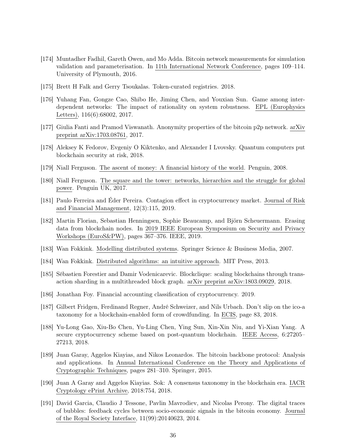- <span id="page-35-10"></span>[174] Muntadher Fadhil, Gareth Owen, and Mo Adda. Bitcoin network measurements for simulation validation and parameterisation. In 11th International Network Conference, pages 109–114. University of Plymouth, 2016.
- <span id="page-35-6"></span>[175] Brett H Falk and Gerry Tsoukalas. Token-curated registries. 2018.
- <span id="page-35-12"></span>[176] Yuhang Fan, Gongze Cao, Shibo He, Jiming Chen, and Youxian Sun. Game among interdependent networks: The impact of rationality on system robustness. EPL (Europhysics Letters), 116(6):68002, 2017.
- <span id="page-35-7"></span>[177] Giulia Fanti and Pramod Viswanath. Anonymity properties of the bitcoin p2p network. arXiv preprint arXiv:1703.08761, 2017.
- <span id="page-35-16"></span>[178] Aleksey K Fedorov, Evgeniy O Kiktenko, and Alexander I Lvovsky. Quantum computers put blockchain security at risk, 2018.
- <span id="page-35-8"></span>[179] Niall Ferguson. The ascent of money: A financial history of the world. Penguin, 2008.
- <span id="page-35-9"></span>[180] Niall Ferguson. The square and the tower: networks, hierarchies and the struggle for global power. Penguin UK, 2017.
- <span id="page-35-15"></span>[181] Paulo Ferreira and Éder Pereira. Contagion effect in cryptocurrency market. Journal of Risk and Financial Management, 12(3):115, 2019.
- <span id="page-35-3"></span>[182] Martin Florian, Sebastian Henningsen, Sophie Beaucamp, and Björn Scheuermann. Erasing data from blockchain nodes. In 2019 IEEE European Symposium on Security and Privacy Workshops (EuroS&PW), pages 367–376. IEEE, 2019.
- <span id="page-35-2"></span>[183] Wan Fokkink. Modelling distributed systems. Springer Science & Business Media, 2007.
- <span id="page-35-1"></span>[184] Wan Fokkink. Distributed algorithms: an intuitive approach. MIT Press, 2013.
- <span id="page-35-11"></span>[185] Sébastien Forestier and Damir Vodenicarevic. Blockclique: scaling blockchains through transaction sharding in a multithreaded block graph. arXiv preprint arXiv:1803.09029, 2018.
- <span id="page-35-14"></span>[186] Jonathan Foy. Financial accounting classification of cryptocurrency. 2019.
- <span id="page-35-0"></span>[187] Gilbert Fridgen, Ferdinand Regner, André Schweizer, and Nils Urbach. Don't slip on the ico-a taxonomy for a blockchain-enabled form of crowdfunding. In ECIS, page 83, 2018.
- <span id="page-35-17"></span>[188] Yu-Long Gao, Xiu-Bo Chen, Yu-Ling Chen, Ying Sun, Xin-Xin Niu, and Yi-Xian Yang. A secure cryptocurrency scheme based on post-quantum blockchain. IEEE Access, 6:27205– 27213, 2018.
- <span id="page-35-5"></span>[189] Juan Garay, Aggelos Kiayias, and Nikos Leonardos. The bitcoin backbone protocol: Analysis and applications. In Annual International Conference on the Theory and Applications of Cryptographic Techniques, pages 281–310. Springer, 2015.
- <span id="page-35-4"></span>[190] Juan A Garay and Aggelos Kiayias. Sok: A consensus taxonomy in the blockchain era. IACR Cryptology ePrint Archive, 2018:754, 2018.
- <span id="page-35-13"></span>[191] David Garcia, Claudio J Tessone, Pavlin Mavrodiev, and Nicolas Perony. The digital traces of bubbles: feedback cycles between socio-economic signals in the bitcoin economy. Journal of the Royal Society Interface, 11(99):20140623, 2014.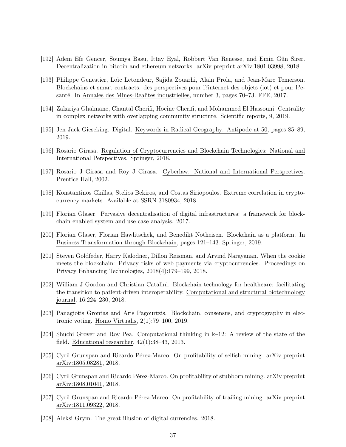- <span id="page-36-3"></span>[192] Adem Efe Gencer, Soumya Basu, Ittay Eyal, Robbert Van Renesse, and Emin Gün Sirer. Decentralization in bitcoin and ethereum networks. arXiv preprint arXiv:1801.03998, 2018.
- <span id="page-36-0"></span>[193] Philippe Genestier, Loïc Letondeur, Sajida Zouarhi, Alain Prola, and Jean-Marc Temerson. Blockchains et smart contracts: des perspectives pour l?internet des objets (iot) et pour l?esanté. In Annales des Mines-Realites industrielles, number 3, pages 70–73. FFE, 2017.
- <span id="page-36-8"></span>[194] Zakariya Ghalmane, Chantal Cherifi, Hocine Cherifi, and Mohammed El Hassouni. Centrality in complex networks with overlapping community structure. Scientific reports, 9, 2019.
- <span id="page-36-9"></span>[195] Jen Jack Gieseking. Digital. Keywords in Radical Geography: Antipode at 50, pages 85–89, 2019.
- <span id="page-36-13"></span>[196] Rosario Girasa. Regulation of Cryptocurrencies and Blockchain Technologies: National and International Perspectives. Springer, 2018.
- <span id="page-36-14"></span>[197] Rosario J Girasa and Roy J Girasa. Cyberlaw: National and International Perspectives. Prentice Hall, 2002.
- <span id="page-36-12"></span>[198] Konstantinos Gkillas, Stelios Bekiros, and Costas Siriopoulos. Extreme correlation in cryptocurrency markets. Available at SSRN 3180934, 2018.
- <span id="page-36-11"></span>[199] Florian Glaser. Pervasive decentralisation of digital infrastructures: a framework for blockchain enabled system and use case analysis. 2017.
- <span id="page-36-7"></span>[200] Florian Glaser, Florian Hawlitschek, and Benedikt Notheisen. Blockchain as a platform. In Business Transformation through Blockchain, pages 121–143. Springer, 2019.
- <span id="page-36-15"></span>[201] Steven Goldfeder, Harry Kalodner, Dillon Reisman, and Arvind Narayanan. When the cookie meets the blockchain: Privacy risks of web payments via cryptocurrencies. Proceedings on Privacy Enhancing Technologies, 2018(4):179–199, 2018.
- <span id="page-36-1"></span>[202] William J Gordon and Christian Catalini. Blockchain technology for healthcare: facilitating the transition to patient-driven interoperability. Computational and structural biotechnology journal, 16:224–230, 2018.
- <span id="page-36-2"></span>[203] Panagiotis Grontas and Aris Pagourtzis. Blockchain, consensus, and cryptography in electronic voting. Homo Virtualis, 2(1):79–100, 2019.
- <span id="page-36-16"></span>[204] Shuchi Grover and Roy Pea. Computational thinking in k–12: A review of the state of the field. Educational researcher, 42(1):38–43, 2013.
- <span id="page-36-4"></span>[205] Cyril Grunspan and Ricardo Pérez-Marco. On profitability of selfish mining. arXiv preprint arXiv:1805.08281, 2018.
- <span id="page-36-6"></span>[206] Cyril Grunspan and Ricardo Pérez-Marco. On profitability of stubborn mining. arXiv preprint arXiv:1808.01041, 2018.
- <span id="page-36-5"></span>[207] Cyril Grunspan and Ricardo Pérez-Marco. On profitability of trailing mining. arXiv preprint arXiv:1811.09322, 2018.
- <span id="page-36-10"></span>[208] Aleksi Grym. The great illusion of digital currencies. 2018.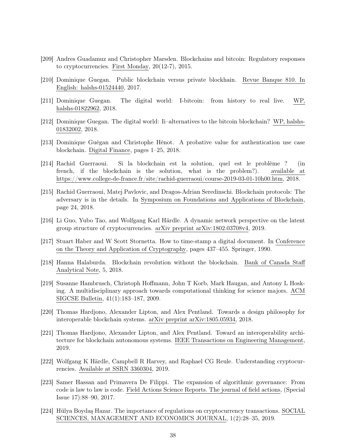- <span id="page-37-12"></span>[209] Andres Guadamuz and Christopher Marsden. Blockchains and bitcoin: Regulatory responses to cryptocurrencies. First Monday, 20(12-7), 2015.
- <span id="page-37-0"></span>[210] Dominique Guegan. Public blockchain versus private blockhain. Revue Banque 810. In English: halshs-01524440, 2017.
- <span id="page-37-10"></span>[211] Dominique Guegan. The digital world: I-bitcoin: from history to real live. WP, halshs-01822962, 2018.
- <span id="page-37-11"></span>[212] Dominique Guegan. The digital world: Ii–alternatives to the bitcoin blockchain? WP, halshs-01832002, 2018.
- <span id="page-37-2"></span>[213] Dominique Guégan and Christophe Hénot. A probative value for authentication use case blockchain. Digital Finance, pages 1–25, 2018.
- <span id="page-37-5"></span>[214] Rachid Guerraoui. Si la blockchain est la solution, quel est le problème ? (in french, if the blockchain is the solution, what is the problem?). available at https://www.college-de-france.fr/site/rachid-guerraoui/course-2019-03-01-10h00.htm, 2018.
- <span id="page-37-6"></span>[215] Rachid Guerraoui, Matej Pavlovic, and Dragos-Adrian Seredinschi. Blockchain protocols: The adversary is in the details. In Symposium on Foundations and Applications of Blockchain, page 24, 2018.
- <span id="page-37-7"></span>[216] Li Guo, Yubo Tao, and Wolfgang Karl Härdle. A dynamic network perspective on the latent group structure of cryptocurrencies. arXiv preprint arXiv:1802.03708v4, 2019.
- <span id="page-37-1"></span>[217] Stuart Haber and W Scott Stornetta. How to time-stamp a digital document. In Conference on the Theory and Application of Cryptography, pages 437–455. Springer, 1990.
- <span id="page-37-4"></span>[218] Hanna Halaburda. Blockchain revolution without the blockchain. Bank of Canada Staff Analytical Note, 5, 2018.
- <span id="page-37-15"></span>[219] Susanne Hambrusch, Christoph Hoffmann, John T Korb, Mark Haugan, and Antony L Hosking. A multidisciplinary approach towards computational thinking for science majors. ACM SIGCSE Bulletin, 41(1):183–187, 2009.
- <span id="page-37-9"></span>[220] Thomas Hardjono, Alexander Lipton, and Alex Pentland. Towards a design philosophy for interoperable blockchain systems. arXiv preprint arXiv:1805.05934, 2018.
- <span id="page-37-8"></span>[221] Thomas Hardjono, Alexander Lipton, and Alex Pentland. Toward an interoperability architecture for blockchain autonomous systems. IEEE Transactions on Engineering Management, 2019.
- <span id="page-37-3"></span>[222] Wolfgang K Härdle, Campbell R Harvey, and Raphael CG Reule. Understanding cryptocurrencies. Available at SSRN 3360304, 2019.
- <span id="page-37-14"></span>[223] Samer Hassan and Primavera De Filippi. The expansion of algorithmic governance: From code is law to law is code. Field Actions Science Reports. The journal of field actions, (Special Issue 17):88–90, 2017.
- <span id="page-37-13"></span>[224] Hülya Boydaş Hazar. The importance of regulations on cryptocurrency transactions. SOCIAL SCIENCES, MANAGEMENT AND ECONOMICS JOURNAL, 1(2):28–35, 2019.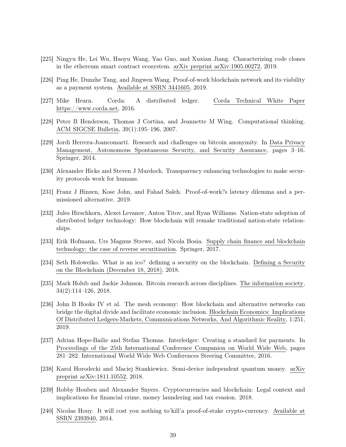- <span id="page-38-3"></span>[225] Ningyu He, Lei Wu, Haoyu Wang, Yao Guo, and Xuxian Jiang. Characterizing code clones in the ethereum smart contract ecosystem. arXiv preprint arXiv:1905.00272, 2019.
- <span id="page-38-10"></span>[226] Ping He, Dunzhe Tang, and Jingwen Wang. Proof-of-work blockchain network and its viability as a payment system. Available at SSRN 3441605, 2019.
- <span id="page-38-4"></span>[227] Mike Hearn. Corda: A distributed ledger. Corda Technical White Paper https://www.corda.net, 2016.
- <span id="page-38-14"></span>[228] Peter B Henderson, Thomas J Cortina, and Jeannette M Wing. Computational thinking. ACM SIGCSE Bulletin, 39(1):195–196, 2007.
- <span id="page-38-7"></span>[229] Jordi Herrera-Joancomartí. Research and challenges on bitcoin anonymity. In Data Privacy Management, Autonomous Spontaneous Security, and Security Assurance, pages 3–16. Springer, 2014.
- <span id="page-38-5"></span>[230] Alexander Hicks and Steven J Murdoch. Transparency enhancing technologies to make security protocols work for humans.
- <span id="page-38-6"></span>[231] Franz J Hinzen, Kose John, and Fahad Saleh. Proof-of-work?s latency dilemma and a permissioned alternative. 2019.
- <span id="page-38-8"></span>[232] Jules Hirschkorn, Alexei Levanov, Anton Titov, and Ryan Williams. Nation-state adoption of distributed ledger technology: How blockchain will remake traditional nation-state relationships.
- <span id="page-38-2"></span>[233] Erik Hofmann, Urs Magnus Strewe, and Nicola Bosia. Supply chain finance and blockchain technology: the case of reverse securitisation. Springer, 2017.
- <span id="page-38-1"></span>[234] Seth Holoweiko. What is an ico? defining a security on the blockchain. Defining a Security on the Blockchain (December 18, 2018), 2018.
- <span id="page-38-0"></span>[235] Mark Holub and Jackie Johnson. Bitcoin research across disciplines. The information society, 34(2):114–126, 2018.
- <span id="page-38-13"></span>[236] John B Hooks IV et al. The mesh economy: How blockchain and alternative networks can bridge the digital divide and facilitate economic inclusion. Blockchain Economics: Implications Of Distributed Ledgers-Markets, Communications Networks, And Algorithmic Reality, 1:251, 2019.
- <span id="page-38-9"></span>[237] Adrian Hope-Bailie and Stefan Thomas. Interledger: Creating a standard for payments. In Proceedings of the 25th International Conference Companion on World Wide Web, pages 281–282. International World Wide Web Conferences Steering Committee, 2016.
- <span id="page-38-15"></span>[238] Karol Horodecki and Maciej Stankiewicz. Semi-device independent quantum money. arXiv preprint arXiv:1811.10552, 2018.
- <span id="page-38-11"></span>[239] Robby Houben and Alexander Snyers. Cryptocurrencies and blockchain: Legal context and implications for financial crime, money laundering and tax evasion. 2018.
- <span id="page-38-12"></span>[240] Nicolas Houy. It will cost you nothing to'kill'a proof-of-stake crypto-currency. Available at SSRN 2393940, 2014.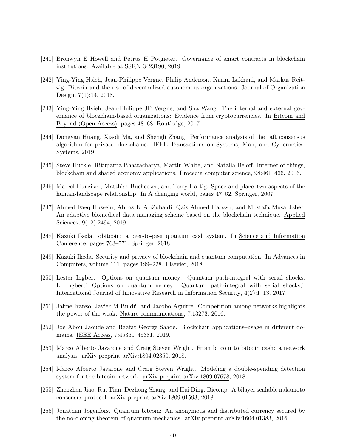- <span id="page-39-2"></span>[241] Bronwyn E Howell and Petrus H Potgieter. Governance of smart contracts in blockchain institutions. Available at SSRN 3423190, 2019.
- <span id="page-39-4"></span>[242] Ying-Ying Hsieh, Jean-Philippe Vergne, Philip Anderson, Karim Lakhani, and Markus Reitzig. Bitcoin and the rise of decentralized autonomous organizations. Journal of Organization Design, 7(1):14, 2018.
- <span id="page-39-5"></span>[243] Ying-Ying Hsieh, Jean-Philippe JP Vergne, and Sha Wang. The internal and external governance of blockchain-based organizations: Evidence from cryptocurrencies. In Bitcoin and Beyond (Open Access), pages 48–68. Routledge, 2017.
- <span id="page-39-6"></span>[244] Dongyan Huang, Xiaoli Ma, and Shengli Zhang. Performance analysis of the raft consensus algorithm for private blockchains. IEEE Transactions on Systems, Man, and Cybernetics: Systems, 2019.
- <span id="page-39-1"></span>[245] Steve Huckle, Rituparna Bhattacharya, Martin White, and Natalia Beloff. Internet of things, blockchain and shared economy applications. Procedia computer science, 98:461–466, 2016.
- <span id="page-39-8"></span>[246] Marcel Hunziker, Matthias Buchecker, and Terry Hartig. Space and place–two aspects of the human-landscape relationship. In A changing world, pages 47–62. Springer, 2007.
- <span id="page-39-3"></span>[247] Ahmed Faeq Hussein, Abbas K ALZubaidi, Qais Ahmed Habash, and Mustafa Musa Jaber. An adaptive biomedical data managing scheme based on the blockchain technique. Applied Sciences, 9(12):2494, 2019.
- <span id="page-39-15"></span>[248] Kazuki Ikeda. qbitcoin: a peer-to-peer quantum cash system. In Science and Information Conference, pages 763–771. Springer, 2018.
- <span id="page-39-12"></span>[249] Kazuki Ikeda. Security and privacy of blockchain and quantum computation. In Advances in Computers, volume 111, pages 199–228. Elsevier, 2018.
- <span id="page-39-14"></span>[250] Lester Ingber. Options on quantum money: Quantum path-integral with serial shocks. L. Ingber," Options on quantum money: Quantum path-integral with serial shocks," International Journal of Innovative Research in Information Security, 4(2):1–13, 2017.
- <span id="page-39-11"></span>[251] Jaime Iranzo, Javier M Buldú, and Jacobo Aguirre. Competition among networks highlights the power of the weak. Nature communications, 7:13273, 2016.
- <span id="page-39-0"></span>[252] Joe Abou Jaoude and Raafat George Saade. Blockchain applications–usage in different domains. IEEE Access, 7:45360–45381, 2019.
- <span id="page-39-9"></span>[253] Marco Alberto Javarone and Craig Steven Wright. From bitcoin to bitcoin cash: a network analysis. arXiv preprint arXiv:1804.02350, 2018.
- <span id="page-39-10"></span>[254] Marco Alberto Javarone and Craig Steven Wright. Modeling a double-spending detection system for the bitcoin network. arXiv preprint arXiv:1809.07678, 2018.
- <span id="page-39-7"></span>[255] Zhenzhen Jiao, Rui Tian, Dezhong Shang, and Hui Ding. Bicomp: A bilayer scalable nakamoto consensus protocol. arXiv preprint arXiv:1809.01593, 2018.
- <span id="page-39-13"></span>[256] Jonathan Jogenfors. Quantum bitcoin: An anonymous and distributed currency secured by the no-cloning theorem of quantum mechanics. arXiv preprint arXiv:1604.01383, 2016.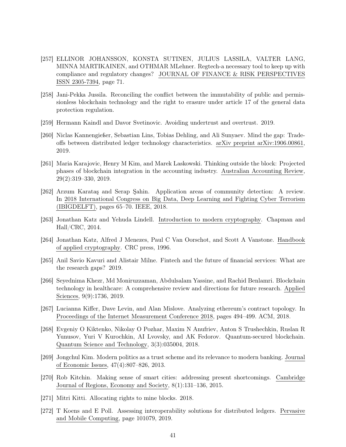- <span id="page-40-4"></span>[257] ELLINOR JOHANSSON, KONSTA SUTINEN, JULIUS LASSILA, VALTER LANG, MINNA MARTIKAINEN, and OTHMAR MLehner. Regtech-a necessary tool to keep up with compliance and regulatory changes? JOURNAL OF FINANCE & RISK PERSPECTIVES ISSN 2305-7394, page 71.
- <span id="page-40-7"></span>[258] Jani-Pekka Jussila. Reconciling the conflict between the immutability of public and permissionless blockchain technology and the right to erasure under article 17 of the general data protection regulation.
- <span id="page-40-9"></span>[259] Hermann Kaindl and Davor Svetinovic. Avoiding undertrust and overtrust. 2019.
- <span id="page-40-2"></span>[260] Niclas Kannengießer, Sebastian Lins, Tobias Dehling, and Ali Sunyaev. Mind the gap: Tradeoffs between distributed ledger technology characteristics. arXiv preprint arXiv:1906.00861, 2019.
- <span id="page-40-14"></span>[261] Maria Karajovic, Henry M Kim, and Marek Laskowski. Thinking outside the block: Projected phases of blockchain integration in the accounting industry. Australian Accounting Review, 29(2):319–330, 2019.
- <span id="page-40-11"></span>[262] Arzum Karataş and Serap Şahin. Application areas of community detection: A review. In 2018 International Congress on Big Data, Deep Learning and Fighting Cyber Terrorism (IBIGDELFT), pages 65–70. IEEE, 2018.
- <span id="page-40-1"></span>[263] Jonathan Katz and Yehuda Lindell. Introduction to modern cryptography. Chapman and Hall/CRC, 2014.
- <span id="page-40-0"></span>[264] Jonathan Katz, Alfred J Menezes, Paul C Van Oorschot, and Scott A Vanstone. Handbook of applied cryptography. CRC press, 1996.
- <span id="page-40-3"></span>[265] Anil Savio Kavuri and Alistair Milne. Fintech and the future of financial services: What are the research gaps? 2019.
- <span id="page-40-5"></span>[266] Seyednima Khezr, Md Moniruzzaman, Abdulsalam Yassine, and Rachid Benlamri. Blockchain technology in healthcare: A comprehensive review and directions for future research. Applied Sciences, 9(9):1736, 2019.
- <span id="page-40-12"></span>[267] Lucianna Kiffer, Dave Levin, and Alan Mislove. Analyzing ethereum's contract topology. In Proceedings of the Internet Measurement Conference 2018, pages 494–499. ACM, 2018.
- <span id="page-40-15"></span>[268] Evgeniy O Kiktenko, Nikolay O Pozhar, Maxim N Anufriev, Anton S Trushechkin, Ruslan R Yunusov, Yuri V Kurochkin, AI Lvovsky, and AK Fedorov. Quantum-secured blockchain. Quantum Science and Technology, 3(3):035004, 2018.
- <span id="page-40-10"></span>[269] Jongchul Kim. Modern politics as a trust scheme and its relevance to modern banking. Journal of Economic Issues, 47(4):807–826, 2013.
- <span id="page-40-6"></span>[270] Rob Kitchin. Making sense of smart cities: addressing present shortcomings. Cambridge Journal of Regions, Economy and Society, 8(1):131–136, 2015.
- <span id="page-40-8"></span>[271] Mitri Kitti. Allocating rights to mine blocks. 2018.
- <span id="page-40-13"></span>[272] T Koens and E Poll. Assessing interoperability solutions for distributed ledgers. Pervasive and Mobile Computing, page 101079, 2019.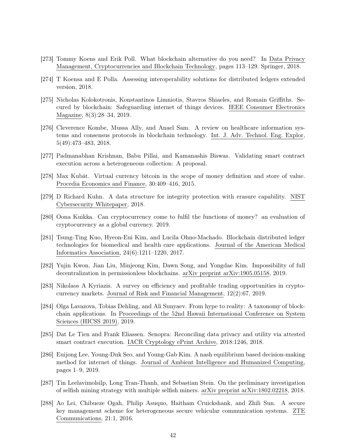- <span id="page-41-0"></span>[273] Tommy Koens and Erik Poll. What blockchain alternative do you need? In Data Privacy Management, Cryptocurrencies and Blockchain Technology, pages 113–129. Springer, 2018.
- <span id="page-41-12"></span>[274] T Koensa and E Polla. Assessing interoperability solutions for distributed ledgers extended version, 2018.
- <span id="page-41-2"></span>[275] Nicholas Kolokotronis, Konstantinos Limniotis, Stavros Shiaeles, and Romain Griffiths. Secured by blockchain: Safeguarding internet of things devices. IEEE Consumer Electronics Magazine, 8(3):28–34, 2019.
- <span id="page-41-6"></span>[276] Cleverence Kombe, Mussa Ally, and Anael Sam. A review on healthcare information systems and consensus protocols in blockchain technology. Int. J. Adv. Technol. Eng. Explor, 5(49):473–483, 2018.
- <span id="page-41-4"></span>[277] Padmanabhan Krishnan, Babu Pillai, and Kamanashis Biswas. Validating smart contract execution across a heterogeneous collection: A proposal.
- <span id="page-41-13"></span>[278] Max Kubát. Virtual currency bitcoin in the scope of money definition and store of value. Procedia Economics and Finance, 30:409–416, 2015.
- <span id="page-41-8"></span>[279] D Richard Kuhn. A data structure for integrity protection with erasure capability. NIST Cybersecurity Whitepaper, 2018.
- <span id="page-41-14"></span>[280] Oona Kuikka. Can cryptocurrency come to fulfil the functions of money? an evaluation of cryptocurrency as a global currency. 2019.
- <span id="page-41-5"></span>[281] Tsung-Ting Kuo, Hyeon-Eui Kim, and Lucila Ohno-Machado. Blockchain distributed ledger technologies for biomedical and health care applications. Journal of the American Medical Informatics Association, 24(6):1211–1220, 2017.
- <span id="page-41-7"></span>[282] Yujin Kwon, Jian Liu, Minjeong Kim, Dawn Song, and Yongdae Kim. Impossibility of full decentralization in permissionless blockchains. arXiv preprint arXiv:1905.05158, 2019.
- <span id="page-41-15"></span>[283] Nikolaos A Kyriazis. A survey on efficiency and profitable trading opportunities in cryptocurrency markets. Journal of Risk and Financial Management, 12(2):67, 2019.
- <span id="page-41-1"></span>[284] Olga Lavazova, Tobias Dehling, and Ali Sunyaev. From hype to reality: A taxonomy of blockchain applications. In Proceedings of the 52nd Hawaii International Conference on System Sciences (HICSS 2019), 2019.
- <span id="page-41-3"></span>[285] Dat Le Tien and Frank Eliassen. Senopra: Reconciling data privacy and utility via attested smart contract execution. IACR Cryptology ePrint Archive, 2018:1246, 2018.
- <span id="page-41-11"></span>[286] Euijong Lee, Young-Duk Seo, and Young-Gab Kim. A nash equilibrium based decision-making method for internet of things. Journal of Ambient Intelligence and Humanized Computing, pages 1–9, 2019.
- <span id="page-41-9"></span>[287] Tin Leelavimolsilp, Long Tran-Thanh, and Sebastian Stein. On the preliminary investigation of selfish mining strategy with multiple selfish miners. arXiv preprint arXiv:1802.02218, 2018.
- <span id="page-41-10"></span>[288] Ao Lei, Chibueze Ogah, Philip Asuquo, Haitham Cruickshank, and Zhili Sun. A secure key management scheme for heterogeneous secure vehicular communication systems. ZTE Communications, 21:1, 2016.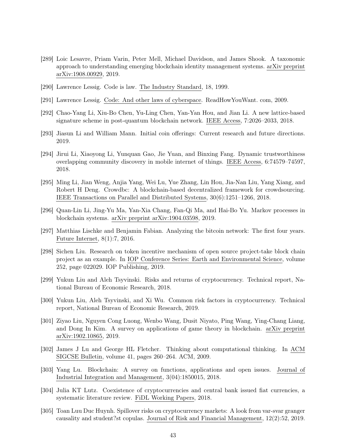- <span id="page-42-7"></span>[289] Loic Lesavre, Priam Varin, Peter Mell, Michael Davidson, and James Shook. A taxonomic approach to understanding emerging blockchain identity management systems. arXiv preprint arXiv:1908.00929, 2019.
- <span id="page-42-0"></span>[290] Lawrence Lessig. Code is law. The Industry Standard, 18, 1999.
- <span id="page-42-1"></span>[291] Lawrence Lessig. Code: And other laws of cyberspace. ReadHowYouWant. com, 2009.
- <span id="page-42-16"></span>[292] Chao-Yang Li, Xiu-Bo Chen, Yu-Ling Chen, Yan-Yan Hou, and Jian Li. A new lattice-based signature scheme in post-quantum blockchain network. IEEE Access, 7:2026–2033, 2018.
- <span id="page-42-3"></span>[293] Jiasun Li and William Mann. Initial coin offerings: Current research and future directions. 2019.
- <span id="page-42-8"></span>[294] Jirui Li, Xiaoyong Li, Yunquan Gao, Jie Yuan, and Binxing Fang. Dynamic trustworthiness overlapping community discovery in mobile internet of things. IEEE Access, 6:74579–74597, 2018.
- <span id="page-42-5"></span>[295] Ming Li, Jian Weng, Anjia Yang, Wei Lu, Yue Zhang, Lin Hou, Jia-Nan Liu, Yang Xiang, and Robert H Deng. Crowdbc: A blockchain-based decentralized framework for crowdsourcing. IEEE Transactions on Parallel and Distributed Systems, 30(6):1251–1266, 2018.
- <span id="page-42-10"></span>[296] Quan-Lin Li, Jing-Yu Ma, Yan-Xia Chang, Fan-Qi Ma, and Hai-Bo Yu. Markov processes in blockchain systems. arXiv preprint arXiv:1904.03598, 2019.
- <span id="page-42-9"></span>[297] Matthias Lischke and Benjamin Fabian. Analyzing the bitcoin network: The first four years. Future Internet, 8(1):7, 2016.
- <span id="page-42-6"></span>[298] Sichen Liu. Research on token incentive mechanism of open source project-take block chain project as an example. In IOP Conference Series: Earth and Environmental Science, volume 252, page 022029. IOP Publishing, 2019.
- <span id="page-42-14"></span>[299] Yukun Liu and Aleh Tsyvinski. Risks and returns of cryptocurrency. Technical report, National Bureau of Economic Research, 2018.
- <span id="page-42-13"></span>[300] Yukun Liu, Aleh Tsyvinski, and Xi Wu. Common risk factors in cryptocurrency. Technical report, National Bureau of Economic Research, 2019.
- <span id="page-42-4"></span>[301] Ziyao Liu, Nguyen Cong Luong, Wenbo Wang, Dusit Niyato, Ping Wang, Ying-Chang Liang, and Dong In Kim. A survey on applications of game theory in blockchain. arXiv preprint arXiv:1902.10865, 2019.
- <span id="page-42-15"></span>[302] James J Lu and George HL Fletcher. Thinking about computational thinking. In ACM SIGCSE Bulletin, volume 41, pages 260–264. ACM, 2009.
- <span id="page-42-2"></span>[303] Yang Lu. Blockchain: A survey on functions, applications and open issues. Journal of Industrial Integration and Management, 3(04):1850015, 2018.
- <span id="page-42-11"></span>[304] Julia KT Lutz. Coexistence of cryptocurrencies and central bank issued fiat currencies, a systematic literature review. FiDL Working Papers, 2018.
- <span id="page-42-12"></span>[305] Toan Luu Duc Huynh. Spillover risks on cryptocurrency markets: A look from var-svar granger causality and student?st copulas. Journal of Risk and Financial Management, 12(2):52, 2019.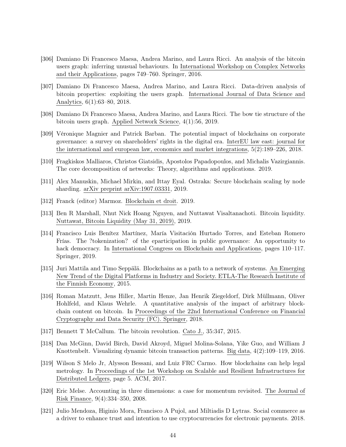- <span id="page-43-6"></span>[306] Damiano Di Francesco Maesa, Andrea Marino, and Laura Ricci. An analysis of the bitcoin users graph: inferring unusual behaviours. In International Workshop on Complex Networks and their Applications, pages 749–760. Springer, 2016.
- <span id="page-43-7"></span>[307] Damiano Di Francesco Maesa, Andrea Marino, and Laura Ricci. Data-driven analysis of bitcoin properties: exploiting the users graph. International Journal of Data Science and Analytics, 6(1):63–80, 2018.
- <span id="page-43-8"></span>[308] Damiano Di Francesco Maesa, Andrea Marino, and Laura Ricci. The bow tie structure of the bitcoin users graph. Applied Network Science, 4(1):56, 2019.
- <span id="page-43-13"></span>[309] Véronique Magnier and Patrick Barban. The potential impact of blockchains on corporate governance: a survey on shareholders' rights in the digital era. InterEU law east: journal for the international and european law, economics and market integrations, 5(2):189–226, 2018.
- <span id="page-43-4"></span>[310] Fragkiskos Malliaros, Christos Giatsidis, Apostolos Papadopoulos, and Michalis Vazirgiannis. The core decomposition of networks: Theory, algorithms and applications. 2019.
- <span id="page-43-3"></span>[311] Alex Manuskin, Michael Mirkin, and Ittay Eyal. Ostraka: Secure blockchain scaling by node sharding. arXiv preprint arXiv:1907.03331, 2019.
- <span id="page-43-0"></span>[312] Franck (editor) Marmoz. Blockchain et droit. 2019.
- <span id="page-43-11"></span>[313] Ben R Marshall, Nhut Nick Hoang Nguyen, and Nuttawat Visaltanachoti. Bitcoin liquidity. Nuttawat, Bitcoin Liquidity (May 31, 2019), 2019.
- <span id="page-43-2"></span>[314] Francisco Luis Benítez Martínez, María Visitación Hurtado Torres, and Esteban Romero Frías. The ?tokenization? of the eparticipation in public governance: An opportunity to hack democracy. In International Congress on Blockchain and Applications, pages 110–117. Springer, 2019.
- <span id="page-43-9"></span>[315] Juri Mattila and Timo Seppälä. Blockchains as a path to a network of systems. An Emerging New Trend of the Digital Platforms in Industry and Society. ETLA-The Research Institute of the Finnish Economy, 2015.
- <span id="page-43-14"></span>[316] Roman Matzutt, Jens Hiller, Martin Henze, Jan Henrik Ziegeldorf, Dirk Müllmann, Oliver Hohlfeld, and Klaus Wehrle. A quantitative analysis of the impact of arbitrary blockchain content on bitcoin. In Proceedings of the 22nd International Conference on Financial Cryptography and Data Security (FC). Springer, 2018.
- <span id="page-43-12"></span>[317] Bennett T McCallum. The bitcoin revolution. Cato J., 35:347, 2015.
- <span id="page-43-5"></span>[318] Dan McGinn, David Birch, David Akroyd, Miguel Molina-Solana, Yike Guo, and William J Knottenbelt. Visualizing dynamic bitcoin transaction patterns. Big data, 4(2):109–119, 2016.
- <span id="page-43-1"></span>[319] Wilson S Melo Jr, Alysson Bessani, and Luiz FRC Carmo. How blockchains can help legal metrology. In Proceedings of the 1st Workshop on Scalable and Resilient Infrastructures for Distributed Ledgers, page 5. ACM, 2017.
- <span id="page-43-10"></span>[320] Eric Melse. Accounting in three dimensions: a case for momentum revisited. The Journal of Risk Finance, 9(4):334–350, 2008.
- <span id="page-43-15"></span>[321] Julio Mendoza, Higinio Mora, Francisco A Pujol, and Miltiadis D Lytras. Social commerce as a driver to enhance trust and intention to use cryptocurrencies for electronic payments. 2018.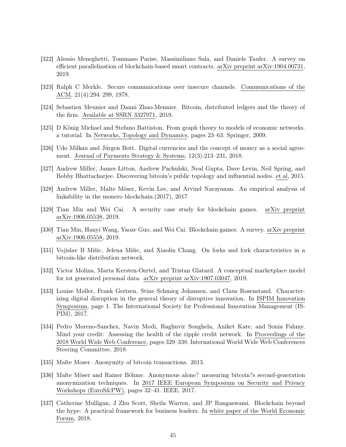- <span id="page-44-3"></span>[322] Alessio Meneghetti, Tommaso Parise, Massimiliano Sala, and Daniele Taufer. A survey on efficient parallelization of blockchain-based smart contracts. arXiv preprint arXiv:1904.00731, 2019.
- <span id="page-44-0"></span>[323] Ralph C Merkle. Secure communications over insecure channels. Communications of the ACM, 21(4):294–299, 1978.
- <span id="page-44-13"></span>[324] Sebastien Meunier and Danni Zhao-Meunier. Bitcoin, distributed ledgers and the theory of the firm. Available at SSRN 3327971, 2019.
- <span id="page-44-8"></span>[325] D König Michael and Stefano Battiston. From graph theory to models of economic networks. a tutorial. In Networks, Topology and Dynamics, pages 23–63. Springer, 2009.
- <span id="page-44-14"></span>[326] Udo Milkau and Jürgen Bott. Digital currencies and the concept of money as a social agreement. Journal of Payments Strategy & Systems, 12(3):213–231, 2018.
- <span id="page-44-9"></span>[327] Andrew Miller, James Litton, Andrew Pachulski, Neal Gupta, Dave Levin, Neil Spring, and Bobby Bhattacharjee. Discovering bitcoin's public topology and influential nodes. et al, 2015.
- <span id="page-44-10"></span>[328] Andrew Miller, Malte Möser, Kevin Lee, and Arvind Narayanan. An empirical analysis of linkability in the monero blockchain.(2017), 2017.
- <span id="page-44-5"></span>[329] Tian Min and Wei Cai. A security case study for blockchain games. arXiv preprint arXiv:1906.05538, 2019.
- <span id="page-44-4"></span>[330] Tian Min, Hanyi Wang, Yaoze Guo, and Wei Cai. Blockchain games: A survey. arXiv preprint arXiv:1906.05558, 2019.
- <span id="page-44-12"></span>[331] Vojislav B Mišic, Jelena Mišic, and Xiaolin Chang. On forks and fork characteristics in a bitcoin-like distribution network.
- <span id="page-44-15"></span>[332] Victor Molina, Marta Kersten-Oertel, and Tristan Glatard. A conceptual marketplace model for iot generated personal data. arXiv preprint arXiv:1907.03047, 2019.
- <span id="page-44-2"></span>[333] Louise Møller, Frank Gertsen, Stine Schmieg Johansen, and Claus Rosenstand. Characterizing digital disruption in the general theory of disruptive innovation. In ISPIM Innovation Symposium, page 1. The International Society for Professional Innovation Management (IS-PIM), 2017.
- <span id="page-44-11"></span>[334] Pedro Moreno-Sanchez, Navin Modi, Raghuvir Songhela, Aniket Kate, and Sonia Fahmy. Mind your credit: Assessing the health of the ripple credit network. In Proceedings of the 2018 World Wide Web Conference, pages 329–338. International World Wide Web Conferences Steering Committee, 2018.
- <span id="page-44-7"></span>[335] Malte Moser. Anonymity of bitcoin transactions. 2013.
- <span id="page-44-6"></span>[336] Malte Möser and Rainer Böhme. Anonymous alone? measuring bitcoin?s second-generation anonymization techniques. In 2017 IEEE European Symposium on Security and Privacy Workshops (EuroS&PW), pages 32–41. IEEE, 2017.
- <span id="page-44-1"></span>[337] Catherine Mulligan, J Zhu Scott, Sheila Warren, and JP Rangaswami. Blockchain beyond the hype: A practical framework for business leaders. In white paper of the World Economic Forum, 2018.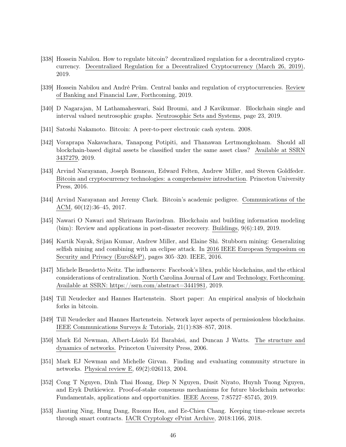- <span id="page-45-14"></span>[338] Hossein Nabilou. How to regulate bitcoin? decentralized regulation for a decentralized cryptocurrency. Decentralized Regulation for a Decentralized Cryptocurrency (March 26, 2019), 2019.
- <span id="page-45-15"></span>[339] Hossein Nabilou and André Prüm. Central banks and regulation of cryptocurrencies. Review of Banking and Financial Law, Forthcoming, 2019.
- <span id="page-45-10"></span>[340] D Nagarajan, M Lathamaheswari, Said Broumi, and J Kavikumar. Blockchain single and interval valued neutrosophic graphs. Neutrosophic Sets and Systems, page 23, 2019.
- <span id="page-45-0"></span>[341] Satoshi Nakamoto. Bitcoin: A peer-to-peer electronic cash system. 2008.
- <span id="page-45-13"></span>[342] Voraprapa Nakavachara, Tanapong Potipiti, and Thanawan Lertmongkolnam. Should all blockchain-based digital assets be classified under the same asset class? Available at SSRN 3437279, 2019.
- <span id="page-45-2"></span>[343] Arvind Narayanan, Joseph Bonneau, Edward Felten, Andrew Miller, and Steven Goldfeder. Bitcoin and cryptocurrency technologies: a comprehensive introduction. Princeton University Press, 2016.
- <span id="page-45-1"></span>[344] Arvind Narayanan and Jeremy Clark. Bitcoin's academic pedigree. Communications of the ACM, 60(12):36–45, 2017.
- <span id="page-45-4"></span>[345] Nawari O Nawari and Shriraam Ravindran. Blockchain and building information modeling (bim): Review and applications in post-disaster recovery. Buildings, 9(6):149, 2019.
- <span id="page-45-7"></span>[346] Kartik Nayak, Srijan Kumar, Andrew Miller, and Elaine Shi. Stubborn mining: Generalizing selfish mining and combining with an eclipse attack. In 2016 IEEE European Symposium on Security and Privacy (EuroS&P), pages 305–320. IEEE, 2016.
- <span id="page-45-5"></span>[347] Michele Benedetto Neitz. The influencers: Facebook's libra, public blockchains, and the ethical considerations of centralization. North Carolina Journal of Law and Technology, Forthcoming. Available at SSRN: https://ssrn.com/abstract=3441981, 2019.
- <span id="page-45-12"></span>[348] Till Neudecker and Hannes Hartenstein. Short paper: An empirical analysis of blockchain forks in bitcoin.
- <span id="page-45-11"></span>[349] Till Neudecker and Hannes Hartenstein. Network layer aspects of permissionless blockchains. IEEE Communications Surveys & Tutorials, 21(1):838–857, 2018.
- <span id="page-45-9"></span>[350] Mark Ed Newman, Albert-László Ed Barabási, and Duncan J Watts. The structure and dynamics of networks. Princeton University Press, 2006.
- <span id="page-45-8"></span>[351] Mark EJ Newman and Michelle Girvan. Finding and evaluating community structure in networks. Physical review E, 69(2):026113, 2004.
- <span id="page-45-6"></span>[352] Cong T Nguyen, Dinh Thai Hoang, Diep N Nguyen, Dusit Niyato, Huynh Tuong Nguyen, and Eryk Dutkiewicz. Proof-of-stake consensus mechanisms for future blockchain networks: Fundamentals, applications and opportunities. IEEE Access, 7:85727–85745, 2019.
- <span id="page-45-3"></span>[353] Jianting Ning, Hung Dang, Ruomu Hou, and Ee-Chien Chang. Keeping time-release secrets through smart contracts. IACR Cryptology ePrint Archive, 2018:1166, 2018.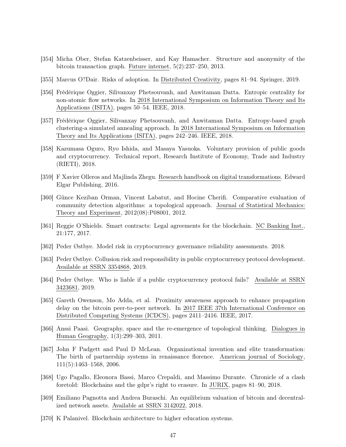- <span id="page-46-11"></span>[354] Micha Ober, Stefan Katzenbeisser, and Kay Hamacher. Structure and anonymity of the bitcoin transaction graph. Future internet, 5(2):237–250, 2013.
- <span id="page-46-16"></span>[355] Marcus O?Dair. Risks of adoption. In Distributed Creativity, pages 81–94. Springer, 2019.
- <span id="page-46-8"></span>[356] Frédérique Oggier, Silivanxay Phetsouvanh, and Anwitaman Datta. Entropic centrality for non-atomic flow networks. In 2018 International Symposium on Information Theory and Its Applications (ISITA), pages 50–54. IEEE, 2018.
- <span id="page-46-9"></span>[357] Frédérique Oggier, Silivanxay Phetsouvanh, and Anwitaman Datta. Entropy-based graph clustering-a simulated annealing approach. In 2018 International Symposium on Information Theory and Its Applications (ISITA), pages 242–246. IEEE, 2018.
- <span id="page-46-13"></span>[358] Kazumasa Oguro, Ryo Ishida, and Masaya Yasuoka. Voluntary provision of public goods and cryptocurrency. Technical report, Research Institute of Economy, Trade and Industry (RIETI), 2018.
- <span id="page-46-0"></span>[359] F Xavier Olleros and Majlinda Zhegu. Research handbook on digital transformations. Edward Elgar Publishing, 2016.
- <span id="page-46-5"></span>[360] Günce Keziban Orman, Vincent Labatut, and Hocine Cherifi. Comparative evaluation of community detection algorithms: a topological approach. Journal of Statistical Mechanics: Theory and Experiment, 2012(08):P08001, 2012.
- <span id="page-46-2"></span>[361] Reggie O'Shields. Smart contracts: Legal agreements for the blockchain. NC Banking Inst., 21:177, 2017.
- <span id="page-46-14"></span>[362] Peder Østbye. Model risk in cryptocurrency governance reliability assessments. 2018.
- <span id="page-46-15"></span>[363] Peder Østbye. Collusion risk and responsibility in public cryptocurrency protocol development. Available at SSRN 3354868, 2019.
- <span id="page-46-1"></span>[364] Peder Østbye. Who is liable if a public cryptocurrency protocol fails? Available at SSRN 3423681, 2019.
- <span id="page-46-10"></span>[365] Gareth Owenson, Mo Adda, et al. Proximity awareness approach to enhance propagation delay on the bitcoin peer-to-peer network. In 2017 IEEE 37th International Conference on Distributed Computing Systems (ICDCS), pages 2411–2416. IEEE, 2017.
- <span id="page-46-7"></span>[366] Anssi Paasi. Geography, space and the re-emergence of topological thinking. Dialogues in Human Geography, 1(3):299–303, 2011.
- <span id="page-46-6"></span>[367] John F Padgett and Paul D McLean. Organizational invention and elite transformation: The birth of partnership systems in renaissance florence. American journal of Sociology, 111(5):1463–1568, 2006.
- <span id="page-46-4"></span>[368] Ugo Pagallo, Eleonora Bassi, Marco Crepaldi, and Massimo Durante. Chronicle of a clash foretold: Blockchains and the gdpr's right to erasure. In JURIX, pages 81–90, 2018.
- <span id="page-46-12"></span>[369] Emiliano Pagnotta and Andrea Buraschi. An equilibrium valuation of bitcoin and decentralized network assets. Available at SSRN 3142022, 2018.
- <span id="page-46-3"></span>[370] K Palanivel. Blockchain architecture to higher education systems.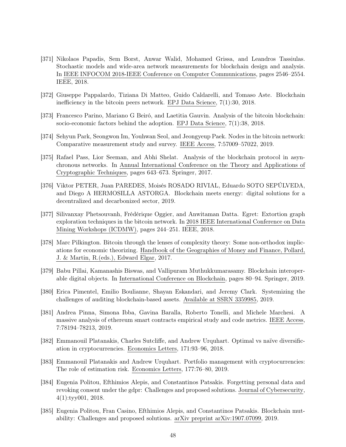- <span id="page-47-7"></span>[371] Nikolaos Papadis, Sem Borst, Anwar Walid, Mohamed Grissa, and Leandros Tassiulas. Stochastic models and wide-area network measurements for blockchain design and analysis. In IEEE INFOCOM 2018-IEEE Conference on Computer Communications, pages 2546–2554. IEEE, 2018.
- <span id="page-47-6"></span>[372] Giuseppe Pappalardo, Tiziana Di Matteo, Guido Caldarelli, and Tomaso Aste. Blockchain inefficiency in the bitcoin peers network. EPJ Data Science, 7(1):30, 2018.
- <span id="page-47-14"></span>[373] Francesco Parino, Mariano G Beiró, and Laetitia Gauvin. Analysis of the bitcoin blockchain: socio-economic factors behind the adoption. EPJ Data Science, 7(1):38, 2018.
- <span id="page-47-4"></span>[374] Sehyun Park, Seongwon Im, Youhwan Seol, and Jeongyeup Paek. Nodes in the bitcoin network: Comparative measurement study and survey. IEEE Access, 7:57009–57022, 2019.
- <span id="page-47-3"></span>[375] Rafael Pass, Lior Seeman, and Abhi Shelat. Analysis of the blockchain protocol in asynchronous networks. In Annual International Conference on the Theory and Applications of Cryptographic Techniques, pages 643–673. Springer, 2017.
- <span id="page-47-1"></span>[376] Viktor PETER, Juan PAREDES, Moisés ROSADO RIVIAL, Eduardo SOTO SEPÚLVEDA, and Diego A HERMOSILLA ASTORGA. Blockchain meets energy: digital solutions for a decentralized and decarbonized sector, 2019.
- <span id="page-47-5"></span>[377] Silivanxay Phetsouvanh, Frédérique Oggier, and Anwitaman Datta. Egret: Extortion graph exploration techniques in the bitcoin network. In 2018 IEEE International Conference on Data Mining Workshops (ICDMW), pages 244–251. IEEE, 2018.
- <span id="page-47-9"></span>[378] Marc Pilkington. Bitcoin through the lenses of complexity theory: Some non-orthodox implications for economic theorizing. Handbook of the Geographies of Money and Finance, Pollard, J. & Martin, R.(eds.), Edward Elgar, 2017.
- <span id="page-47-10"></span>[379] Babu Pillai, Kamanashis Biswas, and Vallipuram Muthukkumarasamy. Blockchain interoperable digital objects. In International Conference on Blockchain, pages 80–94. Springer, 2019.
- <span id="page-47-8"></span>[380] Erica Pimentel, Emilio Boulianne, Shayan Eskandari, and Jeremy Clark. Systemizing the challenges of auditing blockchain-based assets. Available at SSRN 3359985, 2019.
- <span id="page-47-0"></span>[381] Andrea Pinna, Simona Ibba, Gavina Baralla, Roberto Tonelli, and Michele Marchesi. A massive analysis of ethereum smart contracts empirical study and code metrics. IEEE Access, 7:78194–78213, 2019.
- <span id="page-47-13"></span>[382] Emmanouil Platanakis, Charles Sutcliffe, and Andrew Urquhart. Optimal vs naïve diversification in cryptocurrencies. Economics Letters, 171:93–96, 2018.
- <span id="page-47-12"></span>[383] Emmanouil Platanakis and Andrew Urquhart. Portfolio management with cryptocurrencies: The role of estimation risk. Economics Letters, 177:76–80, 2019.
- <span id="page-47-11"></span>[384] Eugenia Politou, Efthimios Alepis, and Constantinos Patsakis. Forgetting personal data and revoking consent under the gdpr: Challenges and proposed solutions. Journal of Cybersecurity, 4(1):tyy001, 2018.
- <span id="page-47-2"></span>[385] Eugenia Politou, Fran Casino, Efthimios Alepis, and Constantinos Patsakis. Blockchain mutability: Challenges and proposed solutions. arXiv preprint arXiv:1907.07099, 2019.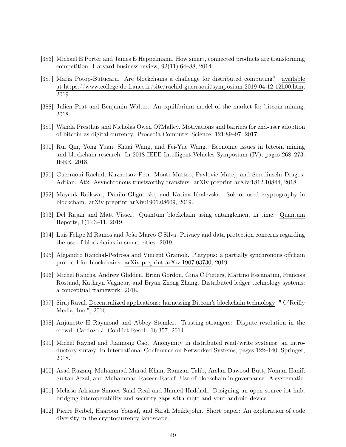- <span id="page-48-13"></span>[386] Michael E Porter and James E Heppelmann. How smart, connected products are transforming competition. Harvard business review, 92(11):64–88, 2014.
- <span id="page-48-4"></span>[387] Maria Potop-Butucaru. Are blockchains a challenge for distributed computing? available at https://www.college-de-france.fr/site/rachid-guerraoui/symposium-2019-04-12-12h00.htm, 2019.
- <span id="page-48-9"></span>[388] Julien Prat and Benjamin Walter. An equilibrium model of the market for bitcoin mining. 2018.
- <span id="page-48-15"></span>[389] Wanda Presthus and Nicholas Owen O?Malley. Motivations and barriers for end-user adoption of bitcoin as digital currency. Procedia Computer Science, 121:89–97, 2017.
- <span id="page-48-1"></span>[390] Rui Qin, Yong Yuan, Shuai Wang, and Fei-Yue Wang. Economic issues in bitcoin mining and blockchain research. In 2018 IEEE Intelligent Vehicles Symposium (IV), pages 268–273. IEEE, 2018.
- <span id="page-48-7"></span>[391] Guerraoui Rachid, Kuznetsov Petr, Monti Matteo, Pavlovic Matej, and Seredinschi Dragos-Adrian. At2: Asynchronous trustworthy transfers. arXiv preprint arXiv:1812.10844, 2018.
- <span id="page-48-10"></span>[392] Mayank Raikwar, Danilo Gligoroski, and Katina Kralevska. Sok of used cryptography in blockchain. arXiv preprint arXiv:1906.08609, 2019.
- <span id="page-48-16"></span>[393] Del Rajan and Matt Visser. Quantum blockchain using entanglement in time. Quantum Reports, 1(1):3–11, 2019.
- <span id="page-48-3"></span>[394] Luis Felipe M Ramos and João Marco C Silva. Privacy and data protection concerns regarding the use of blockchains in smart cities. 2019.
- <span id="page-48-8"></span>[395] Alejandro Ranchal-Pedrosa and Vincent Gramoli. Platypus: a partially synchronous offchain protocol for blockchains. arXiv preprint arXiv:1907.03730, 2019.
- <span id="page-48-5"></span>[396] Michel Rauchs, Andrew Glidden, Brian Gordon, Gina C Pieters, Martino Recanatini, Francois Rostand, Kathryn Vagneur, and Bryan Zheng Zhang. Distributed ledger technology systems: a conceptual framework. 2018.
- <span id="page-48-6"></span>[397] Siraj Raval. Decentralized applications: harnessing Bitcoin's blockchain technology. " O'Reilly Media, Inc.", 2016.
- <span id="page-48-2"></span>[398] Anjanette H Raymond and Abbey Stemler. Trusting strangers: Dispute resolution in the crowd. Cardozo J. Conflict Resol., 16:357, 2014.
- <span id="page-48-11"></span>[399] Michel Raynal and Jiannong Cao. Anonymity in distributed read/write systems: an introductory survey. In International Conference on Networked Systems, pages 122–140. Springer, 2018.
- <span id="page-48-0"></span>[400] Asad Razzaq, Muhammad Murad Khan, Ramzan Talib, Arslan Dawood Butt, Noman Hanif, Sultan Afzal, and Muhammad Razeen Raouf. Use of blockchain in governance: A systematic.
- <span id="page-48-14"></span>[401] Melissa Adriana Simoes Saial Real and Hamed Haddadi. Designing an open source iot hub: bridging interoperability and security gaps with mqtt and your android device.
- <span id="page-48-12"></span>[402] Pierre Reibel, Haaroon Yousaf, and Sarah Meiklejohn. Short paper: An exploration of code diversity in the cryptocurrency landscape.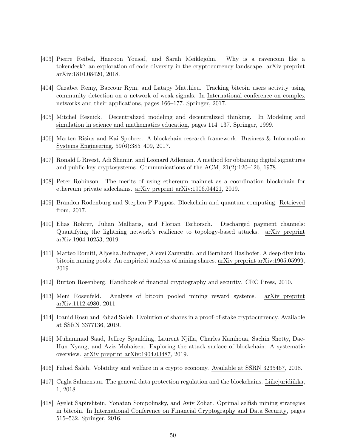- <span id="page-49-12"></span>[403] Pierre Reibel, Haaroon Yousaf, and Sarah Meiklejohn. Why is a ravencoin like a tokendesk? an exploration of code diversity in the cryptocurrency landscape. arXiv preprint arXiv:1810.08420, 2018.
- <span id="page-49-8"></span>[404] Cazabet Remy, Baccour Rym, and Latapy Matthieu. Tracking bitcoin users activity using community detection on a network of weak signals. In International conference on complex networks and their applications, pages 166–177. Springer, 2017.
- <span id="page-49-3"></span>[405] Mitchel Resnick. Decentralized modeling and decentralized thinking. In Modeling and simulation in science and mathematics education, pages 114–137. Springer, 1999.
- <span id="page-49-2"></span>[406] Marten Risius and Kai Spohrer. A blockchain research framework. Business & Information Systems Engineering, 59(6):385–409, 2017.
- <span id="page-49-1"></span>[407] Ronald L Rivest, Adi Shamir, and Leonard Adleman. A method for obtaining digital signatures and public-key cryptosystems. Communications of the ACM, 21(2):120–126, 1978.
- <span id="page-49-11"></span>[408] Peter Robinson. The merits of using ethereum mainnet as a coordination blockchain for ethereum private sidechains. arXiv preprint arXiv:1906.04421, 2019.
- <span id="page-49-15"></span>[409] Brandon Rodenburg and Stephen P Pappas. Blockchain and quantum computing. Retrieved from, 2017.
- <span id="page-49-10"></span>[410] Elias Rohrer, Julian Malliaris, and Florian Tschorsch. Discharged payment channels: Quantifying the lightning network's resilience to topology-based attacks. arXiv preprint arXiv:1904.10253, 2019.
- <span id="page-49-6"></span>[411] Matteo Romiti, Aljosha Judmayer, Alexei Zamyatin, and Bernhard Haslhofer. A deep dive into bitcoin mining pools: An empirical analysis of mining shares. arXiv preprint arXiv:1905.05999, 2019.
- <span id="page-49-0"></span>[412] Burton Rosenberg. Handbook of financial cryptography and security. CRC Press, 2010.
- <span id="page-49-5"></span>[413] Meni Rosenfeld. Analysis of bitcoin pooled mining reward systems. arXiv preprint arXiv:1112.4980, 2011.
- <span id="page-49-13"></span>[414] Ioanid Rosu and Fahad Saleh. Evolution of shares in a proof-of-stake cryptocurrency. Available at SSRN 3377136, 2019.
- <span id="page-49-9"></span>[415] Muhammad Saad, Jeffrey Spaulding, Laurent Njilla, Charles Kamhoua, Sachin Shetty, Dae-Hun Nyang, and Aziz Mohaisen. Exploring the attack surface of blockchain: A systematic overview. arXiv preprint arXiv:1904.03487, 2019.
- <span id="page-49-4"></span>[416] Fahad Saleh. Volatility and welfare in a crypto economy. Available at SSRN 3235467, 2018.
- <span id="page-49-14"></span>[417] Cagla Salmensuu. The general data protection regulation and the blockchains. Liikejuridiikka, 1, 2018.
- <span id="page-49-7"></span>[418] Ayelet Sapirshtein, Yonatan Sompolinsky, and Aviv Zohar. Optimal selfish mining strategies in bitcoin. In International Conference on Financial Cryptography and Data Security, pages 515–532. Springer, 2016.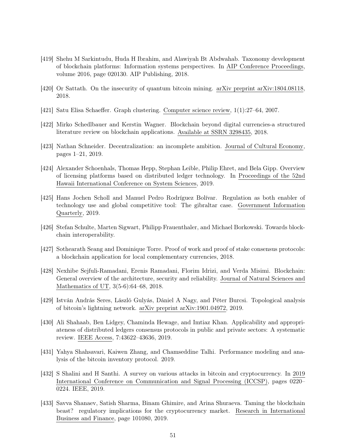- <span id="page-50-5"></span>[419] Shehu M Sarkintudu, Huda H Ibrahim, and Alawiyah Bt Abdwahab. Taxonomy development of blockchain platforms: Information systems perspectives. In AIP Conference Proceedings, volume 2016, page 020130. AIP Publishing, 2018.
- <span id="page-50-14"></span>[420] Or Sattath. On the insecurity of quantum bitcoin mining. arXiv preprint arXiv:1804.08118, 2018.
- <span id="page-50-6"></span>[421] Satu Elisa Schaeffer. Graph clustering. Computer science review, 1(1):27–64, 2007.
- <span id="page-50-2"></span>[422] Mirko Schedlbauer and Kerstin Wagner. Blockchain beyond digital currencies-a structured literature review on blockchain applications. Available at SSRN 3298435, 2018.
- <span id="page-50-4"></span>[423] Nathan Schneider. Decentralization: an incomplete ambition. Journal of Cultural Economy, pages 1–21, 2019.
- <span id="page-50-3"></span>[424] Alexander Schoenhals, Thomas Hepp, Stephan Leible, Philip Ehret, and Bela Gipp. Overview of licensing platforms based on distributed ledger technology. In Proceedings of the 52nd Hawaii International Conference on System Sciences, 2019.
- <span id="page-50-13"></span>[425] Hans Jochen Scholl and Manuel Pedro Rodríguez Bolívar. Regulation as both enabler of technology use and global competitive tool: The gibraltar case. Government Information Quarterly, 2019.
- <span id="page-50-10"></span>[426] Stefan Schulte, Marten Sigwart, Philipp Frauenthaler, and Michael Borkowski. Towards blockchain interoperability.
- <span id="page-50-11"></span>[427] Sothearath Seang and Dominique Torre. Proof of work and proof of stake consensus protocols: a blockchain application for local complementary currencies, 2018.
- <span id="page-50-1"></span>[428] Nexhibe Sejfuli-Ramadani, Erenis Ramadani, Florim Idrizi, and Verda Misimi. Blockchain: General overview of the architecture, security and reliability. Journal of Natural Sciences and Mathematics of UT, 3(5-6):64–68, 2018.
- <span id="page-50-7"></span>[429] István András Seres, László Gulyás, Dániel A Nagy, and Péter Burcsi. Topological analysis of bitcoin's lightning network. arXiv preprint arXiv:1901.04972, 2019.
- <span id="page-50-0"></span>[430] Ali Shahaab, Ben Lidgey, Chaminda Hewage, and Imtiaz Khan. Applicability and appropriateness of distributed ledgers consensus protocols in public and private sectors: A systematic review. IEEE Access, 7:43622–43636, 2019.
- <span id="page-50-9"></span>[431] Yahya Shahsavari, Kaiwen Zhang, and Chamseddine Talhi. Performance modeling and analysis of the bitcoin inventory protocol. 2019.
- <span id="page-50-8"></span>[432] S Shalini and H Santhi. A survey on various attacks in bitcoin and cryptocurrency. In 2019 International Conference on Communication and Signal Processing (ICCSP), pages 0220– 0224. IEEE, 2019.
- <span id="page-50-12"></span>[433] Savva Shanaev, Satish Sharma, Binam Ghimire, and Arina Shuraeva. Taming the blockchain beast? regulatory implications for the cryptocurrency market. Research in International Business and Finance, page 101080, 2019.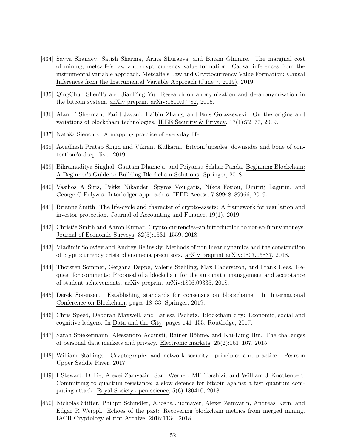- <span id="page-51-11"></span>[434] Savva Shanaev, Satish Sharma, Arina Shuraeva, and Binam Ghimire. The marginal cost of mining, metcalfe's law and cryptocurrency value formation: Causal inferences from the instrumental variable approach. Metcalfe's Law and Cryptocurrency Value Formation: Causal Inferences from the Instrumental Variable Approach (June 7, 2019), 2019.
- <span id="page-51-12"></span>[435] QingChun ShenTu and JianPing Yu. Research on anonymization and de-anonymization in the bitcoin system. arXiv preprint arXiv:1510.07782, 2015.
- <span id="page-51-0"></span>[436] Alan T Sherman, Farid Javani, Haibin Zhang, and Enis Golaszewski. On the origins and variations of blockchain technologies. IEEE Security & Privacy, 17(1):72–77, 2019.
- <span id="page-51-13"></span>[437] Nataša Siencnik. A mapping practice of everyday life.
- <span id="page-51-4"></span>[438] Awadhesh Pratap Singh and Vikrant Kulkarni. Bitcoin?upsides, downsides and bone of contention?a deep dive. 2019.
- <span id="page-51-2"></span>[439] Bikramaditya Singhal, Gautam Dhameja, and Priyansu Sekhar Panda. Beginning Blockchain: A Beginner's Guide to Building Blockchain Solutions. Springer, 2018.
- <span id="page-51-8"></span>[440] Vasilios A Siris, Pekka Nikander, Spyros Voulgaris, Nikos Fotiou, Dmitrij Lagutin, and George C Polyzos. Interledger approaches. IEEE Access, 7:89948–89966, 2019.
- <span id="page-51-5"></span>[441] Brianne Smith. The life-cycle and character of crypto-assets: A framework for regulation and investor protection. Journal of Accounting and Finance, 19(1), 2019.
- <span id="page-51-3"></span>[442] Christie Smith and Aaron Kumar. Crypto-currencies–an introduction to not-so-funny moneys. Journal of Economic Surveys, 32(5):1531–1559, 2018.
- <span id="page-51-15"></span>[443] Vladimir Soloviev and Andrey Belinskiy. Methods of nonlinear dynamics and the construction of cryptocurrency crisis phenomena precursors. arXiv preprint arXiv:1807.05837, 2018.
- <span id="page-51-6"></span>[444] Thorsten Sommer, Gergana Deppe, Valerie Stehling, Max Haberstroh, and Frank Hees. Request for comments: Proposal of a blockchain for the automatic management and acceptance of student achievements. arXiv preprint arXiv:1806.09335, 2018.
- <span id="page-51-10"></span>[445] Derek Sorensen. Establishing standards for consensus on blockchains. In International Conference on Blockchain, pages 18–33. Springer, 2019.
- <span id="page-51-7"></span>[446] Chris Speed, Deborah Maxwell, and Larissa Pschetz. Blockchain city: Economic, social and cognitive ledgers. In Data and the City, pages 141–155. Routledge, 2017.
- <span id="page-51-14"></span>[447] Sarah Spiekermann, Alessandro Acquisti, Rainer Böhme, and Kai-Lung Hui. The challenges of personal data markets and privacy. Electronic markets, 25(2):161–167, 2015.
- <span id="page-51-1"></span>[448] William Stallings. Cryptography and network security: principles and practice. Pearson Upper Saddle River, 2017.
- <span id="page-51-16"></span>[449] I Stewart, D Ilie, Alexei Zamyatin, Sam Werner, MF Torshizi, and William J Knottenbelt. Committing to quantum resistance: a slow defence for bitcoin against a fast quantum computing attack. Royal Society open science, 5(6):180410, 2018.
- <span id="page-51-9"></span>[450] Nicholas Stifter, Philipp Schindler, Aljosha Judmayer, Alexei Zamyatin, Andreas Kern, and Edgar R Weippl. Echoes of the past: Recovering blockchain metrics from merged mining. IACR Cryptology ePrint Archive, 2018:1134, 2018.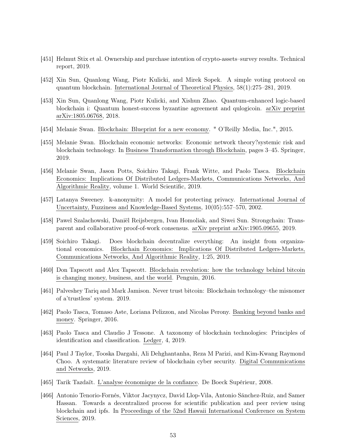- <span id="page-52-13"></span>[451] Helmut Stix et al. Ownership and purchase intention of crypto-assets–survey results. Technical report, 2019.
- <span id="page-52-15"></span>[452] Xin Sun, Quanlong Wang, Piotr Kulicki, and Mirek Sopek. A simple voting protocol on quantum blockchain. International Journal of Theoretical Physics, 58(1):275–281, 2019.
- <span id="page-52-14"></span>[453] Xin Sun, Quanlong Wang, Piotr Kulicki, and Xishun Zhao. Quantum-enhanced logic-based blockchain i: Quantum honest-success byzantine agreement and qulogicoin. arXiv preprint arXiv:1805.06768, 2018.
- <span id="page-52-0"></span>[454] Melanie Swan. Blockchain: Blueprint for a new economy. " O'Reilly Media, Inc.", 2015.
- <span id="page-52-12"></span>[455] Melanie Swan. Blockchain economic networks: Economic network theory?systemic risk and blockchain technology. In Business Transformation through Blockchain, pages 3–45. Springer, 2019.
- <span id="page-52-3"></span>[456] Melanie Swan, Jason Potts, Soichiro Takagi, Frank Witte, and Paolo Tasca. Blockchain Economics: Implications Of Distributed Ledgers-Markets, Communications Networks, And Algorithmic Reality, volume 1. World Scientific, 2019.
- <span id="page-52-9"></span>[457] Latanya Sweeney. k-anonymity: A model for protecting privacy. International Journal of Uncertainty, Fuzziness and Knowledge-Based Systems, 10(05):557–570, 2002.
- <span id="page-52-8"></span>[458] Pawel Szalachowski, Daniël Reijsbergen, Ivan Homoliak, and Siwei Sun. Strongchain: Transparent and collaborative proof-of-work consensus. arXiv preprint arXiv:1905.09655, 2019.
- <span id="page-52-7"></span>[459] Soichiro Takagi. Does blockchain decentralize everything: An insight from organizational economics. Blockchain Economics: Implications Of Distributed Ledgers-Markets, Communications Networks, And Algorithmic Reality, 1:25, 2019.
- <span id="page-52-1"></span>[460] Don Tapscott and Alex Tapscott. Blockchain revolution: how the technology behind bitcoin is changing money, business, and the world. Penguin, 2016.
- <span id="page-52-11"></span>[461] Palveshey Tariq and Mark Jamison. Never trust bitcoin: Blockchain technology–the misnomer of a'trustless' system. 2019.
- <span id="page-52-2"></span>[462] Paolo Tasca, Tomaso Aste, Loriana Pelizzon, and Nicolas Perony. Banking beyond banks and money. Springer, 2016.
- <span id="page-52-4"></span>[463] Paolo Tasca and Claudio J Tessone. A taxonomy of blockchain technologies: Principles of identification and classification. Ledger, 4, 2019.
- <span id="page-52-5"></span>[464] Paul J Taylor, Tooska Dargahi, Ali Dehghantanha, Reza M Parizi, and Kim-Kwang Raymond Choo. A systematic literature review of blockchain cyber security. Digital Communications and Networks, 2019.
- <span id="page-52-10"></span>[465] Tarik Tazdaït. L'analyse économique de la confiance. De Boeck Supérieur, 2008.
- <span id="page-52-6"></span>[466] Antonio Tenorio-Fornés, Viktor Jacynycz, David Llop-Vila, Antonio Sánchez-Ruiz, and Samer Hassan. Towards a decentralized process for scientific publication and peer review using blockchain and ipfs. In Proceedings of the 52nd Hawaii International Conference on System Sciences, 2019.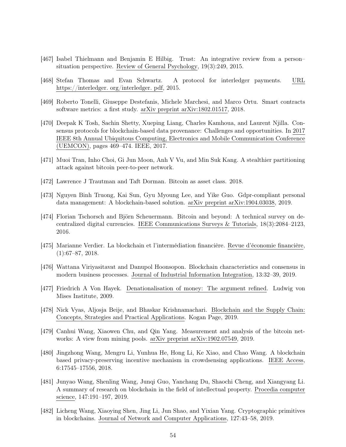- <span id="page-53-9"></span>[467] Isabel Thielmann and Benjamin E Hilbig. Trust: An integrative review from a person– situation perspective. Review of General Psychology, 19(3):249, 2015.
- <span id="page-53-13"></span>[468] Stefan Thomas and Evan Schwartz. A protocol for interledger payments. URL https://interledger. org/interledger. pdf, 2015.
- <span id="page-53-4"></span>[469] Roberto Tonelli, Giuseppe Destefanis, Michele Marchesi, and Marco Ortu. Smart contracts software metrics: a first study. arXiv preprint arXiv:1802.01517, 2018.
- <span id="page-53-7"></span>[470] Deepak K Tosh, Sachin Shetty, Xueping Liang, Charles Kamhoua, and Laurent Njilla. Consensus protocols for blockchain-based data provenance: Challenges and opportunities. In 2017 IEEE 8th Annual Ubiquitous Computing, Electronics and Mobile Communication Conference (UEMCON), pages 469–474. IEEE, 2017.
- <span id="page-53-11"></span>[471] Muoi Tran, Inho Choi, Gi Jun Moon, Anh V Vu, and Min Suk Kang. A stealthier partitioning attack against bitcoin peer-to-peer network.
- <span id="page-53-15"></span>[472] Lawrence J Trautman and Taft Dorman. Bitcoin as asset class. 2018.
- <span id="page-53-6"></span>[473] Nguyen Binh Truong, Kai Sun, Gyu Myoung Lee, and Yike Guo. Gdpr-compliant personal data management: A blockchain-based solution. arXiv preprint arXiv:1904.03038, 2019.
- <span id="page-53-0"></span>[474] Florian Tschorsch and Björn Scheuermann. Bitcoin and beyond: A technical survey on decentralized digital currencies. IEEE Communications Surveys & Tutorials, 18(3):2084–2123, 2016.
- <span id="page-53-12"></span>[475] Marianne Verdier. La blockchain et l'intermédiation financière. Revue d'économie financière,  $(1):67-87, 2018.$
- <span id="page-53-2"></span>[476] Wattana Viriyasitavat and Danupol Hoonsopon. Blockchain characteristics and consensus in modern business processes. Journal of Industrial Information Integration, 13:32–39, 2019.
- <span id="page-53-14"></span>[477] Friedrich A Von Hayek. Denationalisation of money: The argument refined. Ludwig von Mises Institute, 2009.
- <span id="page-53-3"></span>[478] Nick Vyas, Aljosja Beije, and Bhaskar Krishnamachari. Blockchain and the Supply Chain: Concepts, Strategies and Practical Applications. Kogan Page, 2019.
- <span id="page-53-10"></span>[479] Canhui Wang, Xiaowen Chu, and Qin Yang. Measurement and analysis of the bitcoin networks: A view from mining pools. arXiv preprint arXiv:1902.07549, 2019.
- <span id="page-53-8"></span>[480] Jingzhong Wang, Mengru Li, Yunhua He, Hong Li, Ke Xiao, and Chao Wang. A blockchain based privacy-preserving incentive mechanism in crowdsensing applications. IEEE Access, 6:17545–17556, 2018.
- <span id="page-53-1"></span>[481] Junyao Wang, Shenling Wang, Junqi Guo, Yanchang Du, Shaochi Cheng, and Xiangyang Li. A summary of research on blockchain in the field of intellectual property. Procedia computer science, 147:191–197, 2019.
- <span id="page-53-5"></span>[482] Licheng Wang, Xiaoying Shen, Jing Li, Jun Shao, and Yixian Yang. Cryptographic primitives in blockchains. Journal of Network and Computer Applications, 127:43–58, 2019.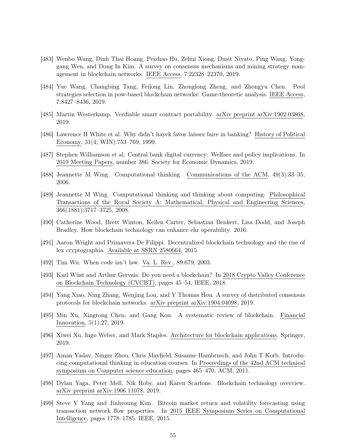- <span id="page-54-4"></span>[483] Wenbo Wang, Dinh Thai Hoang, Peizhao Hu, Zehui Xiong, Dusit Niyato, Ping Wang, Yonggang Wen, and Dong In Kim. A survey on consensus mechanisms and mining strategy management in blockchain networks. IEEE Access, 7:22328–22370, 2019.
- <span id="page-54-9"></span>[484] Yue Wang, Changbing Tang, Feilong Lin, Zhonglong Zheng, and Zhongyu Chen. Pool strategies selection in pow-based blockchain networks: Game-theoretic analysis. IEEE Access, 7:8427–8436, 2019.
- <span id="page-54-6"></span>[485] Martin Westerkamp. Verifiable smart contract portability. arXiv preprint arXiv:1902.03868, 2019.
- <span id="page-54-11"></span>[486] Lawrence H White et al. Why didn't hayek favor laissez faire in banking? History of Political Economy, 31(4; WIN):753–769, 1999.
- <span id="page-54-12"></span>[487] Stephen Williamson et al. Central bank digital currency: Welfare and policy implications. In 2019 Meeting Papers, number 386. Society for Economic Dynamics, 2019.
- <span id="page-54-13"></span>[488] Jeannette M Wing. Computational thinking. Communications of the ACM, 49(3):33–35, 2006.
- <span id="page-54-14"></span>[489] Jeannette M Wing. Computational thinking and thinking about computing. Philosophical Transactions of the Royal Society A: Mathematical, Physical and Engineering Sciences, 366(1881):3717–3725, 2008.
- <span id="page-54-7"></span>[490] Catherine Wood, Brett Winton, Kellen Carter, Sebastian Benkert, Lisa Dodd, and Joseph Bradley. How blockchain technology can enhance ehr operability. 2016.
- <span id="page-54-5"></span>[491] Aaron Wright and Primavera De Filippi. Decentralized blockchain technology and the rise of lex cryptographia. Available at SSRN 2580664, 2015.
- <span id="page-54-1"></span>[492] Tim Wu. When code isn't law. Va. L. Rev., 89:679, 2003.
- <span id="page-54-0"></span>[493] Karl Wüst and Arthur Gervais. Do you need a blockchain? In 2018 Crypto Valley Conference on Blockchain Technology (CVCBT), pages 45–54. IEEE, 2018.
- <span id="page-54-8"></span>[494] Yang Xiao, Ning Zhang, Wenjing Lou, and Y Thomas Hou. A survey of distributed consensus protocols for blockchain networks. arXiv preprint arXiv:1904.04098, 2019.
- <span id="page-54-3"></span>[495] Min Xu, Xingtong Chen, and Gang Kou. A systematic review of blockchain. Financial Innovation, 5(1):27, 2019.
- <span id="page-54-16"></span>[496] Xiwei Xu, Ingo Weber, and Mark Staples. Architecture for blockchain applications. Springer, 2019.
- <span id="page-54-15"></span>[497] Aman Yadav, Ninger Zhou, Chris Mayfield, Susanne Hambrusch, and John T Korb. Introducing computational thinking in education courses. In Proceedings of the 42nd ACM technical symposium on Computer science education, pages 465–470. ACM, 2011.
- <span id="page-54-2"></span>[498] Dylan Yaga, Peter Mell, Nik Roby, and Karen Scarfone. Blockchain technology overview. arXiv preprint arXiv:1906.11078, 2019.
- <span id="page-54-10"></span>[499] Steve Y Yang and Jinhyoung Kim. Bitcoin market return and volatility forecasting using transaction network flow properties. In 2015 IEEE Symposium Series on Computational Intelligence, pages 1778–1785. IEEE, 2015.